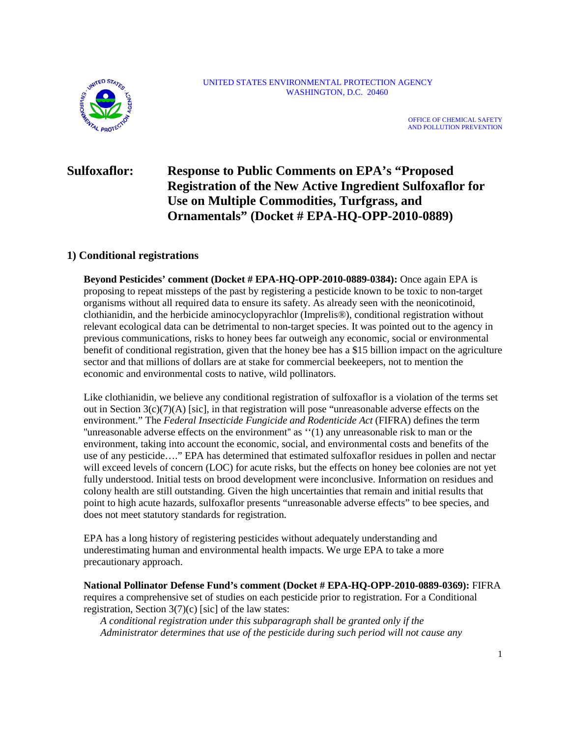

#### UNITED STATES ENVIRONMENTAL PROTECTION AGENCY WASHINGTON, D.C. 20460

OFFICE OF CHEMICAL SAFETY AND POLLUTION PREVENTION

# **Sulfoxaflor: Response to Public Comments on EPA's "Proposed Registration of the New Active Ingredient Sulfoxaflor for Use on Multiple Commodities, Turfgrass, and Ornamentals" (Docket # EPA-HQ-OPP-2010-0889)**

# **1) Conditional registrations**

**Beyond Pesticides' comment (Docket # EPA-HQ-OPP-2010-0889-0384):** Once again EPA is proposing to repeat missteps of the past by registering a pesticide known to be toxic to non-target organisms without all required data to ensure its safety. As already seen with the neonicotinoid, clothianidin, and the herbicide aminocyclopyrachlor (Imprelis®), conditional registration without relevant ecological data can be detrimental to non-target species. It was pointed out to the agency in previous communications, risks to honey bees far outweigh any economic, social or environmental benefit of conditional registration, given that the honey bee has a \$15 billion impact on the agriculture sector and that millions of dollars are at stake for commercial beekeepers, not to mention the economic and environmental costs to native, wild pollinators.

Like clothianidin, we believe any conditional registration of sulfoxaflor is a violation of the terms set out in Section 3(c)(7)(A) [sic], in that registration will pose "unreasonable adverse effects on the environment." The *Federal Insecticide Fungicide and Rodenticide Act* (FIFRA) defines the term ''unreasonable adverse effects on the environment'' as ''(1) any unreasonable risk to man or the environment, taking into account the economic, social, and environmental costs and benefits of the use of any pesticide…." EPA has determined that estimated sulfoxaflor residues in pollen and nectar will exceed levels of concern (LOC) for acute risks, but the effects on honey bee colonies are not yet fully understood. Initial tests on brood development were inconclusive. Information on residues and colony health are still outstanding. Given the high uncertainties that remain and initial results that point to high acute hazards, sulfoxaflor presents "unreasonable adverse effects" to bee species, and does not meet statutory standards for registration.

EPA has a long history of registering pesticides without adequately understanding and underestimating human and environmental health impacts. We urge EPA to take a more precautionary approach.

**National Pollinator Defense Fund's comment (Docket # EPA-HQ-OPP-2010-0889-0369):** FIFRA requires a comprehensive set of studies on each pesticide prior to registration. For a Conditional registration, Section  $3(7)(c)$  [sic] of the law states:

*A conditional registration under this subparagraph shall be granted only if the Administrator determines that use of the pesticide during such period will not cause any*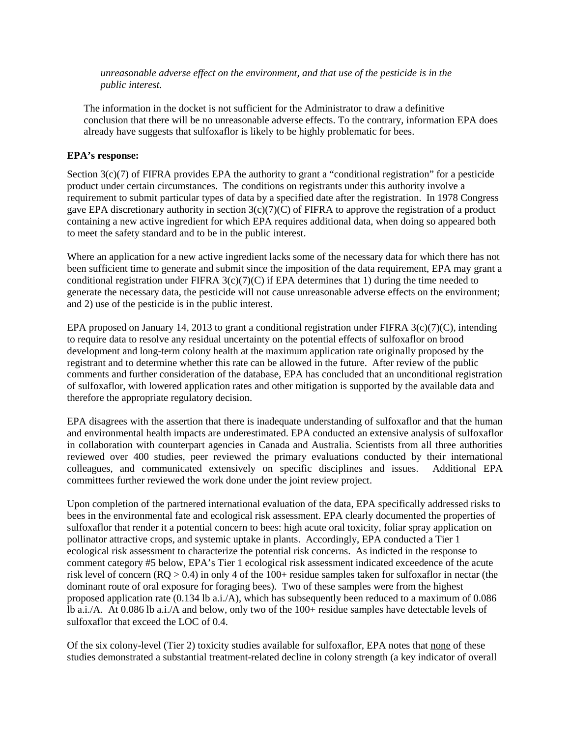*unreasonable adverse effect on the environment, and that use of the pesticide is in the public interest.*

The information in the docket is not sufficient for the Administrator to draw a definitive conclusion that there will be no unreasonable adverse effects. To the contrary, information EPA does already have suggests that sulfoxaflor is likely to be highly problematic for bees.

## **EPA's response:**

Section  $3(c)(7)$  of FIFRA provides EPA the authority to grant a "conditional registration" for a pesticide product under certain circumstances. The conditions on registrants under this authority involve a requirement to submit particular types of data by a specified date after the registration. In 1978 Congress gave EPA discretionary authority in section  $3(c)(7)(C)$  of FIFRA to approve the registration of a product containing a new active ingredient for which EPA requires additional data, when doing so appeared both to meet the safety standard and to be in the public interest.

Where an application for a new active ingredient lacks some of the necessary data for which there has not been sufficient time to generate and submit since the imposition of the data requirement, EPA may grant a conditional registration under FIFRA  $3(c)(7)(C)$  if EPA determines that 1) during the time needed to generate the necessary data, the pesticide will not cause unreasonable adverse effects on the environment; and 2) use of the pesticide is in the public interest.

EPA proposed on January 14, 2013 to grant a conditional registration under FIFRA 3(c)(7)(C), intending to require data to resolve any residual uncertainty on the potential effects of sulfoxaflor on brood development and long-term colony health at the maximum application rate originally proposed by the registrant and to determine whether this rate can be allowed in the future. After review of the public comments and further consideration of the database, EPA has concluded that an unconditional registration of sulfoxaflor, with lowered application rates and other mitigation is supported by the available data and therefore the appropriate regulatory decision.

EPA disagrees with the assertion that there is inadequate understanding of sulfoxaflor and that the human and environmental health impacts are underestimated. EPA conducted an extensive analysis of sulfoxaflor in collaboration with counterpart agencies in Canada and Australia. Scientists from all three authorities reviewed over 400 studies, peer reviewed the primary evaluations conducted by their international colleagues, and communicated extensively on specific disciplines and issues. Additional EPA committees further reviewed the work done under the joint review project.

Upon completion of the partnered international evaluation of the data, EPA specifically addressed risks to bees in the environmental fate and ecological risk assessment. EPA clearly documented the properties of sulfoxaflor that render it a potential concern to bees: high acute oral toxicity, foliar spray application on pollinator attractive crops, and systemic uptake in plants. Accordingly, EPA conducted a Tier 1 ecological risk assessment to characterize the potential risk concerns. As indicted in the response to comment category #5 below, EPA's Tier 1 ecological risk assessment indicated exceedence of the acute risk level of concern ( $RQ > 0.4$ ) in only 4 of the 100+ residue samples taken for sulfoxaflor in nectar (the dominant route of oral exposure for foraging bees). Two of these samples were from the highest proposed application rate (0.134 lb a.i./A), which has subsequently been reduced to a maximum of 0.086 lb a.i./A. At 0.086 lb a.i./A and below, only two of the 100+ residue samples have detectable levels of sulfoxaflor that exceed the LOC of 0.4.

Of the six colony-level (Tier 2) toxicity studies available for sulfoxaflor, EPA notes that none of these studies demonstrated a substantial treatment-related decline in colony strength (a key indicator of overall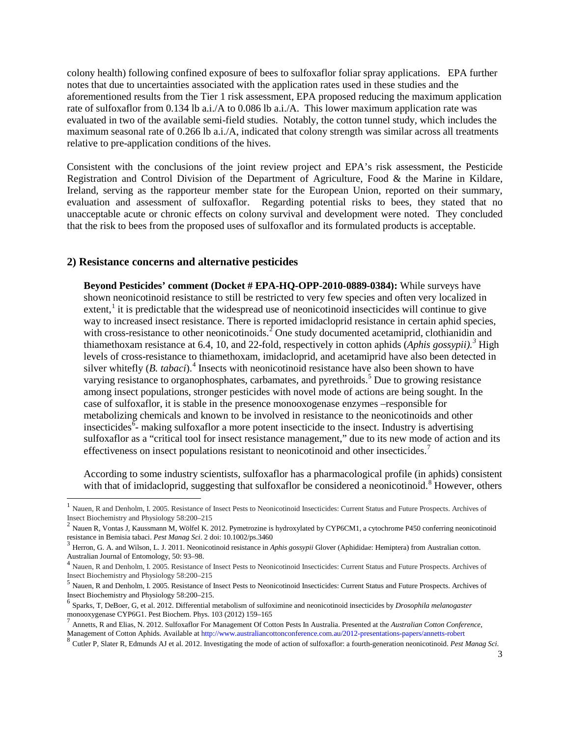colony health) following confined exposure of bees to sulfoxaflor foliar spray applications. EPA further notes that due to uncertainties associated with the application rates used in these studies and the aforementioned results from the Tier 1 risk assessment, EPA proposed reducing the maximum application rate of sulfoxaflor from 0.134 lb a.i./A to 0.086 lb a.i./A. This lower maximum application rate was evaluated in two of the available semi-field studies. Notably, the cotton tunnel study, which includes the maximum seasonal rate of 0.266 lb a.i./A, indicated that colony strength was similar across all treatments relative to pre-application conditions of the hives.

Consistent with the conclusions of the joint review project and EPA's risk assessment, the Pesticide Registration and Control Division of the Department of Agriculture, Food & the Marine in Kildare, Ireland, serving as the rapporteur member state for the European Union, reported on their summary, evaluation and assessment of sulfoxaflor. Regarding potential risks to bees, they stated that no unacceptable acute or chronic effects on colony survival and development were noted. They concluded that the risk to bees from the proposed uses of sulfoxaflor and its formulated products is acceptable.

### **2) Resistance concerns and alternative pesticides**

**Beyond Pesticides' comment (Docket # EPA-HQ-OPP-2010-0889-0384):** While surveys have shown neonicotinoid resistance to still be restricted to very few species and often very localized in extent,  $\frac{1}{1}$  $\frac{1}{1}$  $\frac{1}{1}$  it is predictable that the widespread use of neonicotinoid insecticides will continue to give way to increased insect resistance. There is reported imidacloprid resistance in certain aphid species, with cross-resistance to other neonicotinoids.<sup>[2](#page-2-1)</sup> One study documented acetamiprid, clothianidin and thiamethoxam resistance at 6.4, 10, and 22-fold, respectively in cotton aphids (*Aphis gossypii).[3](#page-2-2)* High levels of cross-resistance to thiamethoxam, imidacloprid, and acetamiprid have also been detected in silver whitefly (*B. tabaci*).<sup>[4](#page-2-3)</sup> Insects with neonicotinoid resistance have also been shown to have varying resistance to organophosphates, carbamates, and pyrethroids.<sup>[5](#page-2-4)</sup> Due to growing resistance among insect populations, stronger pesticides with novel mode of actions are being sought. In the case of sulfoxaflor, it is stable in the presence monooxogenase enzymes –responsible for metabolizing chemicals and known to be involved in resistance to the neonicotinoids and other insecticides<sup> $\bar{6}$  $\bar{6}$  $\bar{6}$ </sup> making sulfoxaflor a more potent insecticide to the insect. Industry is advertising sulfoxaflor as a "critical tool for insect resistance management," due to its new mode of action and its effectiveness on insect populations resistant to neonicotinoid and other insecticides.<sup>[7](#page-2-6)</sup>

According to some industry scientists, sulfoxaflor has a pharmacological profile (in aphids) consistent with that of imidacloprid, suggesting that sulfoxaflor be considered a neonicotinoid.<sup>[8](#page-2-7)</sup> However, others

<span id="page-2-7"></span>

<span id="page-2-0"></span><sup>&</sup>lt;sup>1</sup> Nauen, R and Denholm, I. 2005. Resistance of Insect Pests to Neonicotinoid Insecticides: Current Status and Future Prospects. Archives of

<span id="page-2-1"></span>Insect Biochemistry and Physiology 58:200–215<br>
<sup>2</sup> Nauen R, Vontas J, Kaussmann M, Wölfel K. 2012. Pymetrozine is hydroxylated by CYP6CM1, a cytochrome P450 conferring neonicotinoid<br>
resistance in Bemisia tabaci. *Pest Ma* 

<span id="page-2-2"></span><sup>&</sup>lt;sup>3</sup> Herron, G. A. and Wilson, L. J. 2011. Neonicotinoid resistance in *Aphis gossypii* Glover (Aphididae: Hemiptera) from Australian cotton.

<span id="page-2-3"></span>Australian Journal of Entomology, 50: 93–98.<br><sup>4</sup> Nauen, R and Denholm, I. 2005. Resistance of Insect Pests to Neonicotinoid Insecticides: Current Status and Future Prospects. Archives of Insect Biochemistry and Physiology

<span id="page-2-4"></span><sup>&</sup>lt;sup>5</sup> Nauen, R and Denholm, I. 2005. Resistance of Insect Pests to Neonicotinoid Insecticides: Current Status and Future Prospects. Archives of Insect Biochemistry and Physiology 58:200–215.

<span id="page-2-5"></span><sup>&</sup>lt;sup>6</sup> Sparks, T, DeBoer, G, et al. 2012. Differential metabolism of sulfoximine and neonicotinoid insecticides by *Drosophila melanogaster* monooxygenase CYP6G1. Pest Biochem. Phys. 103 (2012) 159–165

<span id="page-2-6"></span>Annetts, R and Elias, N. 2012. Sulfoxaflor For Management Of Cotton Pests In Australia. Presented at the *Australian Cotton Conference*, Management of Cotton Aphids. Available at http://www.australiancottonconference.com.au/2012-presentations-papers/annetts-robert 8 Cutler P. Slater R. Edmunds AJ et al. 2012. Investigating the mode of action of sulfoxaflor: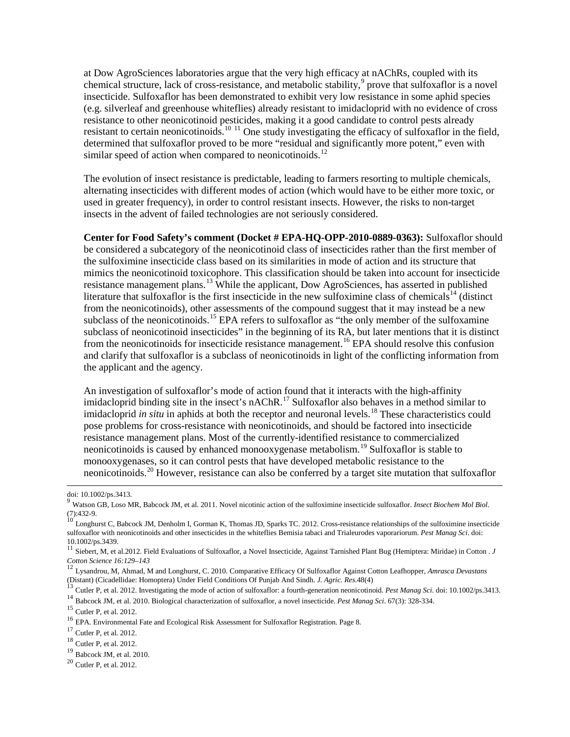at Dow AgroSciences laboratories argue that the very high efficacy at nAChRs, coupled with its chemical structure, lack of cross-resistance, and metabolic stability, $9$  prove that sulfoxaflor is a novel insecticide. Sulfoxaflor has been demonstrated to exhibit very low resistance in some aphid species (e.g. silverleaf and greenhouse whiteflies) already resistant to imidacloprid with no evidence of cross resistance to other neonicotinoid pesticides, making it a good candidate to control pests already resistant to certain neonicotinoids.<sup>[10](#page-3-1) [11](#page-3-2)</sup> One study investigating the efficacy of sulfoxaflor in the field, determined that sulfoxaflor proved to be more "residual and significantly more potent," even with similar speed of action when compared to neonicotinoids.<sup>[12](#page-3-3)</sup>

The evolution of insect resistance is predictable, leading to farmers resorting to multiple chemicals, alternating insecticides with different modes of action (which would have to be either more toxic, or used in greater frequency), in order to control resistant insects. However, the risks to non-target insects in the advent of failed technologies are not seriously considered.

**Center for Food Safety's comment (Docket # EPA-HQ-OPP-2010-0889-0363):** Sulfoxaflor should be considered a subcategory of the neonicotinoid class of insecticides rather than the first member of the sulfoximine insecticide class based on its similarities in mode of action and its structure that mimics the neonicotinoid toxicophore. This classification should be taken into account for insecticide resistance management plans.<sup>[13](#page-3-4)</sup> While the applicant, Dow AgroSciences, has asserted in published literature that sulfoxaflor is the first insecticide in the new sulfoximine class of chemicals<sup>[14](#page-3-5)</sup> (distinct from the neonicotinoids), other assessments of the compound suggest that it may instead be a new subclass of the neonicotinoids.<sup>[15](#page-3-6)</sup> EPA refers to sulfoxaflor as "the only member of the sulfoxamine" subclass of neonicotinoid insecticides" in the beginning of its RA, but later mentions that it is distinct from the neonicotinoids for insecticide resistance management.<sup>[16](#page-3-7)</sup> EPA should resolve this confusion and clarify that sulfoxaflor is a subclass of neonicotinoids in light of the conflicting information from the applicant and the agency.

An investigation of sulfoxaflor's mode of action found that it interacts with the high-affinity imidacloprid binding site in the insect's  $nAChR$ <sup>[17](#page-3-8)</sup> Sulfoxaflor also behaves in a method similar to imidacloprid *in situ* in aphids at both the receptor and neuronal levels. [18](#page-3-9) These characteristics could pose problems for cross-resistance with neonicotinoids, and should be factored into insecticide resistance management plans. Most of the currently-identified resistance to commercialized neonicotinoids is caused by enhanced monooxygenase metabolism.<sup>[19](#page-3-10)</sup> Sulfoxaflor is stable to monooxygenases, so it can control pests that have developed metabolic resistance to the neonicotinoids.[20](#page-3-11) However, resistance can also be conferred by a target site mutation that sulfoxaflor

<span id="page-3-4"></span><sup>13</sup> Cutler P, et al. 2012. Investigating the mode of action of sulfoxaflor: a fourth-generation neonicotinoid. *Pest Manag Sci*. doi: 10.1002/ps.3413.<br><sup>14</sup> Babcock JM, et al. 2010. Biological characterization of sulfoxaf

<span id="page-3-5"></span>

doi: 10.1002/ps.3413.

<span id="page-3-0"></span><sup>9</sup> Watson GB, Loso MR, Babcock JM, et al. 2011. Novel nicotinic action of the sulfoximine insecticide sulfoxaflor. *Insect Biochem Mol Biol.*  (7):432-9.<br><sup>10</sup> Longhurst C, Babcock JM, Denholm I, Gorman K, Thomas JD, Sparks TC. 2012. Cross-resistance relationships of the sulfoximine insecticide

<span id="page-3-1"></span>sulfoxaflor with neonicotinoids and other insecticides in the whiteflies Bemisia tabaci and Trialeurodes vaporariorum. *Pest Manag Sci*. doi:

<sup>10.1002/</sup>ps.3439. <sup>11</sup> Siebert, M, et al.2012. Field Evaluations of Sulfoxaflor, a Novel Insecticide, Against Tarnished Plant Bug (Hemiptera: Miridae) in Cotton . *J* 

<span id="page-3-3"></span><span id="page-3-2"></span>*Cotton Science 16:129–143* <sup>12</sup> Lysandrou, M, Ahmad, M and Longhurst, C. 2010. Comparative Efficacy Of Sulfoxaflor Against Cotton Leafhopper, *Amrasca Devastans* 

<span id="page-3-6"></span>

<span id="page-3-7"></span>

<span id="page-3-8"></span>

<span id="page-3-10"></span><span id="page-3-9"></span>

<span id="page-3-11"></span>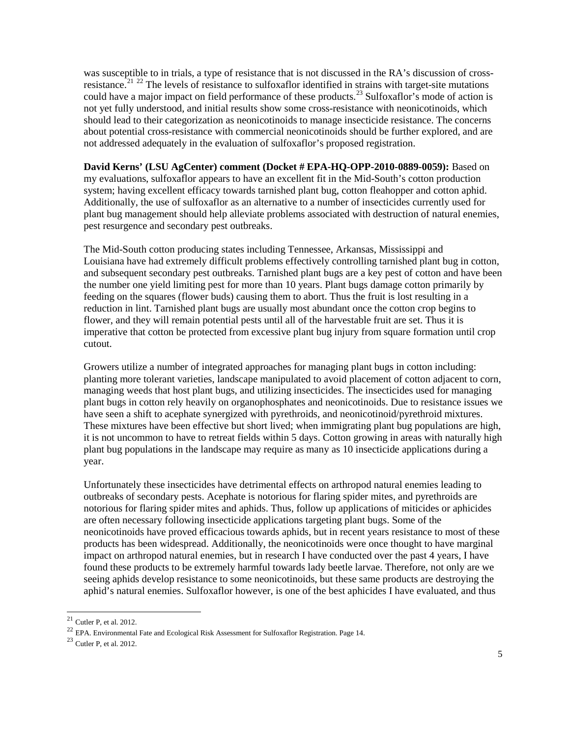was susceptible to in trials, a type of resistance that is not discussed in the RA's discussion of cross-resistance.<sup>[21](#page-4-0)</sup> <sup>[22](#page-4-1)</sup> The levels of resistance to sulfoxaflor identified in strains with target-site mutations could have a major impact on field performance of these products. [23](#page-4-2) Sulfoxaflor's mode of action is not yet fully understood, and initial results show some cross-resistance with neonicotinoids, which should lead to their categorization as neonicotinoids to manage insecticide resistance. The concerns about potential cross-resistance with commercial neonicotinoids should be further explored, and are not addressed adequately in the evaluation of sulfoxaflor's proposed registration.

**David Kerns' (LSU AgCenter) comment (Docket # EPA-HQ-OPP-2010-0889-0059):** Based on my evaluations, sulfoxaflor appears to have an excellent fit in the Mid-South's cotton production system; having excellent efficacy towards tarnished plant bug, cotton fleahopper and cotton aphid. Additionally, the use of sulfoxaflor as an alternative to a number of insecticides currently used for plant bug management should help alleviate problems associated with destruction of natural enemies, pest resurgence and secondary pest outbreaks.

The Mid-South cotton producing states including Tennessee, Arkansas, Mississippi and Louisiana have had extremely difficult problems effectively controlling tarnished plant bug in cotton, and subsequent secondary pest outbreaks. Tarnished plant bugs are a key pest of cotton and have been the number one yield limiting pest for more than 10 years. Plant bugs damage cotton primarily by feeding on the squares (flower buds) causing them to abort. Thus the fruit is lost resulting in a reduction in lint. Tarnished plant bugs are usually most abundant once the cotton crop begins to flower, and they will remain potential pests until all of the harvestable fruit are set. Thus it is imperative that cotton be protected from excessive plant bug injury from square formation until crop cutout.

Growers utilize a number of integrated approaches for managing plant bugs in cotton including: planting more tolerant varieties, landscape manipulated to avoid placement of cotton adjacent to corn, managing weeds that host plant bugs, and utilizing insecticides. The insecticides used for managing plant bugs in cotton rely heavily on organophosphates and neonicotinoids. Due to resistance issues we have seen a shift to acephate synergized with pyrethroids, and neonicotinoid/pyrethroid mixtures. These mixtures have been effective but short lived; when immigrating plant bug populations are high, it is not uncommon to have to retreat fields within 5 days. Cotton growing in areas with naturally high plant bug populations in the landscape may require as many as 10 insecticide applications during a year.

Unfortunately these insecticides have detrimental effects on arthropod natural enemies leading to outbreaks of secondary pests. Acephate is notorious for flaring spider mites, and pyrethroids are notorious for flaring spider mites and aphids. Thus, follow up applications of miticides or aphicides are often necessary following insecticide applications targeting plant bugs. Some of the neonicotinoids have proved efficacious towards aphids, but in recent years resistance to most of these products has been widespread. Additionally, the neonicotinoids were once thought to have marginal impact on arthropod natural enemies, but in research I have conducted over the past 4 years, I have found these products to be extremely harmful towards lady beetle larvae. Therefore, not only are we seeing aphids develop resistance to some neonicotinoids, but these same products are destroying the aphid's natural enemies. Sulfoxaflor however, is one of the best aphicides I have evaluated, and thus

<span id="page-4-1"></span><span id="page-4-0"></span><sup>&</sup>lt;sup>21</sup> Cutler P, et al. 2012.<br><sup>22</sup> EPA. Environmental Fate and Ecological Risk Assessment for Sulfoxaflor Registration. Page 14.<br><sup>23</sup> Cutler P, et al. 2012.

<span id="page-4-2"></span>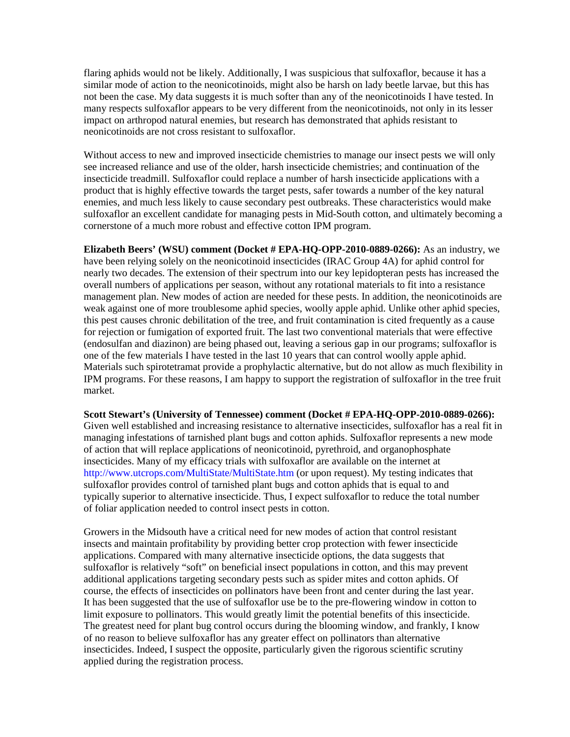flaring aphids would not be likely. Additionally, I was suspicious that sulfoxaflor, because it has a similar mode of action to the neonicotinoids, might also be harsh on lady beetle larvae, but this has not been the case. My data suggests it is much softer than any of the neonicotinoids I have tested. In many respects sulfoxaflor appears to be very different from the neonicotinoids, not only in its lesser impact on arthropod natural enemies, but research has demonstrated that aphids resistant to neonicotinoids are not cross resistant to sulfoxaflor.

Without access to new and improved insecticide chemistries to manage our insect pests we will only see increased reliance and use of the older, harsh insecticide chemistries; and continuation of the insecticide treadmill. Sulfoxaflor could replace a number of harsh insecticide applications with a product that is highly effective towards the target pests, safer towards a number of the key natural enemies, and much less likely to cause secondary pest outbreaks. These characteristics would make sulfoxaflor an excellent candidate for managing pests in Mid-South cotton, and ultimately becoming a cornerstone of a much more robust and effective cotton IPM program.

**Elizabeth Beers' (WSU) comment (Docket # EPA-HQ-OPP-2010-0889-0266):** As an industry, we have been relying solely on the neonicotinoid insecticides (IRAC Group 4A) for aphid control for nearly two decades. The extension of their spectrum into our key lepidopteran pests has increased the overall numbers of applications per season, without any rotational materials to fit into a resistance management plan. New modes of action are needed for these pests. In addition, the neonicotinoids are weak against one of more troublesome aphid species, woolly apple aphid. Unlike other aphid species, this pest causes chronic debilitation of the tree, and fruit contamination is cited frequently as a cause for rejection or fumigation of exported fruit. The last two conventional materials that were effective (endosulfan and diazinon) are being phased out, leaving a serious gap in our programs; sulfoxaflor is one of the few materials I have tested in the last 10 years that can control woolly apple aphid. Materials such spirotetramat provide a prophylactic alternative, but do not allow as much flexibility in IPM programs. For these reasons, I am happy to support the registration of sulfoxaflor in the tree fruit market.

**Scott Stewart's (University of Tennessee) comment (Docket # EPA-HQ-OPP-2010-0889-0266):**  Given well established and increasing resistance to alternative insecticides, sulfoxaflor has a real fit in managing infestations of tarnished plant bugs and cotton aphids. Sulfoxaflor represents a new mode of action that will replace applications of neonicotinoid, pyrethroid, and organophosphate insecticides. Many of my efficacy trials with sulfoxaflor are available on the internet at http://www.utcrops.com/MultiState/MultiState.htm (or upon request). My testing indicates that sulfoxaflor provides control of tarnished plant bugs and cotton aphids that is equal to and typically superior to alternative insecticide. Thus, I expect sulfoxaflor to reduce the total number of foliar application needed to control insect pests in cotton.

Growers in the Midsouth have a critical need for new modes of action that control resistant insects and maintain profitability by providing better crop protection with fewer insecticide applications. Compared with many alternative insecticide options, the data suggests that sulfoxaflor is relatively "soft" on beneficial insect populations in cotton, and this may prevent additional applications targeting secondary pests such as spider mites and cotton aphids. Of course, the effects of insecticides on pollinators have been front and center during the last year. It has been suggested that the use of sulfoxaflor use be to the pre-flowering window in cotton to limit exposure to pollinators. This would greatly limit the potential benefits of this insecticide. The greatest need for plant bug control occurs during the blooming window, and frankly, I know of no reason to believe sulfoxaflor has any greater effect on pollinators than alternative insecticides. Indeed, I suspect the opposite, particularly given the rigorous scientific scrutiny applied during the registration process.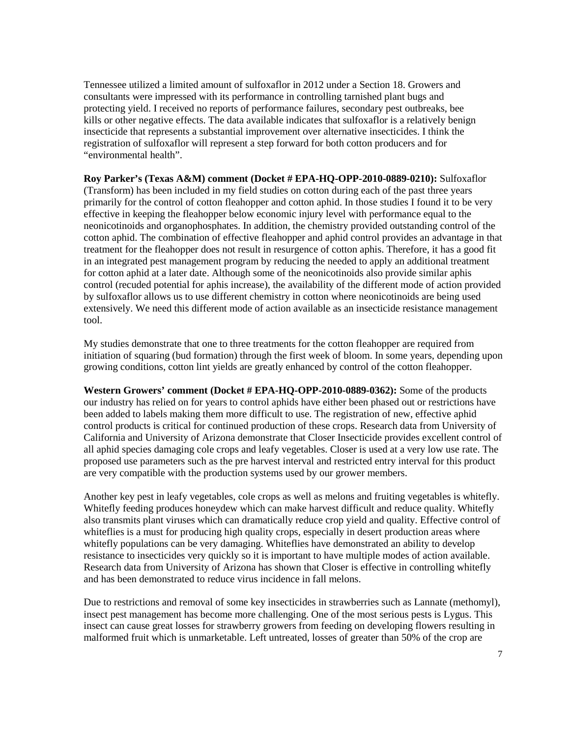Tennessee utilized a limited amount of sulfoxaflor in 2012 under a Section 18. Growers and consultants were impressed with its performance in controlling tarnished plant bugs and protecting yield. I received no reports of performance failures, secondary pest outbreaks, bee kills or other negative effects. The data available indicates that sulfoxaflor is a relatively benign insecticide that represents a substantial improvement over alternative insecticides. I think the registration of sulfoxaflor will represent a step forward for both cotton producers and for "environmental health".

**Roy Parker's (Texas A&M) comment (Docket # EPA-HQ-OPP-2010-0889-0210):** Sulfoxaflor (Transform) has been included in my field studies on cotton during each of the past three years primarily for the control of cotton fleahopper and cotton aphid. In those studies I found it to be very effective in keeping the fleahopper below economic injury level with performance equal to the neonicotinoids and organophosphates. In addition, the chemistry provided outstanding control of the cotton aphid. The combination of effective fleahopper and aphid control provides an advantage in that treatment for the fleahopper does not result in resurgence of cotton aphis. Therefore, it has a good fit in an integrated pest management program by reducing the needed to apply an additional treatment for cotton aphid at a later date. Although some of the neonicotinoids also provide similar aphis control (recuded potential for aphis increase), the availability of the different mode of action provided by sulfoxaflor allows us to use different chemistry in cotton where neonicotinoids are being used extensively. We need this different mode of action available as an insecticide resistance management tool.

My studies demonstrate that one to three treatments for the cotton fleahopper are required from initiation of squaring (bud formation) through the first week of bloom. In some years, depending upon growing conditions, cotton lint yields are greatly enhanced by control of the cotton fleahopper.

**Western Growers' comment (Docket # EPA-HQ-OPP-2010-0889-0362):** Some of the products our industry has relied on for years to control aphids have either been phased out or restrictions have been added to labels making them more difficult to use. The registration of new, effective aphid control products is critical for continued production of these crops. Research data from University of California and University of Arizona demonstrate that Closer Insecticide provides excellent control of all aphid species damaging cole crops and leafy vegetables. Closer is used at a very low use rate. The proposed use parameters such as the pre harvest interval and restricted entry interval for this product are very compatible with the production systems used by our grower members.

Another key pest in leafy vegetables, cole crops as well as melons and fruiting vegetables is whitefly. Whitefly feeding produces honeydew which can make harvest difficult and reduce quality. Whitefly also transmits plant viruses which can dramatically reduce crop yield and quality. Effective control of whiteflies is a must for producing high quality crops, especially in desert production areas where whitefly populations can be very damaging. Whiteflies have demonstrated an ability to develop resistance to insecticides very quickly so it is important to have multiple modes of action available. Research data from University of Arizona has shown that Closer is effective in controlling whitefly and has been demonstrated to reduce virus incidence in fall melons.

Due to restrictions and removal of some key insecticides in strawberries such as Lannate (methomyl), insect pest management has become more challenging. One of the most serious pests is Lygus. This insect can cause great losses for strawberry growers from feeding on developing flowers resulting in malformed fruit which is unmarketable. Left untreated, losses of greater than 50% of the crop are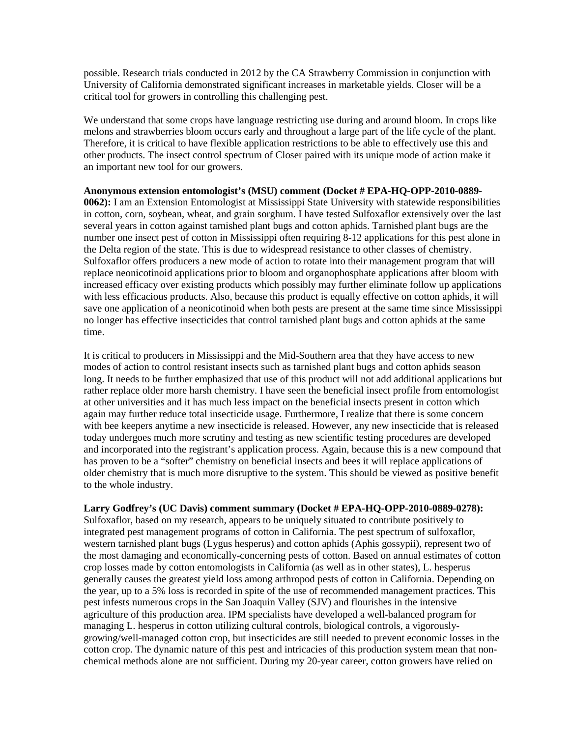possible. Research trials conducted in 2012 by the CA Strawberry Commission in conjunction with University of California demonstrated significant increases in marketable yields. Closer will be a critical tool for growers in controlling this challenging pest.

We understand that some crops have language restricting use during and around bloom. In crops like melons and strawberries bloom occurs early and throughout a large part of the life cycle of the plant. Therefore, it is critical to have flexible application restrictions to be able to effectively use this and other products. The insect control spectrum of Closer paired with its unique mode of action make it an important new tool for our growers.

#### **Anonymous extension entomologist's (MSU) comment (Docket # EPA-HQ-OPP-2010-0889-**

**0062):** I am an Extension Entomologist at Mississippi State University with statewide responsibilities in cotton, corn, soybean, wheat, and grain sorghum. I have tested Sulfoxaflor extensively over the last several years in cotton against tarnished plant bugs and cotton aphids. Tarnished plant bugs are the number one insect pest of cotton in Mississippi often requiring 8-12 applications for this pest alone in the Delta region of the state. This is due to widespread resistance to other classes of chemistry. Sulfoxaflor offers producers a new mode of action to rotate into their management program that will replace neonicotinoid applications prior to bloom and organophosphate applications after bloom with increased efficacy over existing products which possibly may further eliminate follow up applications with less efficacious products. Also, because this product is equally effective on cotton aphids, it will save one application of a neonicotinoid when both pests are present at the same time since Mississippi no longer has effective insecticides that control tarnished plant bugs and cotton aphids at the same time.

It is critical to producers in Mississippi and the Mid-Southern area that they have access to new modes of action to control resistant insects such as tarnished plant bugs and cotton aphids season long. It needs to be further emphasized that use of this product will not add additional applications but rather replace older more harsh chemistry. I have seen the beneficial insect profile from entomologist at other universities and it has much less impact on the beneficial insects present in cotton which again may further reduce total insecticide usage. Furthermore, I realize that there is some concern with bee keepers anytime a new insecticide is released. However, any new insecticide that is released today undergoes much more scrutiny and testing as new scientific testing procedures are developed and incorporated into the registrant's application process. Again, because this is a new compound that has proven to be a "softer" chemistry on beneficial insects and bees it will replace applications of older chemistry that is much more disruptive to the system. This should be viewed as positive benefit to the whole industry.

#### **Larry Godfrey's (UC Davis) comment summary (Docket # EPA-HQ-OPP-2010-0889-0278):**

Sulfoxaflor, based on my research, appears to be uniquely situated to contribute positively to integrated pest management programs of cotton in California. The pest spectrum of sulfoxaflor, western tarnished plant bugs (Lygus hesperus) and cotton aphids (Aphis gossypii), represent two of the most damaging and economically-concerning pests of cotton. Based on annual estimates of cotton crop losses made by cotton entomologists in California (as well as in other states), L. hesperus generally causes the greatest yield loss among arthropod pests of cotton in California. Depending on the year, up to a 5% loss is recorded in spite of the use of recommended management practices. This pest infests numerous crops in the San Joaquin Valley (SJV) and flourishes in the intensive agriculture of this production area. IPM specialists have developed a well-balanced program for managing L. hesperus in cotton utilizing cultural controls, biological controls, a vigorouslygrowing/well-managed cotton crop, but insecticides are still needed to prevent economic losses in the cotton crop. The dynamic nature of this pest and intricacies of this production system mean that nonchemical methods alone are not sufficient. During my 20-year career, cotton growers have relied on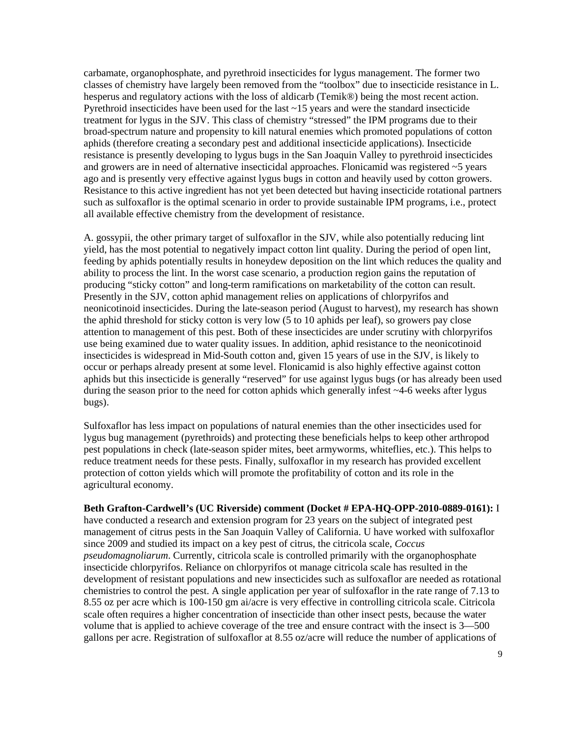carbamate, organophosphate, and pyrethroid insecticides for lygus management. The former two classes of chemistry have largely been removed from the "toolbox" due to insecticide resistance in L. hesperus and regulatory actions with the loss of aldicarb (Temik®) being the most recent action. Pyrethroid insecticides have been used for the last  $\sim$  15 years and were the standard insecticide treatment for lygus in the SJV. This class of chemistry "stressed" the IPM programs due to their broad-spectrum nature and propensity to kill natural enemies which promoted populations of cotton aphids (therefore creating a secondary pest and additional insecticide applications). Insecticide resistance is presently developing to lygus bugs in the San Joaquin Valley to pyrethroid insecticides and growers are in need of alternative insecticidal approaches. Flonicamid was registered  $\sim$  5 years ago and is presently very effective against lygus bugs in cotton and heavily used by cotton growers. Resistance to this active ingredient has not yet been detected but having insecticide rotational partners such as sulfoxaflor is the optimal scenario in order to provide sustainable IPM programs, i.e., protect all available effective chemistry from the development of resistance.

A. gossypii, the other primary target of sulfoxaflor in the SJV, while also potentially reducing lint yield, has the most potential to negatively impact cotton lint quality. During the period of open lint, feeding by aphids potentially results in honeydew deposition on the lint which reduces the quality and ability to process the lint. In the worst case scenario, a production region gains the reputation of producing "sticky cotton" and long-term ramifications on marketability of the cotton can result. Presently in the SJV, cotton aphid management relies on applications of chlorpyrifos and neonicotinoid insecticides. During the late-season period (August to harvest), my research has shown the aphid threshold for sticky cotton is very low (5 to 10 aphids per leaf), so growers pay close attention to management of this pest. Both of these insecticides are under scrutiny with chlorpyrifos use being examined due to water quality issues. In addition, aphid resistance to the neonicotinoid insecticides is widespread in Mid-South cotton and, given 15 years of use in the SJV, is likely to occur or perhaps already present at some level. Flonicamid is also highly effective against cotton aphids but this insecticide is generally "reserved" for use against lygus bugs (or has already been used during the season prior to the need for cotton aphids which generally infest ~4-6 weeks after lygus bugs).

Sulfoxaflor has less impact on populations of natural enemies than the other insecticides used for lygus bug management (pyrethroids) and protecting these beneficials helps to keep other arthropod pest populations in check (late-season spider mites, beet armyworms, whiteflies, etc.). This helps to reduce treatment needs for these pests. Finally, sulfoxaflor in my research has provided excellent protection of cotton yields which will promote the profitability of cotton and its role in the agricultural economy.

#### **Beth Grafton-Cardwell's (UC Riverside) comment (Docket # EPA-HQ-OPP-2010-0889-0161):** I

have conducted a research and extension program for 23 years on the subject of integrated pest management of citrus pests in the San Joaquin Valley of California. U have worked with sulfoxaflor since 2009 and studied its impact on a key pest of citrus, the citricola scale, *Coccus pseudomagnoliarum*. Currently, citricola scale is controlled primarily with the organophosphate insecticide chlorpyrifos. Reliance on chlorpyrifos ot manage citricola scale has resulted in the development of resistant populations and new insecticides such as sulfoxaflor are needed as rotational chemistries to control the pest. A single application per year of sulfoxaflor in the rate range of 7.13 to 8.55 oz per acre which is 100-150 gm ai/acre is very effective in controlling citricola scale. Citricola scale often requires a higher concentration of insecticide than other insect pests, because the water volume that is applied to achieve coverage of the tree and ensure contract with the insect is 3—500 gallons per acre. Registration of sulfoxaflor at 8.55 oz/acre will reduce the number of applications of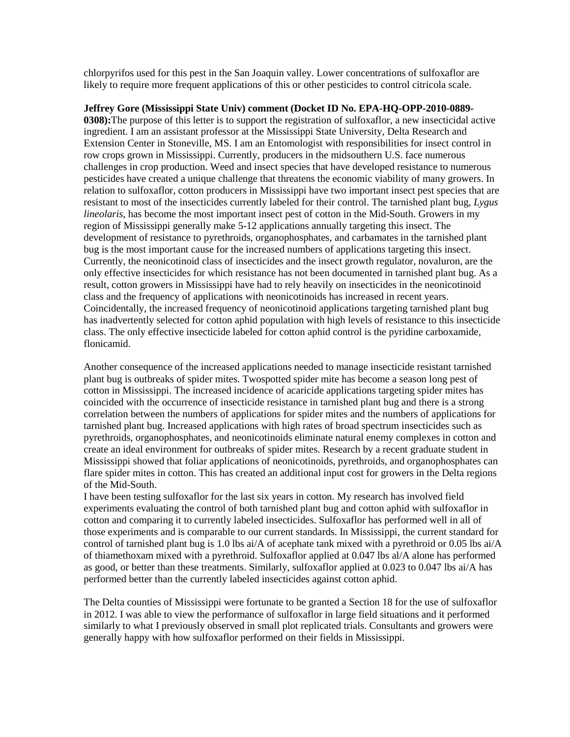chlorpyrifos used for this pest in the San Joaquin valley. Lower concentrations of sulfoxaflor are likely to require more frequent applications of this or other pesticides to control citricola scale.

**Jeffrey Gore (Mississippi State Univ) comment (Docket ID No. EPA-HQ-OPP-2010-0889- 0308):**The purpose of this letter is to support the registration of sulfoxaflor, a new insecticidal active ingredient. I am an assistant professor at the Mississippi State University, Delta Research and Extension Center in Stoneville, MS. I am an Entomologist with responsibilities for insect control in row crops grown in Mississippi. Currently, producers in the midsouthern U.S. face numerous challenges in crop production. Weed and insect species that have developed resistance to numerous pesticides have created a unique challenge that threatens the economic viability of many growers. In relation to sulfoxaflor, cotton producers in Mississippi have two important insect pest species that are resistant to most of the insecticides currently labeled for their control. The tarnished plant bug, *Lygus lineolaris,* has become the most important insect pest of cotton in the Mid-South. Growers in my region of Mississippi generally make 5-12 applications annually targeting this insect. The development of resistance to pyrethroids, organophosphates, and carbamates in the tarnished plant bug is the most important cause for the increased numbers of applications targeting this insect. Currently, the neonicotinoid class of insecticides and the insect growth regulator, novaluron, are the only effective insecticides for which resistance has not been documented in tarnished plant bug. As a result, cotton growers in Mississippi have had to rely heavily on insecticides in the neonicotinoid class and the frequency of applications with neonicotinoids has increased in recent years. Coincidentally, the increased frequency of neonicotinoid applications targeting tarnished plant bug has inadvertently selected for cotton aphid population with high levels of resistance to this insecticide class. The only effective insecticide labeled for cotton aphid control is the pyridine carboxamide, flonicamid.

Another consequence of the increased applications needed to manage insecticide resistant tarnished plant bug is outbreaks of spider mites. Twospotted spider mite has become a season long pest of cotton in Mississippi. The increased incidence of acaricide applications targeting spider mites has coincided with the occurrence of insecticide resistance in tarnished plant bug and there is a strong correlation between the numbers of applications for spider mites and the numbers of applications for tarnished plant bug. Increased applications with high rates of broad spectrum insecticides such as pyrethroids, organophosphates, and neonicotinoids eliminate natural enemy complexes in cotton and create an ideal environment for outbreaks of spider mites. Research by a recent graduate student in Mississippi showed that foliar applications of neonicotinoids, pyrethroids, and organophosphates can flare spider mites in cotton. This has created an additional input cost for growers in the Delta regions of the Mid-South.

I have been testing sulfoxaflor for the last six years in cotton. My research has involved field experiments evaluating the control of both tarnished plant bug and cotton aphid with sulfoxaflor in cotton and comparing it to currently labeled insecticides. Sulfoxaflor has performed well in all of those experiments and is comparable to our current standards. In Mississippi, the current standard for control of tarnished plant bug is 1.0 lbs ai/A of acephate tank mixed with a pyrethroid or 0.05 lbs ai/A of thiamethoxam mixed with a pyrethroid. Sulfoxaflor applied at 0.047 lbs al/A alone has performed as good, or better than these treatments. Similarly, sulfoxaflor applied at 0.023 to 0.047 lbs ai/A has performed better than the currently labeled insecticides against cotton aphid.

The Delta counties of Mississippi were fortunate to be granted a Section 18 for the use of sulfoxaflor in 2012. I was able to view the performance of sulfoxaflor in large field situations and it performed similarly to what I previously observed in small plot replicated trials. Consultants and growers were generally happy with how sulfoxaflor performed on their fields in Mississippi.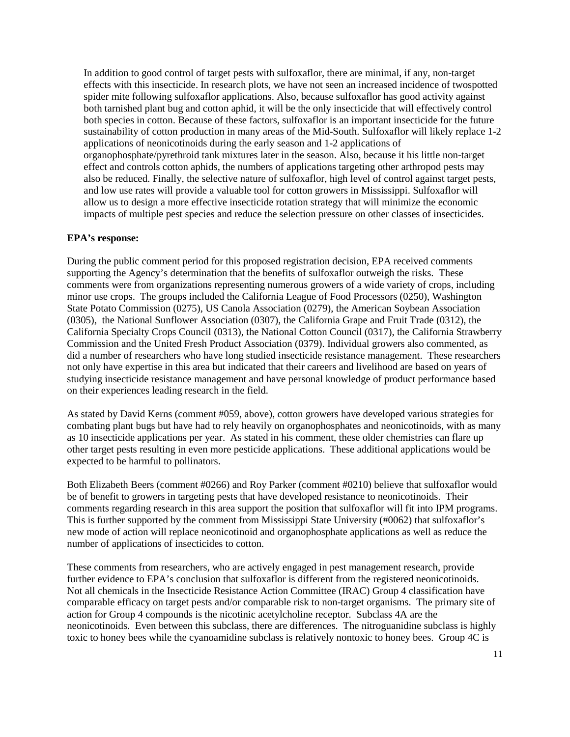In addition to good control of target pests with sulfoxaflor, there are minimal, if any, non-target effects with this insecticide. In research plots, we have not seen an increased incidence of twospotted spider mite following sulfoxaflor applications. Also, because sulfoxaflor has good activity against both tarnished plant bug and cotton aphid, it will be the only insecticide that will effectively control both species in cotton. Because of these factors, sulfoxaflor is an important insecticide for the future sustainability of cotton production in many areas of the Mid-South. Sulfoxaflor will likely replace 1-2 applications of neonicotinoids during the early season and 1-2 applications of organophosphate/pyrethroid tank mixtures later in the season. Also, because it his little non-target effect and controls cotton aphids, the numbers of applications targeting other arthropod pests may also be reduced. Finally, the selective nature of sulfoxaflor, high level of control against target pests, and low use rates will provide a valuable tool for cotton growers in Mississippi. Sulfoxaflor will allow us to design a more effective insecticide rotation strategy that will minimize the economic impacts of multiple pest species and reduce the selection pressure on other classes of insecticides.

### **EPA's response:**

During the public comment period for this proposed registration decision, EPA received comments supporting the Agency's determination that the benefits of sulfoxaflor outweigh the risks. These comments were from organizations representing numerous growers of a wide variety of crops, including minor use crops. The groups included the California League of Food Processors (0250), Washington State Potato Commission (0275), US Canola Association (0279), the American Soybean Association (0305), the National Sunflower Association (0307), the California Grape and Fruit Trade (0312), the California Specialty Crops Council (0313), the National Cotton Council (0317), the California Strawberry Commission and the United Fresh Product Association (0379). Individual growers also commented, as did a number of researchers who have long studied insecticide resistance management. These researchers not only have expertise in this area but indicated that their careers and livelihood are based on years of studying insecticide resistance management and have personal knowledge of product performance based on their experiences leading research in the field.

As stated by David Kerns (comment #059, above), cotton growers have developed various strategies for combating plant bugs but have had to rely heavily on organophosphates and neonicotinoids, with as many as 10 insecticide applications per year. As stated in his comment, these older chemistries can flare up other target pests resulting in even more pesticide applications. These additional applications would be expected to be harmful to pollinators.

Both Elizabeth Beers (comment #0266) and Roy Parker (comment #0210) believe that sulfoxaflor would be of benefit to growers in targeting pests that have developed resistance to neonicotinoids. Their comments regarding research in this area support the position that sulfoxaflor will fit into IPM programs. This is further supported by the comment from Mississippi State University (#0062) that sulfoxaflor's new mode of action will replace neonicotinoid and organophosphate applications as well as reduce the number of applications of insecticides to cotton.

These comments from researchers, who are actively engaged in pest management research, provide further evidence to EPA's conclusion that sulfoxaflor is different from the registered neonicotinoids. Not all chemicals in the Insecticide Resistance Action Committee (IRAC) Group 4 classification have comparable efficacy on target pests and/or comparable risk to non-target organisms. The primary site of action for Group 4 compounds is the nicotinic acetylcholine receptor. Subclass 4A are the neonicotinoids. Even between this subclass, there are differences. The nitroguanidine subclass is highly toxic to honey bees while the cyanoamidine subclass is relatively nontoxic to honey bees. Group 4C is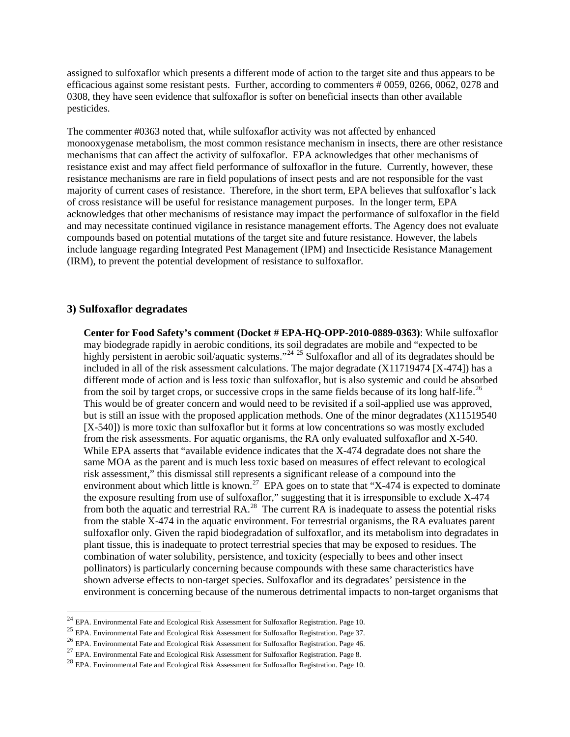assigned to sulfoxaflor which presents a different mode of action to the target site and thus appears to be efficacious against some resistant pests. Further, according to commenters # 0059, 0266, 0062, 0278 and 0308, they have seen evidence that sulfoxaflor is softer on beneficial insects than other available pesticides.

The commenter #0363 noted that, while sulfoxaflor activity was not affected by enhanced monooxygenase metabolism, the most common resistance mechanism in insects, there are other resistance mechanisms that can affect the activity of sulfoxaflor. EPA acknowledges that other mechanisms of resistance exist and may affect field performance of sulfoxaflor in the future. Currently, however, these resistance mechanisms are rare in field populations of insect pests and are not responsible for the vast majority of current cases of resistance. Therefore, in the short term, EPA believes that sulfoxaflor's lack of cross resistance will be useful for resistance management purposes. In the longer term, EPA acknowledges that other mechanisms of resistance may impact the performance of sulfoxaflor in the field and may necessitate continued vigilance in resistance management efforts. The Agency does not evaluate compounds based on potential mutations of the target site and future resistance. However, the labels include language regarding Integrated Pest Management (IPM) and Insecticide Resistance Management (IRM), to prevent the potential development of resistance to sulfoxaflor.

### **3) Sulfoxaflor degradates**

**Center for Food Safety's comment (Docket # EPA-HQ-OPP-2010-0889-0363)**: While sulfoxaflor may biodegrade rapidly in aerobic conditions, its soil degradates are mobile and "expected to be highly persistent in aerobic soil/aquatic systems."<sup>[24](#page-11-0) [25](#page-11-1)</sup> Sulfoxaflor and all of its degradates should be included in all of the risk assessment calculations. The major degradate (X11719474 [X-474]) has a different mode of action and is less toxic than sulfoxaflor, but is also systemic and could be absorbed from the soil by target crops, or successive crops in the same fields because of its long half-life.<sup>[26](#page-11-2)</sup> This would be of greater concern and would need to be revisited if a soil-applied use was approved, but is still an issue with the proposed application methods. One of the minor degradates (X11519540 [X-540]) is more toxic than sulfoxaflor but it forms at low concentrations so was mostly excluded from the risk assessments. For aquatic organisms, the RA only evaluated sulfoxaflor and X-540. While EPA asserts that "available evidence indicates that the X-474 degradate does not share the same MOA as the parent and is much less toxic based on measures of effect relevant to ecological risk assessment," this dismissal still represents a significant release of a compound into the environment about which little is known.<sup>[27](#page-11-3)</sup> EPA goes on to state that "X-474 is expected to dominate the exposure resulting from use of sulfoxaflor," suggesting that it is irresponsible to exclude X-474 from both the aquatic and terrestrial RA.<sup>[28](#page-11-4)</sup> The current RA is inadequate to assess the potential risks from the stable X-474 in the aquatic environment. For terrestrial organisms, the RA evaluates parent sulfoxaflor only. Given the rapid biodegradation of sulfoxaflor, and its metabolism into degradates in plant tissue, this is inadequate to protect terrestrial species that may be exposed to residues. The combination of water solubility, persistence, and toxicity (especially to bees and other insect pollinators) is particularly concerning because compounds with these same characteristics have shown adverse effects to non-target species. Sulfoxaflor and its degradates' persistence in the environment is concerning because of the numerous detrimental impacts to non-target organisms that

<span id="page-11-0"></span><sup>&</sup>lt;sup>24</sup> EPA. Environmental Fate and Ecological Risk Assessment for Sulfoxaflor Registration. Page 10.<br><sup>25</sup> EPA. Environmental Fate and Ecological Risk Assessment for Sulfoxaflor Registration. Page 37.<br><sup>26</sup> EPA. Environmental

<span id="page-11-2"></span><span id="page-11-1"></span>

<span id="page-11-4"></span><span id="page-11-3"></span>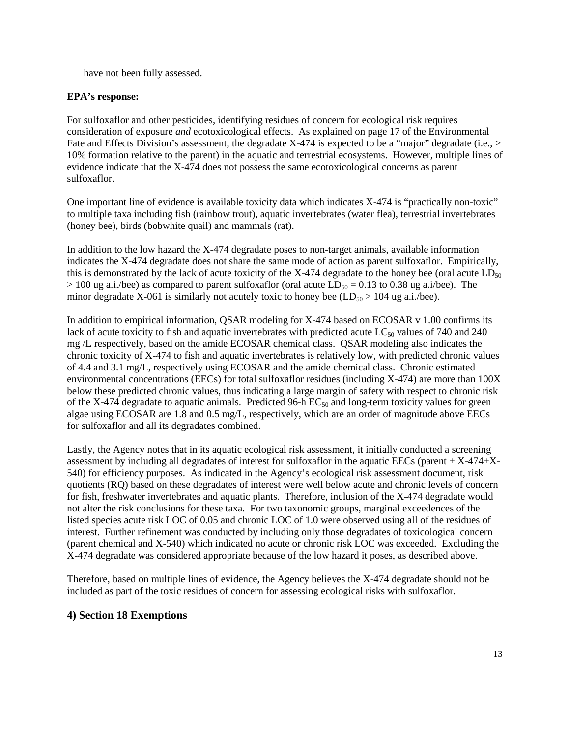have not been fully assessed.

### **EPA's response:**

For sulfoxaflor and other pesticides, identifying residues of concern for ecological risk requires consideration of exposure *and* ecotoxicological effects. As explained on page 17 of the Environmental Fate and Effects Division's assessment, the degradate X-474 is expected to be a "major" degradate (i.e., > 10% formation relative to the parent) in the aquatic and terrestrial ecosystems. However, multiple lines of evidence indicate that the X-474 does not possess the same ecotoxicological concerns as parent sulfoxaflor.

One important line of evidence is available toxicity data which indicates X-474 is "practically non-toxic" to multiple taxa including fish (rainbow trout), aquatic invertebrates (water flea), terrestrial invertebrates (honey bee), birds (bobwhite quail) and mammals (rat).

In addition to the low hazard the X-474 degradate poses to non-target animals, available information indicates the X-474 degradate does not share the same mode of action as parent sulfoxaflor. Empirically, this is demonstrated by the lack of acute toxicity of the X-474 degradate to the honey bee (oral acute  $LD_{50}$ )  $> 100$  ug a.i./bee) as compared to parent sulfoxaflor (oral acute  $LD_{50} = 0.13$  to 0.38 ug a.i/bee). The minor degradate X-061 is similarly not acutely toxic to honey bee  $(LD_{50} > 104$  ug a.i./bee).

In addition to empirical information, QSAR modeling for X-474 based on ECOSAR v 1.00 confirms its lack of acute toxicity to fish and aquatic invertebrates with predicted acute  $LC_{50}$  values of 740 and 240 mg /L respectively, based on the amide ECOSAR chemical class. QSAR modeling also indicates the chronic toxicity of X-474 to fish and aquatic invertebrates is relatively low, with predicted chronic values of 4.4 and 3.1 mg/L, respectively using ECOSAR and the amide chemical class. Chronic estimated environmental concentrations (EECs) for total sulfoxaflor residues (including X-474) are more than 100X below these predicted chronic values, thus indicating a large margin of safety with respect to chronic risk of the X-474 degradate to aquatic animals. Predicted 96-h  $EC_{50}$  and long-term toxicity values for green algae using ECOSAR are 1.8 and 0.5 mg/L, respectively, which are an order of magnitude above EECs for sulfoxaflor and all its degradates combined.

Lastly, the Agency notes that in its aquatic ecological risk assessment, it initially conducted a screening assessment by including all degradates of interest for sulfoxaflor in the aquatic EECs (parent + X-474+X-540) for efficiency purposes. As indicated in the Agency's ecological risk assessment document, risk quotients (RQ) based on these degradates of interest were well below acute and chronic levels of concern for fish, freshwater invertebrates and aquatic plants. Therefore, inclusion of the X-474 degradate would not alter the risk conclusions for these taxa. For two taxonomic groups, marginal exceedences of the listed species acute risk LOC of 0.05 and chronic LOC of 1.0 were observed using all of the residues of interest. Further refinement was conducted by including only those degradates of toxicological concern (parent chemical and X-540) which indicated no acute or chronic risk LOC was exceeded. Excluding the X-474 degradate was considered appropriate because of the low hazard it poses, as described above.

Therefore, based on multiple lines of evidence, the Agency believes the X-474 degradate should not be included as part of the toxic residues of concern for assessing ecological risks with sulfoxaflor.

# **4) Section 18 Exemptions**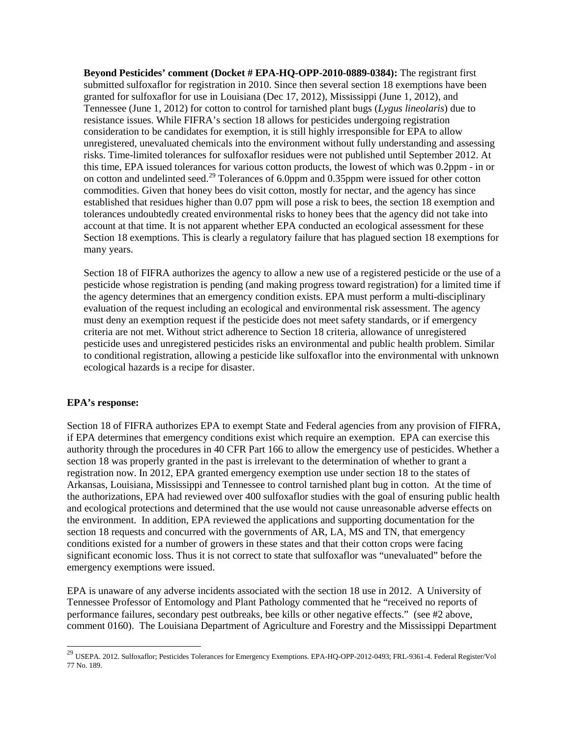**Beyond Pesticides' comment (Docket # EPA-HQ-OPP-2010-0889-0384):** The registrant first submitted sulfoxaflor for registration in 2010. Since then several section 18 exemptions have been granted for sulfoxaflor for use in Louisiana (Dec 17, 2012), Mississippi (June 1, 2012), and Tennessee (June 1, 2012) for cotton to control for tarnished plant bugs (*Lygus lineolaris*) due to resistance issues. While FIFRA's section 18 allows for pesticides undergoing registration consideration to be candidates for exemption, it is still highly irresponsible for EPA to allow unregistered, unevaluated chemicals into the environment without fully understanding and assessing risks. Time-limited tolerances for sulfoxaflor residues were not published until September 2012. At this time, EPA issued tolerances for various cotton products, the lowest of which was 0.2ppm - in or on cotton and undelinted seed.<sup>[29](#page-13-0)</sup> Tolerances of 6.0ppm and 0.35ppm were issued for other cotton commodities. Given that honey bees do visit cotton, mostly for nectar, and the agency has since established that residues higher than 0.07 ppm will pose a risk to bees, the section 18 exemption and tolerances undoubtedly created environmental risks to honey bees that the agency did not take into account at that time. It is not apparent whether EPA conducted an ecological assessment for these Section 18 exemptions. This is clearly a regulatory failure that has plagued section 18 exemptions for many years.

Section 18 of FIFRA authorizes the agency to allow a new use of a registered pesticide or the use of a pesticide whose registration is pending (and making progress toward registration) for a limited time if the agency determines that an emergency condition exists. EPA must perform a multi-disciplinary evaluation of the request including an ecological and environmental risk assessment. The agency must deny an exemption request if the pesticide does not meet safety standards, or if emergency criteria are not met. Without strict adherence to Section 18 criteria, allowance of unregistered pesticide uses and unregistered pesticides risks an environmental and public health problem. Similar to conditional registration, allowing a pesticide like sulfoxaflor into the environmental with unknown ecological hazards is a recipe for disaster.

### **EPA's response:**

Section 18 of FIFRA authorizes EPA to exempt State and Federal agencies from any provision of FIFRA, if EPA determines that emergency conditions exist which require an exemption. EPA can exercise this authority through the procedures in 40 CFR Part 166 to allow the emergency use of pesticides. Whether a section 18 was properly granted in the past is irrelevant to the determination of whether to grant a registration now. In 2012, EPA granted emergency exemption use under section 18 to the states of Arkansas, Louisiana, Mississippi and Tennessee to control tarnished plant bug in cotton. At the time of the authorizations, EPA had reviewed over 400 sulfoxaflor studies with the goal of ensuring public health and ecological protections and determined that the use would not cause unreasonable adverse effects on the environment. In addition, EPA reviewed the applications and supporting documentation for the section 18 requests and concurred with the governments of AR, LA, MS and TN, that emergency conditions existed for a number of growers in these states and that their cotton crops were facing significant economic loss. Thus it is not correct to state that sulfoxaflor was "unevaluated" before the emergency exemptions were issued.

EPA is unaware of any adverse incidents associated with the section 18 use in 2012. A University of Tennessee Professor of Entomology and Plant Pathology commented that he "received no reports of performance failures, secondary pest outbreaks, bee kills or other negative effects." (see #2 above, comment 0160). The Louisiana Department of Agriculture and Forestry and the Mississippi Department

<span id="page-13-0"></span><sup>&</sup>lt;sup>29</sup> USEPA. 2012. Sulfoxaflor; Pesticides Tolerances for Emergency Exemptions. EPA-HQ-OPP-2012-0493; FRL-9361-4. Federal Register/Vol 77 No. 189.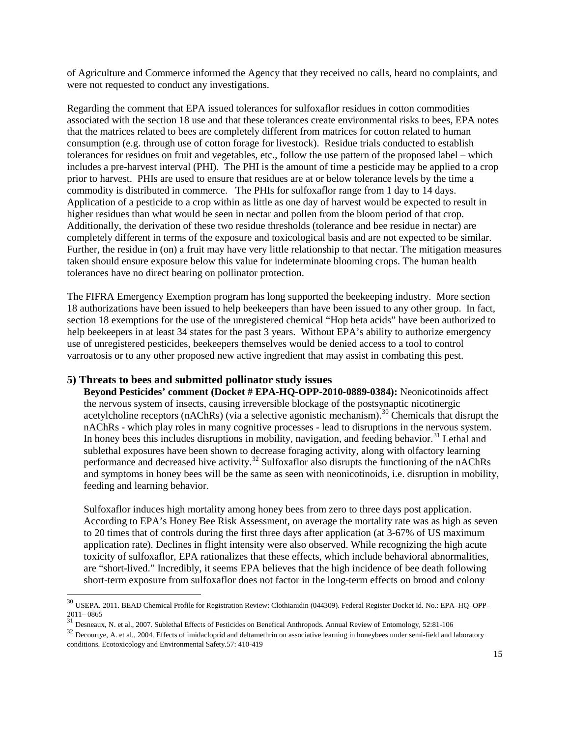of Agriculture and Commerce informed the Agency that they received no calls, heard no complaints, and were not requested to conduct any investigations.

Regarding the comment that EPA issued tolerances for sulfoxaflor residues in cotton commodities associated with the section 18 use and that these tolerances create environmental risks to bees, EPA notes that the matrices related to bees are completely different from matrices for cotton related to human consumption (e.g. through use of cotton forage for livestock). Residue trials conducted to establish tolerances for residues on fruit and vegetables, etc., follow the use pattern of the proposed label – which includes a pre-harvest interval (PHI). The PHI is the amount of time a pesticide may be applied to a crop prior to harvest. PHIs are used to ensure that residues are at or below tolerance levels by the time a commodity is distributed in commerce. The PHIs for sulfoxaflor range from 1 day to 14 days. Application of a pesticide to a crop within as little as one day of harvest would be expected to result in higher residues than what would be seen in nectar and pollen from the bloom period of that crop. Additionally, the derivation of these two residue thresholds (tolerance and bee residue in nectar) are completely different in terms of the exposure and toxicological basis and are not expected to be similar. Further, the residue in (on) a fruit may have very little relationship to that nectar. The mitigation measures taken should ensure exposure below this value for indeterminate blooming crops. The human health tolerances have no direct bearing on pollinator protection.

The FIFRA Emergency Exemption program has long supported the beekeeping industry. More section 18 authorizations have been issued to help beekeepers than have been issued to any other group. In fact, section 18 exemptions for the use of the unregistered chemical "Hop beta acids" have been authorized to help beekeepers in at least 34 states for the past 3 years. Without EPA's ability to authorize emergency use of unregistered pesticides, beekeepers themselves would be denied access to a tool to control varroatosis or to any other proposed new active ingredient that may assist in combating this pest.

#### **5) Threats to bees and submitted pollinator study issues**

**Beyond Pesticides' comment (Docket # EPA-HQ-OPP-2010-0889-0384):** Neonicotinoids affect the nervous system of insects, causing irreversible blockage of the postsynaptic nicotinergic acetylcholine receptors (nAChRs) (via a selective agonistic mechanism).<sup>[30](#page-14-0)</sup> Chemicals that disrupt the nAChRs - which play roles in many cognitive processes - lead to disruptions in the nervous system. In honey bees this includes disruptions in mobility, navigation, and feeding behavior.<sup>[31](#page-14-1)</sup> Lethal and sublethal exposures have been shown to decrease foraging activity, along with olfactory learning performance and decreased hive activity.<sup>[32](#page-14-2)</sup> Sulfoxaflor also disrupts the functioning of the nAChRs and symptoms in honey bees will be the same as seen with neonicotinoids, i.e. disruption in mobility, feeding and learning behavior.

Sulfoxaflor induces high mortality among honey bees from zero to three days post application. According to EPA's Honey Bee Risk Assessment, on average the mortality rate was as high as seven to 20 times that of controls during the first three days after application (at 3-67% of US maximum application rate). Declines in flight intensity were also observed. While recognizing the high acute toxicity of sulfoxaflor, EPA rationalizes that these effects, which include behavioral abnormalities, are "short-lived." Incredibly, it seems EPA believes that the high incidence of bee death following short-term exposure from sulfoxaflor does not factor in the long-term effects on brood and colony

<span id="page-14-0"></span> <sup>30</sup> USEPA. 2011. BEAD Chemical Profile for Registration Review: Clothianidin (044309). Federal Register Docket Id. No.: EPA–HQ–OPP– 2011–0865<br>
<sup>31</sup> Desneaux, N. et al., 2007. Sublethal Effects of Pesticides on Benefical Anthropods. Annual Review of Entomology, 52:81-106<br>
<sup>32</sup> Decourtye, A. et al., 2004. Effects of imidacloprid and deltamethrin on asso

<span id="page-14-1"></span>

<span id="page-14-2"></span>conditions. Ecotoxicology and Environmental Safety.57: 410-419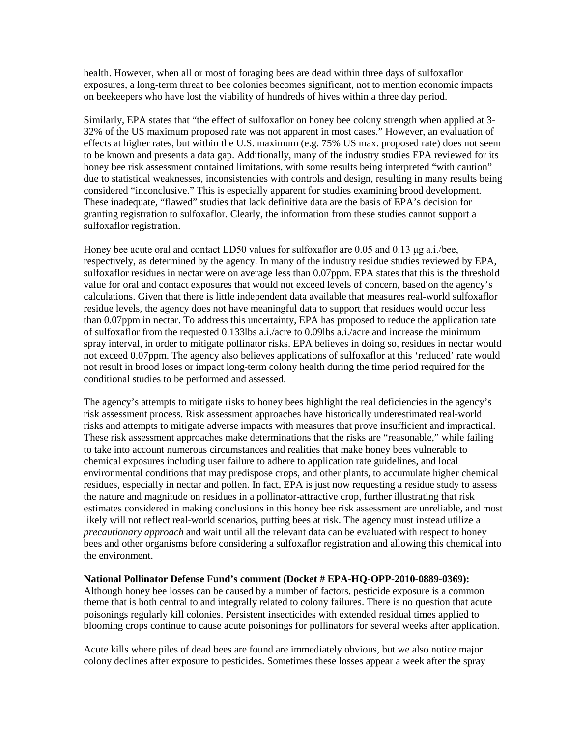health. However, when all or most of foraging bees are dead within three days of sulfoxaflor exposures, a long-term threat to bee colonies becomes significant, not to mention economic impacts on beekeepers who have lost the viability of hundreds of hives within a three day period.

Similarly, EPA states that "the effect of sulfoxaflor on honey bee colony strength when applied at 3- 32% of the US maximum proposed rate was not apparent in most cases." However, an evaluation of effects at higher rates, but within the U.S. maximum (e.g. 75% US max. proposed rate) does not seem to be known and presents a data gap. Additionally, many of the industry studies EPA reviewed for its honey bee risk assessment contained limitations, with some results being interpreted "with caution" due to statistical weaknesses, inconsistencies with controls and design, resulting in many results being considered "inconclusive." This is especially apparent for studies examining brood development. These inadequate, "flawed" studies that lack definitive data are the basis of EPA's decision for granting registration to sulfoxaflor. Clearly, the information from these studies cannot support a sulfoxaflor registration.

Honey bee acute oral and contact LD50 values for sulfoxaflor are 0.05 and 0.13 μg a.i./bee, respectively, as determined by the agency. In many of the industry residue studies reviewed by EPA, sulfoxaflor residues in nectar were on average less than 0.07ppm. EPA states that this is the threshold value for oral and contact exposures that would not exceed levels of concern, based on the agency's calculations. Given that there is little independent data available that measures real-world sulfoxaflor residue levels, the agency does not have meaningful data to support that residues would occur less than 0.07ppm in nectar. To address this uncertainty, EPA has proposed to reduce the application rate of sulfoxaflor from the requested 0.133lbs a.i./acre to 0.09lbs a.i./acre and increase the minimum spray interval, in order to mitigate pollinator risks. EPA believes in doing so, residues in nectar would not exceed 0.07ppm. The agency also believes applications of sulfoxaflor at this 'reduced' rate would not result in brood loses or impact long-term colony health during the time period required for the conditional studies to be performed and assessed.

The agency's attempts to mitigate risks to honey bees highlight the real deficiencies in the agency's risk assessment process. Risk assessment approaches have historically underestimated real-world risks and attempts to mitigate adverse impacts with measures that prove insufficient and impractical. These risk assessment approaches make determinations that the risks are "reasonable," while failing to take into account numerous circumstances and realities that make honey bees vulnerable to chemical exposures including user failure to adhere to application rate guidelines, and local environmental conditions that may predispose crops, and other plants, to accumulate higher chemical residues, especially in nectar and pollen. In fact, EPA is just now requesting a residue study to assess the nature and magnitude on residues in a pollinator-attractive crop, further illustrating that risk estimates considered in making conclusions in this honey bee risk assessment are unreliable, and most likely will not reflect real-world scenarios, putting bees at risk. The agency must instead utilize a *precautionary approach* and wait until all the relevant data can be evaluated with respect to honey bees and other organisms before considering a sulfoxaflor registration and allowing this chemical into the environment.

#### **National Pollinator Defense Fund's comment (Docket # EPA-HQ-OPP-2010-0889-0369):**

Although honey bee losses can be caused by a number of factors, pesticide exposure is a common theme that is both central to and integrally related to colony failures. There is no question that acute poisonings regularly kill colonies. Persistent insecticides with extended residual times applied to blooming crops continue to cause acute poisonings for pollinators for several weeks after application.

Acute kills where piles of dead bees are found are immediately obvious, but we also notice major colony declines after exposure to pesticides. Sometimes these losses appear a week after the spray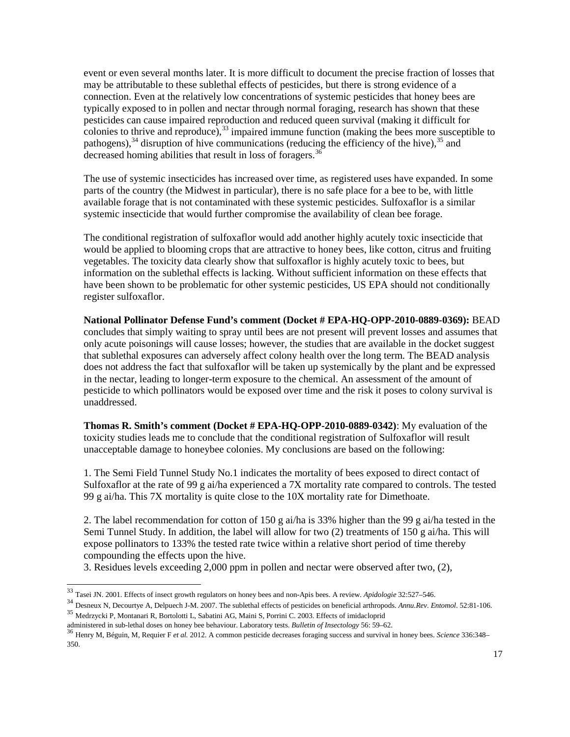event or even several months later. It is more difficult to document the precise fraction of losses that may be attributable to these sublethal effects of pesticides, but there is strong evidence of a connection. Even at the relatively low concentrations of systemic pesticides that honey bees are typically exposed to in pollen and nectar through normal foraging, research has shown that these pesticides can cause impaired reproduction and reduced queen survival (making it difficult for colonies to thrive and reproduce),<sup>[33](#page-16-0)</sup> impaired immune function (making the bees more susceptible to pathogens),  $34$  disruption of hive communications (reducing the efficiency of the hive),  $35$  and decreased homing abilities that result in loss of foragers.<sup>[36](#page-16-3)</sup>

The use of systemic insecticides has increased over time, as registered uses have expanded. In some parts of the country (the Midwest in particular), there is no safe place for a bee to be, with little available forage that is not contaminated with these systemic pesticides. Sulfoxaflor is a similar systemic insecticide that would further compromise the availability of clean bee forage.

The conditional registration of sulfoxaflor would add another highly acutely toxic insecticide that would be applied to blooming crops that are attractive to honey bees, like cotton, citrus and fruiting vegetables. The toxicity data clearly show that sulfoxaflor is highly acutely toxic to bees, but information on the sublethal effects is lacking. Without sufficient information on these effects that have been shown to be problematic for other systemic pesticides, US EPA should not conditionally register sulfoxaflor.

**National Pollinator Defense Fund's comment (Docket # EPA-HQ-OPP-2010-0889-0369):** BEAD concludes that simply waiting to spray until bees are not present will prevent losses and assumes that only acute poisonings will cause losses; however, the studies that are available in the docket suggest that sublethal exposures can adversely affect colony health over the long term. The BEAD analysis does not address the fact that sulfoxaflor will be taken up systemically by the plant and be expressed in the nectar, leading to longer-term exposure to the chemical. An assessment of the amount of pesticide to which pollinators would be exposed over time and the risk it poses to colony survival is unaddressed.

**Thomas R. Smith's comment (Docket # EPA-HQ-OPP-2010-0889-0342)**: My evaluation of the toxicity studies leads me to conclude that the conditional registration of Sulfoxaflor will result unacceptable damage to honeybee colonies. My conclusions are based on the following:

1. The Semi Field Tunnel Study No.1 indicates the mortality of bees exposed to direct contact of Sulfoxaflor at the rate of 99 g ai/ha experienced a 7X mortality rate compared to controls. The tested 99 g ai/ha. This 7X mortality is quite close to the 10X mortality rate for Dimethoate.

2. The label recommendation for cotton of 150 g ai/ha is 33% higher than the 99 g ai/ha tested in the Semi Tunnel Study. In addition, the label will allow for two (2) treatments of 150 g ai/ha. This will expose pollinators to 133% the tested rate twice within a relative short period of time thereby compounding the effects upon the hive.

3. Residues levels exceeding 2,000 ppm in pollen and nectar were observed after two, (2),

<span id="page-16-0"></span> <sup>33</sup> Tasei JN. 2001. Effects of insect growth regulators on honey bees and non-Apis bees. A review. *Apidologie* 32:527–546.

<span id="page-16-1"></span><sup>&</sup>lt;sup>34</sup> Desneux N, Decourtye A, Delpuech J-M. 2007. The sublethal effects of pesticides on beneficial arthropods. Annu. Rev. Entomol. 52:81-106.<br><sup>35</sup> Medrzycki P, Montanari R, Bortolotti L, Sabatini AG, Maini S, Porrini C. 20

<span id="page-16-3"></span><span id="page-16-2"></span>administered in sub-lethal doses on honey bee behaviour. Laboratory tests. *Bulletin of Insectology* 56: 59–62.<br><sup>36</sup> Henry M, Béguin, M, Requier F et al. 2012. A common pesticide decreases foraging success and survival in 350.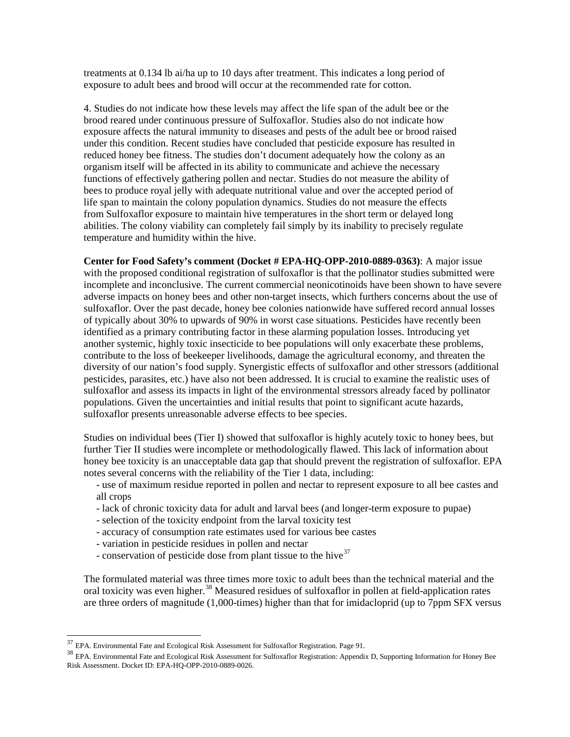treatments at 0.134 lb ai/ha up to 10 days after treatment. This indicates a long period of exposure to adult bees and brood will occur at the recommended rate for cotton.

4. Studies do not indicate how these levels may affect the life span of the adult bee or the brood reared under continuous pressure of Sulfoxaflor. Studies also do not indicate how exposure affects the natural immunity to diseases and pests of the adult bee or brood raised under this condition. Recent studies have concluded that pesticide exposure has resulted in reduced honey bee fitness. The studies don't document adequately how the colony as an organism itself will be affected in its ability to communicate and achieve the necessary functions of effectively gathering pollen and nectar. Studies do not measure the ability of bees to produce royal jelly with adequate nutritional value and over the accepted period of life span to maintain the colony population dynamics. Studies do not measure the effects from Sulfoxaflor exposure to maintain hive temperatures in the short term or delayed long abilities. The colony viability can completely fail simply by its inability to precisely regulate temperature and humidity within the hive.

**Center for Food Safety's comment (Docket # EPA-HQ-OPP-2010-0889-0363)**: A major issue with the proposed conditional registration of sulfoxaflor is that the pollinator studies submitted were incomplete and inconclusive. The current commercial neonicotinoids have been shown to have severe adverse impacts on honey bees and other non-target insects, which furthers concerns about the use of sulfoxaflor. Over the past decade, honey bee colonies nationwide have suffered record annual losses of typically about 30% to upwards of 90% in worst case situations. Pesticides have recently been identified as a primary contributing factor in these alarming population losses. Introducing yet another systemic, highly toxic insecticide to bee populations will only exacerbate these problems, contribute to the loss of beekeeper livelihoods, damage the agricultural economy, and threaten the diversity of our nation's food supply. Synergistic effects of sulfoxaflor and other stressors (additional pesticides, parasites, etc.) have also not been addressed. It is crucial to examine the realistic uses of sulfoxaflor and assess its impacts in light of the environmental stressors already faced by pollinator populations. Given the uncertainties and initial results that point to significant acute hazards, sulfoxaflor presents unreasonable adverse effects to bee species.

Studies on individual bees (Tier I) showed that sulfoxaflor is highly acutely toxic to honey bees, but further Tier II studies were incomplete or methodologically flawed. This lack of information about honey bee toxicity is an unacceptable data gap that should prevent the registration of sulfoxaflor. EPA notes several concerns with the reliability of the Tier 1 data, including:

- use of maximum residue reported in pollen and nectar to represent exposure to all bee castes and all crops
- lack of chronic toxicity data for adult and larval bees (and longer-term exposure to pupae)
- selection of the toxicity endpoint from the larval toxicity test
- accuracy of consumption rate estimates used for various bee castes
- variation in pesticide residues in pollen and nectar
- conservation of pesticide dose from plant tissue to the hive<sup>[37](#page-17-0)</sup>

The formulated material was three times more toxic to adult bees than the technical material and the oral toxicity was even higher.<sup>[38](#page-17-1)</sup> Measured residues of sulfoxaflor in pollen at field-application rates are three orders of magnitude (1,000-times) higher than that for imidacloprid (up to 7ppm SFX versus

<span id="page-17-1"></span><span id="page-17-0"></span> $^{37}$  EPA. Environmental Fate and Ecological Risk Assessment for Sulfoxaflor Registration. Page 91.<br><sup>38</sup> EPA. Environmental Fate and Ecological Risk Assessment for Sulfoxaflor Registration: Appendix D, Supporting Informa Risk Assessment. Docket ID: EPA-HQ-OPP-2010-0889-0026.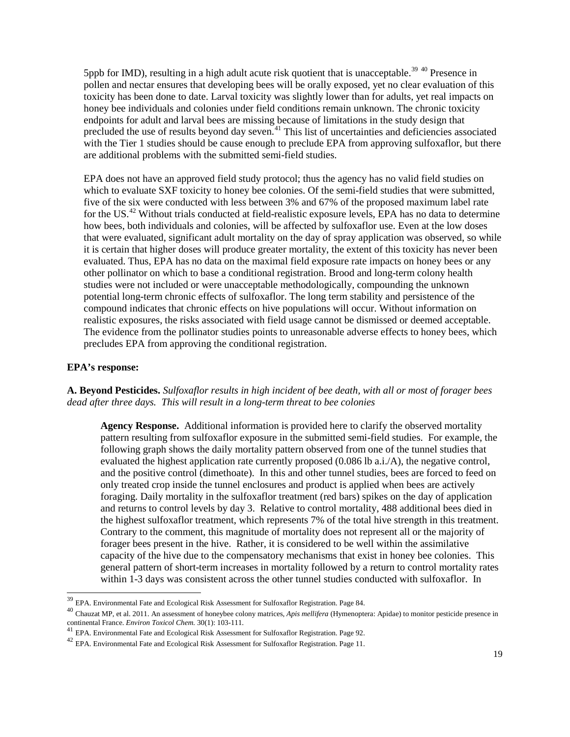5ppb for IMD), resulting in a high adult acute risk quotient that is unacceptable.<sup>[39](#page-18-0) [40](#page-18-1)</sup> Presence in pollen and nectar ensures that developing bees will be orally exposed, yet no clear evaluation of this toxicity has been done to date. Larval toxicity was slightly lower than for adults, yet real impacts on honey bee individuals and colonies under field conditions remain unknown. The chronic toxicity endpoints for adult and larval bees are missing because of limitations in the study design that precluded the use of results beyond day seven.<sup>[41](#page-18-2)</sup> This list of uncertainties and deficiencies associated with the Tier 1 studies should be cause enough to preclude EPA from approving sulfoxaflor, but there are additional problems with the submitted semi-field studies.

EPA does not have an approved field study protocol; thus the agency has no valid field studies on which to evaluate SXF toxicity to honey bee colonies. Of the semi-field studies that were submitted, five of the six were conducted with less between 3% and 67% of the proposed maximum label rate for the US.<sup>[42](#page-18-3)</sup> Without trials conducted at field-realistic exposure levels, EPA has no data to determine how bees, both individuals and colonies, will be affected by sulfoxaflor use. Even at the low doses that were evaluated, significant adult mortality on the day of spray application was observed, so while it is certain that higher doses will produce greater mortality, the extent of this toxicity has never been evaluated. Thus, EPA has no data on the maximal field exposure rate impacts on honey bees or any other pollinator on which to base a conditional registration. Brood and long-term colony health studies were not included or were unacceptable methodologically, compounding the unknown potential long-term chronic effects of sulfoxaflor. The long term stability and persistence of the compound indicates that chronic effects on hive populations will occur. Without information on realistic exposures, the risks associated with field usage cannot be dismissed or deemed acceptable. The evidence from the pollinator studies points to unreasonable adverse effects to honey bees, which precludes EPA from approving the conditional registration.

#### **EPA's response:**

**A. Beyond Pesticides.** *Sulfoxaflor results in high incident of bee death, with all or most of forager bees dead after three days. This will result in a long-term threat to bee colonies*

**Agency Response.** Additional information is provided here to clarify the observed mortality pattern resulting from sulfoxaflor exposure in the submitted semi-field studies. For example, the following graph shows the daily mortality pattern observed from one of the tunnel studies that evaluated the highest application rate currently proposed (0.086 lb a.i./A), the negative control, and the positive control (dimethoate). In this and other tunnel studies, bees are forced to feed on only treated crop inside the tunnel enclosures and product is applied when bees are actively foraging. Daily mortality in the sulfoxaflor treatment (red bars) spikes on the day of application and returns to control levels by day 3. Relative to control mortality, 488 additional bees died in the highest sulfoxaflor treatment, which represents 7% of the total hive strength in this treatment. Contrary to the comment, this magnitude of mortality does not represent all or the majority of forager bees present in the hive. Rather, it is considered to be well within the assimilative capacity of the hive due to the compensatory mechanisms that exist in honey bee colonies. This general pattern of short-term increases in mortality followed by a return to control mortality rates within 1-3 days was consistent across the other tunnel studies conducted with sulfoxaflor. In

<span id="page-18-1"></span><span id="page-18-0"></span><sup>&</sup>lt;sup>39</sup> EPA. Environmental Fate and Ecological Risk Assessment for Sulfoxaflor Registration. Page 84.<br><sup>40</sup> Chauzat MP, et al. 2011. An assessment of honeybee colony matrices, *Apis mellifera* (Hymenoptera: Apidae) to monitor continental France. *Environ Toxicol Chem.* 30(1): 103-111.<br><sup>41</sup> EPA. Environmental Fate and Ecological Risk Assessment for Sulfoxaflor Registration. Page 92.<br><sup>42</sup> EPA. Environmental Fate and Ecological Risk Assessment for

<span id="page-18-3"></span><span id="page-18-2"></span>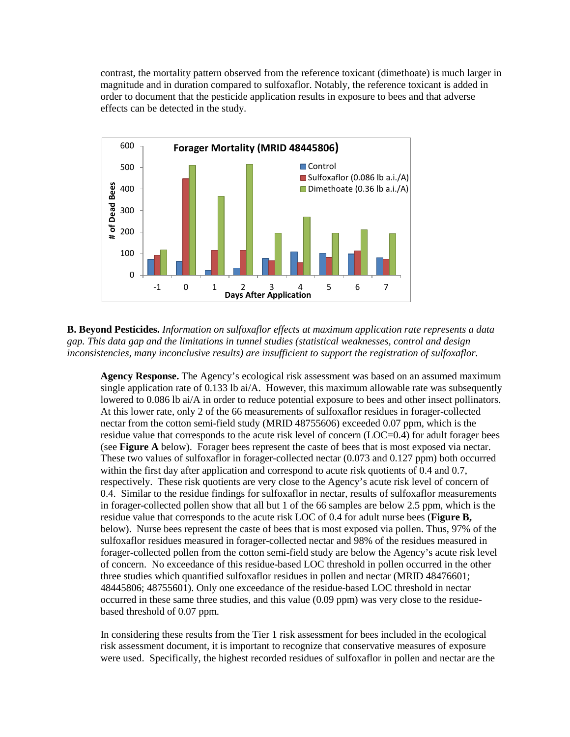contrast, the mortality pattern observed from the reference toxicant (dimethoate) is much larger in magnitude and in duration compared to sulfoxaflor. Notably, the reference toxicant is added in order to document that the pesticide application results in exposure to bees and that adverse effects can be detected in the study.



**B. Beyond Pesticides.** *Information on sulfoxaflor effects at maximum application rate represents a data gap. This data gap and the limitations in tunnel studies (statistical weaknesses, control and design inconsistencies, many inconclusive results) are insufficient to support the registration of sulfoxaflor.*

**Agency Response.** The Agency's ecological risk assessment was based on an assumed maximum single application rate of 0.133 lb ai/A. However, this maximum allowable rate was subsequently lowered to 0.086 lb ai/A in order to reduce potential exposure to bees and other insect pollinators. At this lower rate, only 2 of the 66 measurements of sulfoxaflor residues in forager-collected nectar from the cotton semi-field study (MRID 48755606) exceeded 0.07 ppm, which is the residue value that corresponds to the acute risk level of concern (LOC=0.4) for adult forager bees (see **Figure A** below). Forager bees represent the caste of bees that is most exposed via nectar. These two values of sulfoxaflor in forager-collected nectar (0.073 and 0.127 ppm) both occurred within the first day after application and correspond to acute risk quotients of 0.4 and 0.7, respectively. These risk quotients are very close to the Agency's acute risk level of concern of 0.4. Similar to the residue findings for sulfoxaflor in nectar, results of sulfoxaflor measurements in forager-collected pollen show that all but 1 of the 66 samples are below 2.5 ppm, which is the residue value that corresponds to the acute risk LOC of 0.4 for adult nurse bees (**Figure B,**  below). Nurse bees represent the caste of bees that is most exposed via pollen. Thus, 97% of the sulfoxaflor residues measured in forager-collected nectar and 98% of the residues measured in forager-collected pollen from the cotton semi-field study are below the Agency's acute risk level of concern. No exceedance of this residue-based LOC threshold in pollen occurred in the other three studies which quantified sulfoxaflor residues in pollen and nectar (MRID 48476601; 48445806; 48755601). Only one exceedance of the residue-based LOC threshold in nectar occurred in these same three studies, and this value (0.09 ppm) was very close to the residuebased threshold of 0.07 ppm.

In considering these results from the Tier 1 risk assessment for bees included in the ecological risk assessment document, it is important to recognize that conservative measures of exposure were used. Specifically, the highest recorded residues of sulfoxaflor in pollen and nectar are the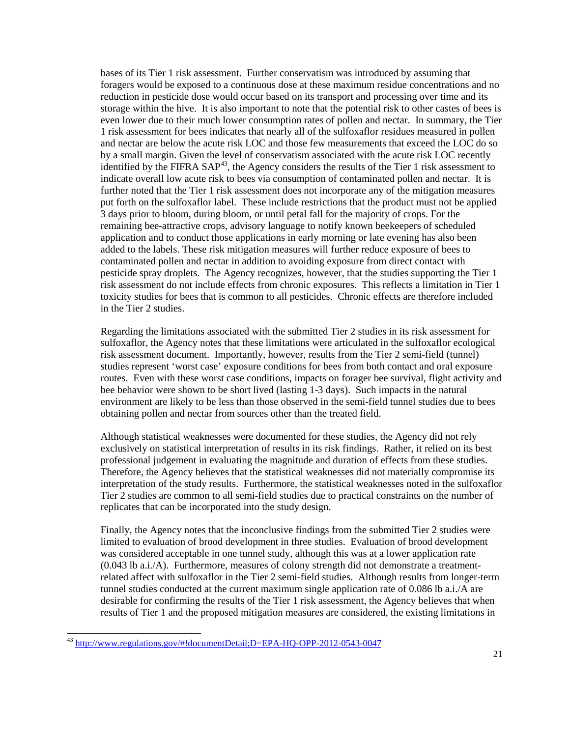bases of its Tier 1 risk assessment. Further conservatism was introduced by assuming that foragers would be exposed to a continuous dose at these maximum residue concentrations and no reduction in pesticide dose would occur based on its transport and processing over time and its storage within the hive. It is also important to note that the potential risk to other castes of bees is even lower due to their much lower consumption rates of pollen and nectar. In summary, the Tier 1 risk assessment for bees indicates that nearly all of the sulfoxaflor residues measured in pollen and nectar are below the acute risk LOC and those few measurements that exceed the LOC do so by a small margin. Given the level of conservatism associated with the acute risk LOC recently identified by the FIFRA SAP<sup>[43](#page-20-0)</sup>, the Agency considers the results of the Tier 1 risk assessment to indicate overall low acute risk to bees via consumption of contaminated pollen and nectar. It is further noted that the Tier 1 risk assessment does not incorporate any of the mitigation measures put forth on the sulfoxaflor label. These include restrictions that the product must not be applied 3 days prior to bloom, during bloom, or until petal fall for the majority of crops. For the remaining bee-attractive crops, advisory language to notify known beekeepers of scheduled application and to conduct those applications in early morning or late evening has also been added to the labels. These risk mitigation measures will further reduce exposure of bees to contaminated pollen and nectar in addition to avoiding exposure from direct contact with pesticide spray droplets. The Agency recognizes, however, that the studies supporting the Tier 1 risk assessment do not include effects from chronic exposures. This reflects a limitation in Tier 1 toxicity studies for bees that is common to all pesticides. Chronic effects are therefore included in the Tier 2 studies.

Regarding the limitations associated with the submitted Tier 2 studies in its risk assessment for sulfoxaflor, the Agency notes that these limitations were articulated in the sulfoxaflor ecological risk assessment document. Importantly, however, results from the Tier 2 semi-field (tunnel) studies represent 'worst case' exposure conditions for bees from both contact and oral exposure routes. Even with these worst case conditions, impacts on forager bee survival, flight activity and bee behavior were shown to be short lived (lasting 1-3 days). Such impacts in the natural environment are likely to be less than those observed in the semi-field tunnel studies due to bees obtaining pollen and nectar from sources other than the treated field.

Although statistical weaknesses were documented for these studies, the Agency did not rely exclusively on statistical interpretation of results in its risk findings. Rather, it relied on its best professional judgement in evaluating the magnitude and duration of effects from these studies. Therefore, the Agency believes that the statistical weaknesses did not materially compromise its interpretation of the study results. Furthermore, the statistical weaknesses noted in the sulfoxaflor Tier 2 studies are common to all semi-field studies due to practical constraints on the number of replicates that can be incorporated into the study design.

Finally, the Agency notes that the inconclusive findings from the submitted Tier 2 studies were limited to evaluation of brood development in three studies. Evaluation of brood development was considered acceptable in one tunnel study, although this was at a lower application rate (0.043 lb a.i./A). Furthermore, measures of colony strength did not demonstrate a treatmentrelated affect with sulfoxaflor in the Tier 2 semi-field studies. Although results from longer-term tunnel studies conducted at the current maximum single application rate of 0.086 lb a.i./A are desirable for confirming the results of the Tier 1 risk assessment, the Agency believes that when results of Tier 1 and the proposed mitigation measures are considered, the existing limitations in

<span id="page-20-0"></span> <sup>43</sup> <http://www.regulations.gov/#!documentDetail;D=EPA-HQ-OPP-2012-0543-0047>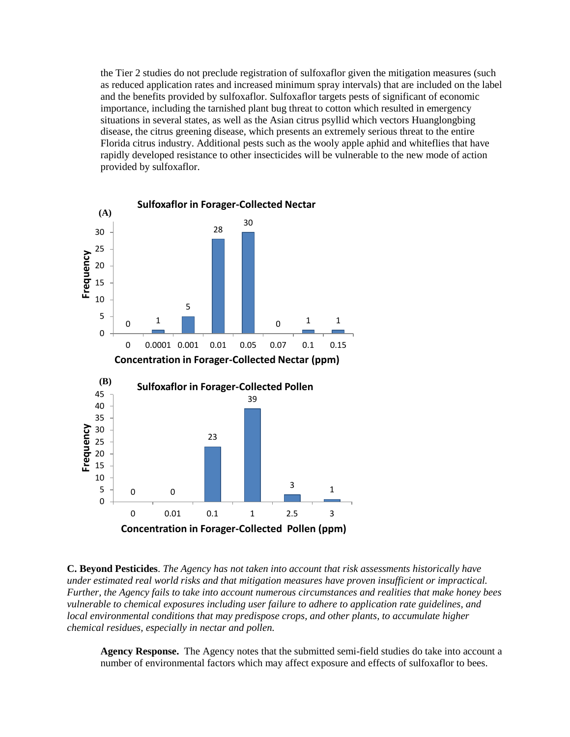the Tier 2 studies do not preclude registration of sulfoxaflor given the mitigation measures (such as reduced application rates and increased minimum spray intervals) that are included on the label and the benefits provided by sulfoxaflor. Sulfoxaflor targets pests of significant of economic importance, including the tarnished plant bug threat to cotton which resulted in emergency situations in several states, as well as the Asian citrus psyllid which vectors Huanglongbing disease, the citrus greening disease, which presents an extremely serious threat to the entire Florida citrus industry. Additional pests such as the wooly apple aphid and whiteflies that have rapidly developed resistance to other insecticides will be vulnerable to the new mode of action provided by sulfoxaflor.



**C. Beyond Pesticides**. *The Agency has not taken into account that risk assessments historically have under estimated real world risks and that mitigation measures have proven insufficient or impractical. Further, the Agency fails to take into account numerous circumstances and realities that make honey bees vulnerable to chemical exposures including user failure to adhere to application rate guidelines, and local environmental conditions that may predispose crops, and other plants, to accumulate higher chemical residues, especially in nectar and pollen.*

**Agency Response.** The Agency notes that the submitted semi-field studies do take into account a number of environmental factors which may affect exposure and effects of sulfoxaflor to bees.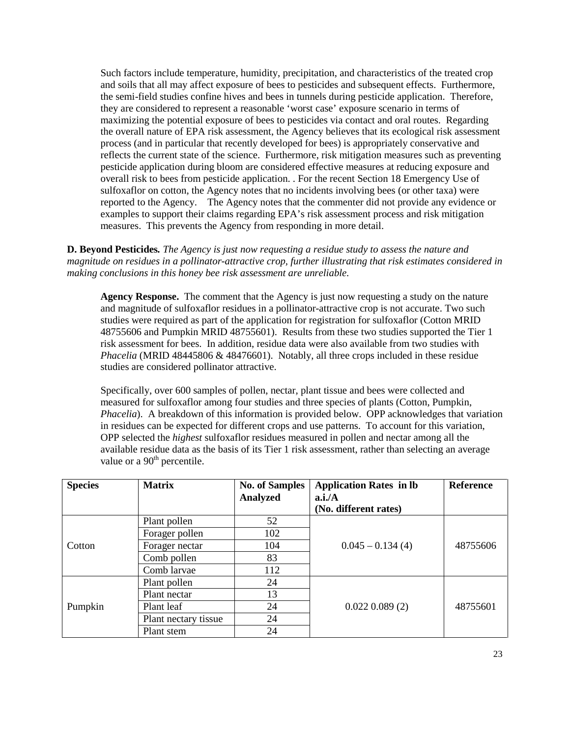Such factors include temperature, humidity, precipitation, and characteristics of the treated crop and soils that all may affect exposure of bees to pesticides and subsequent effects. Furthermore, the semi-field studies confine hives and bees in tunnels during pesticide application. Therefore, they are considered to represent a reasonable 'worst case' exposure scenario in terms of maximizing the potential exposure of bees to pesticides via contact and oral routes. Regarding the overall nature of EPA risk assessment, the Agency believes that its ecological risk assessment process (and in particular that recently developed for bees) is appropriately conservative and reflects the current state of the science. Furthermore, risk mitigation measures such as preventing pesticide application during bloom are considered effective measures at reducing exposure and overall risk to bees from pesticide application. . For the recent Section 18 Emergency Use of sulfoxaflor on cotton, the Agency notes that no incidents involving bees (or other taxa) were reported to the Agency. The Agency notes that the commenter did not provide any evidence or examples to support their claims regarding EPA's risk assessment process and risk mitigation measures. This prevents the Agency from responding in more detail.

**D. Beyond Pesticides***. The Agency is just now requesting a residue study to assess the nature and magnitude on residues in a pollinator-attractive crop, further illustrating that risk estimates considered in making conclusions in this honey bee risk assessment are unreliable.*

**Agency Response.** The comment that the Agency is just now requesting a study on the nature and magnitude of sulfoxaflor residues in a pollinator-attractive crop is not accurate. Two such studies were required as part of the application for registration for sulfoxaflor (Cotton MRID 48755606 and Pumpkin MRID 48755601). Results from these two studies supported the Tier 1 risk assessment for bees. In addition, residue data were also available from two studies with *Phacelia* (MRID 48445806 & 48476601). Notably, all three crops included in these residue studies are considered pollinator attractive.

Specifically, over 600 samples of pollen, nectar, plant tissue and bees were collected and measured for sulfoxaflor among four studies and three species of plants (Cotton, Pumpkin, *Phacelia*). A breakdown of this information is provided below. OPP acknowledges that variation in residues can be expected for different crops and use patterns. To account for this variation, OPP selected the *highest* sulfoxaflor residues measured in pollen and nectar among all the available residue data as the basis of its Tier 1 risk assessment, rather than selecting an average value or a  $90<sup>th</sup>$  percentile.

| <b>Species</b> | <b>Matrix</b>        | <b>No. of Samples</b><br><b>Analyzed</b> | <b>Application Rates in lb</b><br>a.i.A<br>(No. different rates) | Reference |
|----------------|----------------------|------------------------------------------|------------------------------------------------------------------|-----------|
| Cotton         | Plant pollen         | 52                                       |                                                                  |           |
|                | Forager pollen       | 102                                      |                                                                  |           |
|                | Forager nectar       | 104                                      | $0.045 - 0.134(4)$                                               | 48755606  |
|                | Comb pollen          | 83                                       |                                                                  |           |
|                | Comb larvae          | 112                                      |                                                                  |           |
| Pumpkin        | Plant pollen         | 24                                       |                                                                  |           |
|                | Plant nectar         | 13                                       |                                                                  |           |
|                | Plant leaf           | 24                                       | $0.022$ $0.089$ $(2)$                                            | 48755601  |
|                | Plant nectary tissue | 24                                       |                                                                  |           |
|                | Plant stem           | 24                                       |                                                                  |           |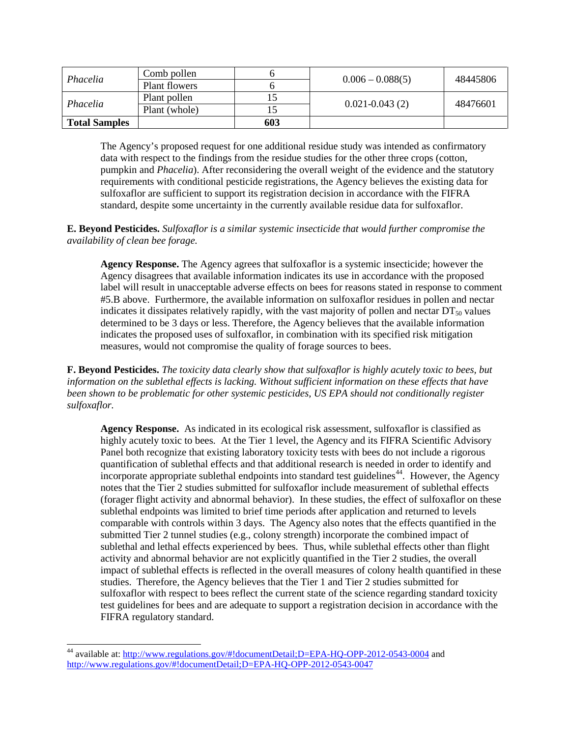| Phacelia             | Comb pollen   |     | $0.006 - 0.088(5)$ | 48445806 |
|----------------------|---------------|-----|--------------------|----------|
|                      | Plant flowers |     |                    |          |
| Phacelia             | Plant pollen  |     | $0.021 - 0.043(2)$ | 48476601 |
|                      | Plant (whole) |     |                    |          |
| <b>Total Samples</b> |               | 603 |                    |          |

The Agency's proposed request for one additional residue study was intended as confirmatory data with respect to the findings from the residue studies for the other three crops (cotton, pumpkin and *Phacelia*). After reconsidering the overall weight of the evidence and the statutory requirements with conditional pesticide registrations, the Agency believes the existing data for sulfoxaflor are sufficient to support its registration decision in accordance with the FIFRA standard, despite some uncertainty in the currently available residue data for sulfoxaflor.

**E. Beyond Pesticides.** *Sulfoxaflor is a similar systemic insecticide that would further compromise the availability of clean bee forage.*

**Agency Response.** The Agency agrees that sulfoxaflor is a systemic insecticide; however the Agency disagrees that available information indicates its use in accordance with the proposed label will result in unacceptable adverse effects on bees for reasons stated in response to comment #5.B above. Furthermore, the available information on sulfoxaflor residues in pollen and nectar indicates it dissipates relatively rapidly, with the vast majority of pollen and nectar  $DT_{50}$  values determined to be 3 days or less. Therefore, the Agency believes that the available information indicates the proposed uses of sulfoxaflor, in combination with its specified risk mitigation measures, would not compromise the quality of forage sources to bees.

**F. Beyond Pesticides.** *The toxicity data clearly show that sulfoxaflor is highly acutely toxic to bees, but information on the sublethal effects is lacking. Without sufficient information on these effects that have been shown to be problematic for other systemic pesticides, US EPA should not conditionally register sulfoxaflor.*

**Agency Response.** As indicated in its ecological risk assessment, sulfoxaflor is classified as highly acutely toxic to bees. At the Tier 1 level, the Agency and its FIFRA Scientific Advisory Panel both recognize that existing laboratory toxicity tests with bees do not include a rigorous quantification of sublethal effects and that additional research is needed in order to identify and incorporate appropriate sublethal endpoints into standard test guidelines<sup>[44](#page-23-0)</sup>. However, the Agency notes that the Tier 2 studies submitted for sulfoxaflor include measurement of sublethal effects (forager flight activity and abnormal behavior). In these studies, the effect of sulfoxaflor on these sublethal endpoints was limited to brief time periods after application and returned to levels comparable with controls within 3 days. The Agency also notes that the effects quantified in the submitted Tier 2 tunnel studies (e.g., colony strength) incorporate the combined impact of sublethal and lethal effects experienced by bees. Thus, while sublethal effects other than flight activity and abnormal behavior are not explicitly quantified in the Tier 2 studies, the overall impact of sublethal effects is reflected in the overall measures of colony health quantified in these studies. Therefore, the Agency believes that the Tier 1 and Tier 2 studies submitted for sulfoxaflor with respect to bees reflect the current state of the science regarding standard toxicity test guidelines for bees and are adequate to support a registration decision in accordance with the FIFRA regulatory standard.

<span id="page-23-0"></span><sup>&</sup>lt;sup>44</sup> available at:<http://www.regulations.gov/#!documentDetail;D=EPA-HQ-OPP-2012-0543-0004> and <http://www.regulations.gov/#!documentDetail;D=EPA-HQ-OPP-2012-0543-0047>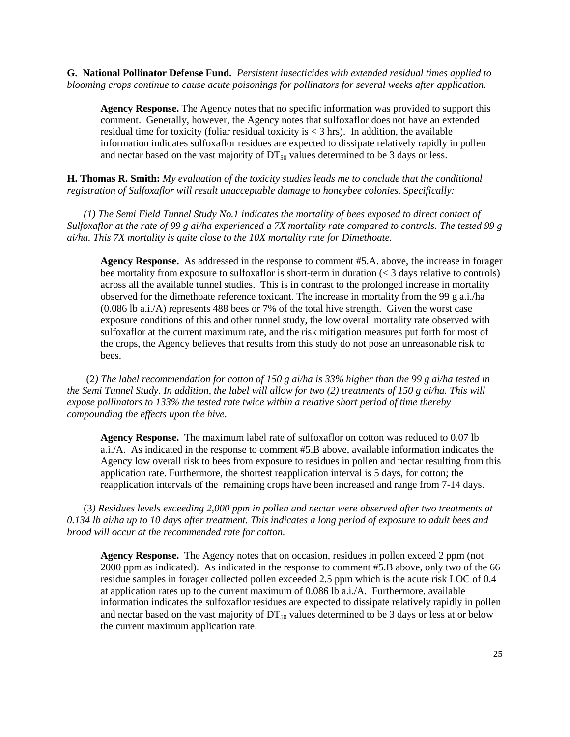**G. National Pollinator Defense Fund.** *Persistent insecticides with extended residual times applied to blooming crops continue to cause acute poisonings for pollinators for several weeks after application.*

**Agency Response.** The Agency notes that no specific information was provided to support this comment. Generally, however, the Agency notes that sulfoxaflor does not have an extended residual time for toxicity (foliar residual toxicity is  $<$  3 hrs). In addition, the available information indicates sulfoxaflor residues are expected to dissipate relatively rapidly in pollen and nectar based on the vast majority of  $DT_{50}$  values determined to be 3 days or less.

**H. Thomas R. Smith:** *My evaluation of the toxicity studies leads me to conclude that the conditional registration of Sulfoxaflor will result unacceptable damage to honeybee colonies. Specifically:*

*(1) The Semi Field Tunnel Study No.1 indicates the mortality of bees exposed to direct contact of Sulfoxaflor at the rate of 99 g ai/ha experienced a 7X mortality rate compared to controls. The tested 99 g ai/ha. This 7X mortality is quite close to the 10X mortality rate for Dimethoate.*

**Agency Response.** As addressed in the response to comment #5.A. above, the increase in forager bee mortality from exposure to sulfoxaflor is short-term in duration (< 3 days relative to controls) across all the available tunnel studies. This is in contrast to the prolonged increase in mortality observed for the dimethoate reference toxicant. The increase in mortality from the 99 g a.i./ha (0.086 lb a.i./A) represents 488 bees or 7% of the total hive strength. Given the worst case exposure conditions of this and other tunnel study, the low overall mortality rate observed with sulfoxaflor at the current maximum rate, and the risk mitigation measures put forth for most of the crops, the Agency believes that results from this study do not pose an unreasonable risk to bees.

(2*) The label recommendation for cotton of 150 g ai/ha is 33% higher than the 99 g ai/ha tested in the Semi Tunnel Study. In addition, the label will allow for two (2) treatments of 150 g ai/ha. This will expose pollinators to 133% the tested rate twice within a relative short period of time thereby compounding the effects upon the hive*.

**Agency Response.** The maximum label rate of sulfoxaflor on cotton was reduced to 0.07 lb a.i./A. As indicated in the response to comment #5.B above, available information indicates the Agency low overall risk to bees from exposure to residues in pollen and nectar resulting from this application rate. Furthermore, the shortest reapplication interval is 5 days, for cotton; the reapplication intervals of the remaining crops have been increased and range from 7-14 days.

(3*) Residues levels exceeding 2,000 ppm in pollen and nectar were observed after two treatments at 0.134 lb ai/ha up to 10 days after treatment. This indicates a long period of exposure to adult bees and brood will occur at the recommended rate for cotton.*

**Agency Response.** The Agency notes that on occasion, residues in pollen exceed 2 ppm (not 2000 ppm as indicated). As indicated in the response to comment #5.B above, only two of the 66 residue samples in forager collected pollen exceeded 2.5 ppm which is the acute risk LOC of 0.4 at application rates up to the current maximum of 0.086 lb a.i./A. Furthermore, available information indicates the sulfoxaflor residues are expected to dissipate relatively rapidly in pollen and nectar based on the vast majority of  $DT_{50}$  values determined to be 3 days or less at or below the current maximum application rate.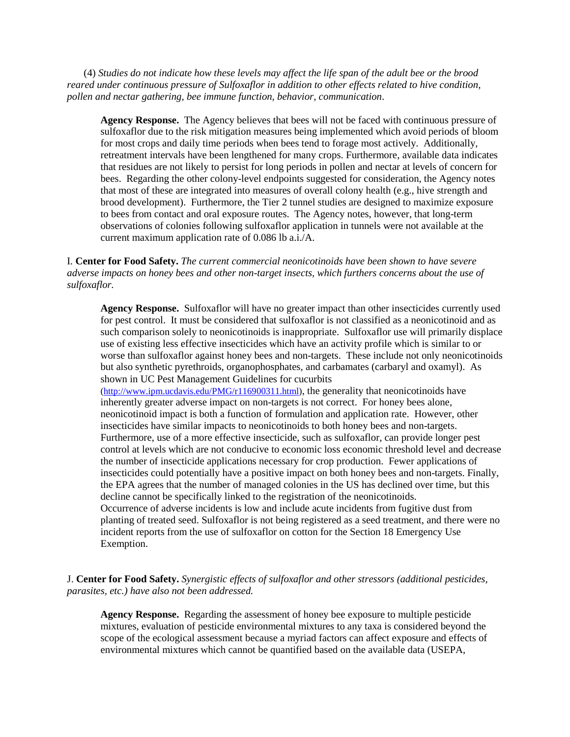(4) *Studies do not indicate how these levels may affect the life span of the adult bee or the brood reared under continuous pressure of Sulfoxaflor in addition to other effects related to hive condition, pollen and nectar gathering, bee immune function, behavior, communication*.

**Agency Response.** The Agency believes that bees will not be faced with continuous pressure of sulfoxaflor due to the risk mitigation measures being implemented which avoid periods of bloom for most crops and daily time periods when bees tend to forage most actively. Additionally, retreatment intervals have been lengthened for many crops. Furthermore, available data indicates that residues are not likely to persist for long periods in pollen and nectar at levels of concern for bees. Regarding the other colony-level endpoints suggested for consideration, the Agency notes that most of these are integrated into measures of overall colony health (e.g., hive strength and brood development). Furthermore, the Tier 2 tunnel studies are designed to maximize exposure to bees from contact and oral exposure routes. The Agency notes, however, that long-term observations of colonies following sulfoxaflor application in tunnels were not available at the current maximum application rate of 0.086 lb a.i./A.

I. **Center for Food Safety.** *The current commercial neonicotinoids have been shown to have severe adverse impacts on honey bees and other non-target insects, which furthers concerns about the use of sulfoxaflor.* 

**Agency Response.** Sulfoxaflor will have no greater impact than other insecticides currently used for pest control. It must be considered that sulfoxaflor is not classified as a neonicotinoid and as such comparison solely to neonicotinoids is inappropriate. Sulfoxaflor use will primarily displace use of existing less effective insecticides which have an activity profile which is similar to or worse than sulfoxaflor against honey bees and non-targets. These include not only neonicotinoids but also synthetic pyrethroids, organophosphates, and carbamates (carbaryl and oxamyl). As shown in UC Pest Management Guidelines for cucurbits

 $(\text{http://www.ipm.ucdavis.edu/PMG/r116900311.html})$ , the generality that neonicotinoids have inherently greater adverse impact on non-targets is not correct. For honey bees alone, neonicotinoid impact is both a function of formulation and application rate. However, other insecticides have similar impacts to neonicotinoids to both honey bees and non-targets. Furthermore, use of a more effective insecticide, such as sulfoxaflor, can provide longer pest control at levels which are not conducive to economic loss economic threshold level and decrease the number of insecticide applications necessary for crop production. Fewer applications of insecticides could potentially have a positive impact on both honey bees and non-targets. Finally, the EPA agrees that the number of managed colonies in the US has declined over time, but this decline cannot be specifically linked to the registration of the neonicotinoids. Occurrence of adverse incidents is low and include acute incidents from fugitive dust from planting of treated seed. Sulfoxaflor is not being registered as a seed treatment, and there were no incident reports from the use of sulfoxaflor on cotton for the Section 18 Emergency Use

J. **Center for Food Safety.** *Synergistic effects of sulfoxaflor and other stressors (additional pesticides, parasites, etc.) have also not been addressed.*

Exemption.

**Agency Response.** Regarding the assessment of honey bee exposure to multiple pesticide mixtures, evaluation of pesticide environmental mixtures to any taxa is considered beyond the scope of the ecological assessment because a myriad factors can affect exposure and effects of environmental mixtures which cannot be quantified based on the available data (USEPA,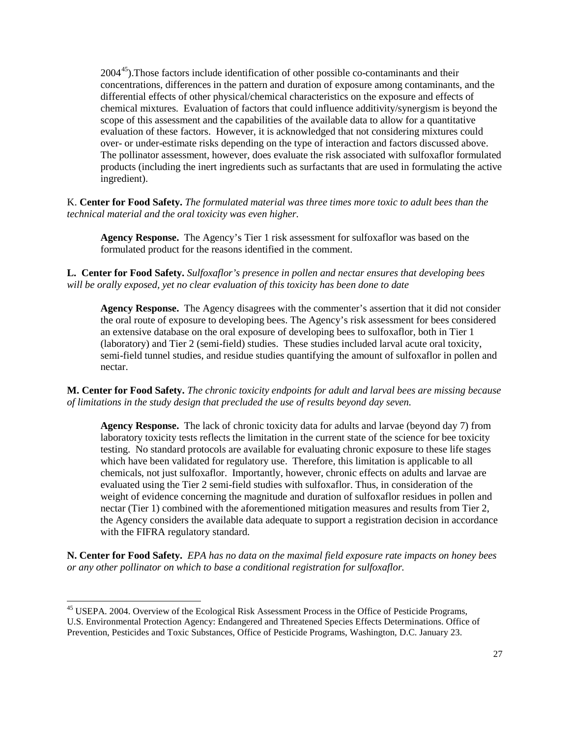$2004<sup>45</sup>$ ). Those factors include identification of other possible co-contaminants and their concentrations, differences in the pattern and duration of exposure among contaminants, and the differential effects of other physical/chemical characteristics on the exposure and effects of chemical mixtures. Evaluation of factors that could influence additivity/synergism is beyond the scope of this assessment and the capabilities of the available data to allow for a quantitative evaluation of these factors. However, it is acknowledged that not considering mixtures could over- or under-estimate risks depending on the type of interaction and factors discussed above. The pollinator assessment, however, does evaluate the risk associated with sulfoxaflor formulated products (including the inert ingredients such as surfactants that are used in formulating the active ingredient).

K. **Center for Food Safety.** *The formulated material was three times more toxic to adult bees than the technical material and the oral toxicity was even higher.*

**Agency Response.** The Agency's Tier 1 risk assessment for sulfoxaflor was based on the formulated product for the reasons identified in the comment.

**L. Center for Food Safety.** *Sulfoxaflor's presence in pollen and nectar ensures that developing bees will be orally exposed, yet no clear evaluation of this toxicity has been done to date*

**Agency Response.** The Agency disagrees with the commenter's assertion that it did not consider the oral route of exposure to developing bees. The Agency's risk assessment for bees considered an extensive database on the oral exposure of developing bees to sulfoxaflor, both in Tier 1 (laboratory) and Tier 2 (semi-field) studies. These studies included larval acute oral toxicity, semi-field tunnel studies, and residue studies quantifying the amount of sulfoxaflor in pollen and nectar.

**M. Center for Food Safety.** *The chronic toxicity endpoints for adult and larval bees are missing because of limitations in the study design that precluded the use of results beyond day seven.*

**Agency Response.** The lack of chronic toxicity data for adults and larvae (beyond day 7) from laboratory toxicity tests reflects the limitation in the current state of the science for bee toxicity testing. No standard protocols are available for evaluating chronic exposure to these life stages which have been validated for regulatory use. Therefore, this limitation is applicable to all chemicals, not just sulfoxaflor. Importantly, however, chronic effects on adults and larvae are evaluated using the Tier 2 semi-field studies with sulfoxaflor. Thus, in consideration of the weight of evidence concerning the magnitude and duration of sulfoxaflor residues in pollen and nectar (Tier 1) combined with the aforementioned mitigation measures and results from Tier 2, the Agency considers the available data adequate to support a registration decision in accordance with the FIFRA regulatory standard.

**N. Center for Food Safety.** *EPA has no data on the maximal field exposure rate impacts on honey bees or any other pollinator on which to base a conditional registration for sulfoxaflor.*

<span id="page-26-0"></span><sup>&</sup>lt;sup>45</sup> USEPA. 2004. Overview of the Ecological Risk Assessment Process in the Office of Pesticide Programs, U.S. Environmental Protection Agency: Endangered and Threatened Species Effects Determinations. Office of Prevention, Pesticides and Toxic Substances, Office of Pesticide Programs, Washington, D.C. January 23.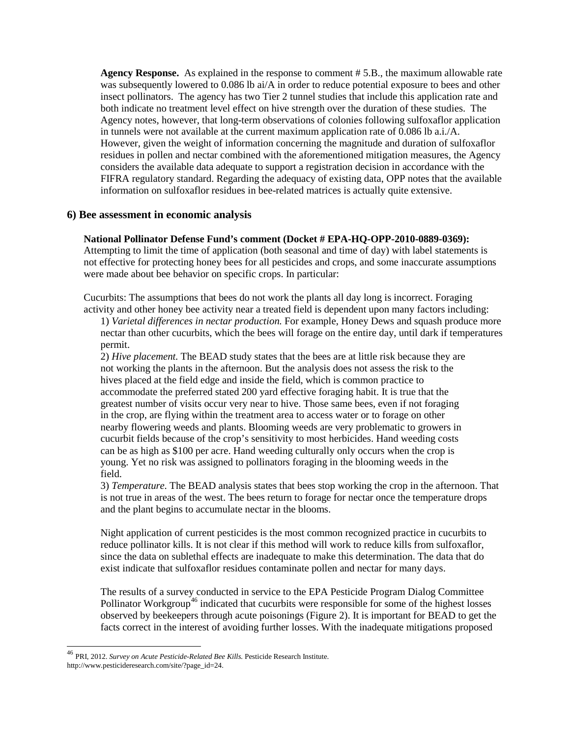**Agency Response.** As explained in the response to comment # 5.B., the maximum allowable rate was subsequently lowered to 0.086 lb ai/A in order to reduce potential exposure to bees and other insect pollinators. The agency has two Tier 2 tunnel studies that include this application rate and both indicate no treatment level effect on hive strength over the duration of these studies. The Agency notes, however, that long-term observations of colonies following sulfoxaflor application in tunnels were not available at the current maximum application rate of 0.086 lb a.i./A. However, given the weight of information concerning the magnitude and duration of sulfoxaflor residues in pollen and nectar combined with the aforementioned mitigation measures, the Agency considers the available data adequate to support a registration decision in accordance with the FIFRA regulatory standard. Regarding the adequacy of existing data, OPP notes that the available information on sulfoxaflor residues in bee-related matrices is actually quite extensive.

### **6) Bee assessment in economic analysis**

### **National Pollinator Defense Fund's comment (Docket # EPA-HQ-OPP-2010-0889-0369):**

Attempting to limit the time of application (both seasonal and time of day) with label statements is not effective for protecting honey bees for all pesticides and crops, and some inaccurate assumptions were made about bee behavior on specific crops. In particular:

Cucurbits: The assumptions that bees do not work the plants all day long is incorrect. Foraging activity and other honey bee activity near a treated field is dependent upon many factors including:

1) *Varietal differences in nectar production.* For example, Honey Dews and squash produce more nectar than other cucurbits, which the bees will forage on the entire day, until dark if temperatures permit.

2) *Hive placement.* The BEAD study states that the bees are at little risk because they are not working the plants in the afternoon. But the analysis does not assess the risk to the hives placed at the field edge and inside the field, which is common practice to accommodate the preferred stated 200 yard effective foraging habit. It is true that the greatest number of visits occur very near to hive. Those same bees, even if not foraging in the crop, are flying within the treatment area to access water or to forage on other nearby flowering weeds and plants. Blooming weeds are very problematic to growers in cucurbit fields because of the crop's sensitivity to most herbicides. Hand weeding costs can be as high as \$100 per acre. Hand weeding culturally only occurs when the crop is young. Yet no risk was assigned to pollinators foraging in the blooming weeds in the field.

3) *Temperature.* The BEAD analysis states that bees stop working the crop in the afternoon. That is not true in areas of the west. The bees return to forage for nectar once the temperature drops and the plant begins to accumulate nectar in the blooms.

Night application of current pesticides is the most common recognized practice in cucurbits to reduce pollinator kills. It is not clear if this method will work to reduce kills from sulfoxaflor, since the data on sublethal effects are inadequate to make this determination. The data that do exist indicate that sulfoxaflor residues contaminate pollen and nectar for many days.

The results of a survey conducted in service to the EPA Pesticide Program Dialog Committee Pollinator Workgroup<sup>[46](#page-27-0)</sup> indicated that cucurbits were responsible for some of the highest losses observed by beekeepers through acute poisonings (Figure 2). It is important for BEAD to get the facts correct in the interest of avoiding further losses. With the inadequate mitigations proposed

<span id="page-27-0"></span> <sup>46</sup> PRI, 2012. *Survey on Acute Pesticide-Related Bee Kills.* Pesticide Research Institute. http://www.pesticideresearch.com/site/?page\_id=24.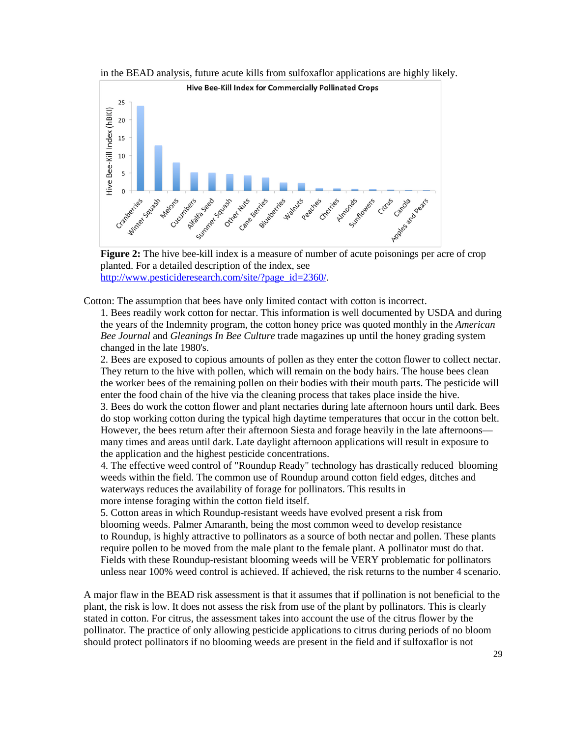



planted. For a detailed description of the index, see [http://www.pesticideresearch.com/site/?page\\_id=2360/.](http://www.pesticideresearch.com/site/?page_id=2360/)

Cotton: The assumption that bees have only limited contact with cotton is incorrect.

1. Bees readily work cotton for nectar. This information is well documented by USDA and during the years of the Indemnity program, the cotton honey price was quoted monthly in the *American Bee Journal* and *Gleanings In Bee Culture* trade magazines up until the honey grading system changed in the late 1980's.

2. Bees are exposed to copious amounts of pollen as they enter the cotton flower to collect nectar. They return to the hive with pollen, which will remain on the body hairs. The house bees clean the worker bees of the remaining pollen on their bodies with their mouth parts. The pesticide will enter the food chain of the hive via the cleaning process that takes place inside the hive.

3. Bees do work the cotton flower and plant nectaries during late afternoon hours until dark. Bees do stop working cotton during the typical high daytime temperatures that occur in the cotton belt. However, the bees return after their afternoon Siesta and forage heavily in the late afternoons many times and areas until dark. Late daylight afternoon applications will result in exposure to the application and the highest pesticide concentrations.

4. The effective weed control of "Roundup Ready" technology has drastically reduced blooming weeds within the field. The common use of Roundup around cotton field edges, ditches and waterways reduces the availability of forage for pollinators. This results in more intense foraging within the cotton field itself.

5. Cotton areas in which Roundup-resistant weeds have evolved present a risk from blooming weeds. Palmer Amaranth, being the most common weed to develop resistance to Roundup, is highly attractive to pollinators as a source of both nectar and pollen. These plants require pollen to be moved from the male plant to the female plant. A pollinator must do that. Fields with these Roundup-resistant blooming weeds will be VERY problematic for pollinators unless near 100% weed control is achieved. If achieved, the risk returns to the number 4 scenario.

A major flaw in the BEAD risk assessment is that it assumes that if pollination is not beneficial to the plant, the risk is low. It does not assess the risk from use of the plant by pollinators. This is clearly stated in cotton. For citrus, the assessment takes into account the use of the citrus flower by the pollinator. The practice of only allowing pesticide applications to citrus during periods of no bloom should protect pollinators if no blooming weeds are present in the field and if sulfoxaflor is not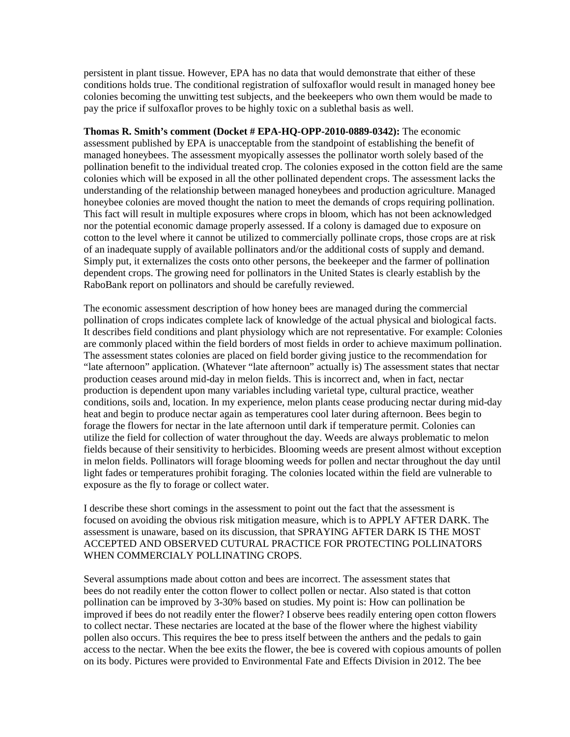persistent in plant tissue. However, EPA has no data that would demonstrate that either of these conditions holds true. The conditional registration of sulfoxaflor would result in managed honey bee colonies becoming the unwitting test subjects, and the beekeepers who own them would be made to pay the price if sulfoxaflor proves to be highly toxic on a sublethal basis as well.

**Thomas R. Smith's comment (Docket # EPA-HQ-OPP-2010-0889-0342):** The economic assessment published by EPA is unacceptable from the standpoint of establishing the benefit of managed honeybees. The assessment myopically assesses the pollinator worth solely based of the pollination benefit to the individual treated crop. The colonies exposed in the cotton field are the same colonies which will be exposed in all the other pollinated dependent crops. The assessment lacks the understanding of the relationship between managed honeybees and production agriculture. Managed honeybee colonies are moved thought the nation to meet the demands of crops requiring pollination. This fact will result in multiple exposures where crops in bloom, which has not been acknowledged nor the potential economic damage properly assessed. If a colony is damaged due to exposure on cotton to the level where it cannot be utilized to commercially pollinate crops, those crops are at risk of an inadequate supply of available pollinators and/or the additional costs of supply and demand. Simply put, it externalizes the costs onto other persons, the beekeeper and the farmer of pollination dependent crops. The growing need for pollinators in the United States is clearly establish by the RaboBank report on pollinators and should be carefully reviewed.

The economic assessment description of how honey bees are managed during the commercial pollination of crops indicates complete lack of knowledge of the actual physical and biological facts. It describes field conditions and plant physiology which are not representative. For example: Colonies are commonly placed within the field borders of most fields in order to achieve maximum pollination. The assessment states colonies are placed on field border giving justice to the recommendation for "late afternoon" application. (Whatever "late afternoon" actually is) The assessment states that nectar production ceases around mid-day in melon fields. This is incorrect and, when in fact, nectar production is dependent upon many variables including varietal type, cultural practice, weather conditions, soils and, location. In my experience, melon plants cease producing nectar during mid-day heat and begin to produce nectar again as temperatures cool later during afternoon. Bees begin to forage the flowers for nectar in the late afternoon until dark if temperature permit. Colonies can utilize the field for collection of water throughout the day. Weeds are always problematic to melon fields because of their sensitivity to herbicides. Blooming weeds are present almost without exception in melon fields. Pollinators will forage blooming weeds for pollen and nectar throughout the day until light fades or temperatures prohibit foraging. The colonies located within the field are vulnerable to exposure as the fly to forage or collect water.

I describe these short comings in the assessment to point out the fact that the assessment is focused on avoiding the obvious risk mitigation measure, which is to APPLY AFTER DARK. The assessment is unaware, based on its discussion, that SPRAYING AFTER DARK IS THE MOST ACCEPTED AND OBSERVED CUTURAL PRACTICE FOR PROTECTING POLLINATORS WHEN COMMERCIALY POLLINATING CROPS.

Several assumptions made about cotton and bees are incorrect. The assessment states that bees do not readily enter the cotton flower to collect pollen or nectar. Also stated is that cotton pollination can be improved by 3-30% based on studies. My point is: How can pollination be improved if bees do not readily enter the flower? I observe bees readily entering open cotton flowers to collect nectar. These nectaries are located at the base of the flower where the highest viability pollen also occurs. This requires the bee to press itself between the anthers and the pedals to gain access to the nectar. When the bee exits the flower, the bee is covered with copious amounts of pollen on its body. Pictures were provided to Environmental Fate and Effects Division in 2012. The bee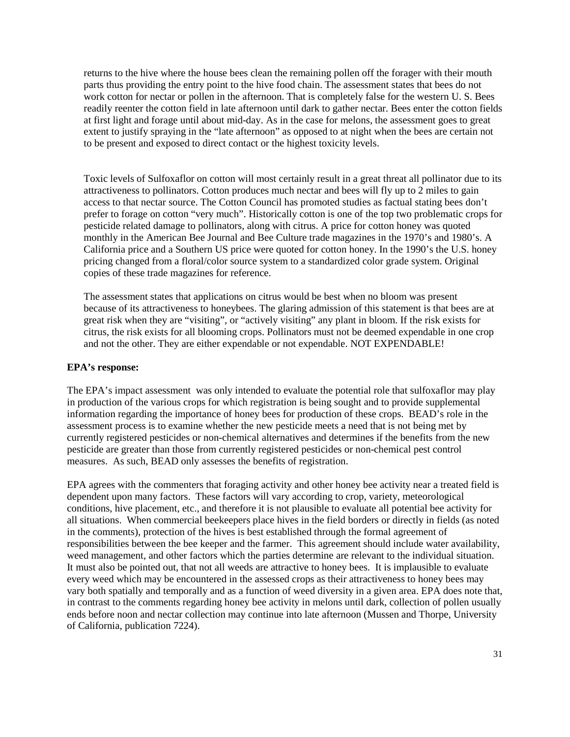returns to the hive where the house bees clean the remaining pollen off the forager with their mouth parts thus providing the entry point to the hive food chain. The assessment states that bees do not work cotton for nectar or pollen in the afternoon. That is completely false for the western U. S. Bees readily reenter the cotton field in late afternoon until dark to gather nectar. Bees enter the cotton fields at first light and forage until about mid-day. As in the case for melons, the assessment goes to great extent to justify spraying in the "late afternoon" as opposed to at night when the bees are certain not to be present and exposed to direct contact or the highest toxicity levels.

Toxic levels of Sulfoxaflor on cotton will most certainly result in a great threat all pollinator due to its attractiveness to pollinators. Cotton produces much nectar and bees will fly up to 2 miles to gain access to that nectar source. The Cotton Council has promoted studies as factual stating bees don't prefer to forage on cotton "very much". Historically cotton is one of the top two problematic crops for pesticide related damage to pollinators, along with citrus. A price for cotton honey was quoted monthly in the American Bee Journal and Bee Culture trade magazines in the 1970's and 1980's. A California price and a Southern US price were quoted for cotton honey. In the 1990's the U.S. honey pricing changed from a floral/color source system to a standardized color grade system. Original copies of these trade magazines for reference.

The assessment states that applications on citrus would be best when no bloom was present because of its attractiveness to honeybees. The glaring admission of this statement is that bees are at great risk when they are "visiting", or "actively visiting" any plant in bloom. If the risk exists for citrus, the risk exists for all blooming crops. Pollinators must not be deemed expendable in one crop and not the other. They are either expendable or not expendable. NOT EXPENDABLE!

### **EPA's response:**

The EPA's impact assessment was only intended to evaluate the potential role that sulfoxaflor may play in production of the various crops for which registration is being sought and to provide supplemental information regarding the importance of honey bees for production of these crops. BEAD's role in the assessment process is to examine whether the new pesticide meets a need that is not being met by currently registered pesticides or non-chemical alternatives and determines if the benefits from the new pesticide are greater than those from currently registered pesticides or non-chemical pest control measures. As such, BEAD only assesses the benefits of registration.

EPA agrees with the commenters that foraging activity and other honey bee activity near a treated field is dependent upon many factors. These factors will vary according to crop, variety, meteorological conditions, hive placement, etc., and therefore it is not plausible to evaluate all potential bee activity for all situations. When commercial beekeepers place hives in the field borders or directly in fields (as noted in the comments), protection of the hives is best established through the formal agreement of responsibilities between the bee keeper and the farmer. This agreement should include water availability, weed management, and other factors which the parties determine are relevant to the individual situation. It must also be pointed out, that not all weeds are attractive to honey bees. It is implausible to evaluate every weed which may be encountered in the assessed crops as their attractiveness to honey bees may vary both spatially and temporally and as a function of weed diversity in a given area. EPA does note that, in contrast to the comments regarding honey bee activity in melons until dark, collection of pollen usually ends before noon and nectar collection may continue into late afternoon (Mussen and Thorpe, University of California, publication 7224).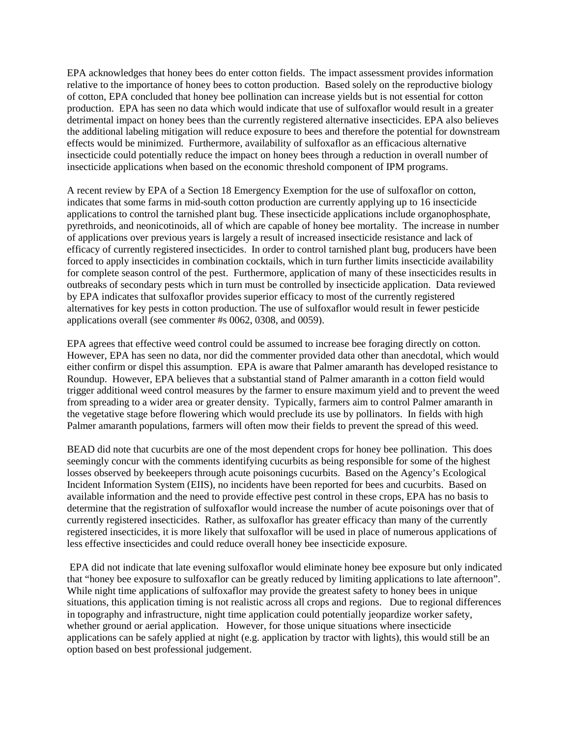EPA acknowledges that honey bees do enter cotton fields. The impact assessment provides information relative to the importance of honey bees to cotton production. Based solely on the reproductive biology of cotton, EPA concluded that honey bee pollination can increase yields but is not essential for cotton production. EPA has seen no data which would indicate that use of sulfoxaflor would result in a greater detrimental impact on honey bees than the currently registered alternative insecticides. EPA also believes the additional labeling mitigation will reduce exposure to bees and therefore the potential for downstream effects would be minimized. Furthermore, availability of sulfoxaflor as an efficacious alternative insecticide could potentially reduce the impact on honey bees through a reduction in overall number of insecticide applications when based on the economic threshold component of IPM programs.

A recent review by EPA of a Section 18 Emergency Exemption for the use of sulfoxaflor on cotton, indicates that some farms in mid-south cotton production are currently applying up to 16 insecticide applications to control the tarnished plant bug. These insecticide applications include organophosphate, pyrethroids, and neonicotinoids, all of which are capable of honey bee mortality. The increase in number of applications over previous years is largely a result of increased insecticide resistance and lack of efficacy of currently registered insecticides. In order to control tarnished plant bug, producers have been forced to apply insecticides in combination cocktails, which in turn further limits insecticide availability for complete season control of the pest. Furthermore, application of many of these insecticides results in outbreaks of secondary pests which in turn must be controlled by insecticide application. Data reviewed by EPA indicates that sulfoxaflor provides superior efficacy to most of the currently registered alternatives for key pests in cotton production. The use of sulfoxaflor would result in fewer pesticide applications overall (see commenter #s 0062, 0308, and 0059).

EPA agrees that effective weed control could be assumed to increase bee foraging directly on cotton. However, EPA has seen no data, nor did the commenter provided data other than anecdotal, which would either confirm or dispel this assumption. EPA is aware that Palmer amaranth has developed resistance to Roundup. However, EPA believes that a substantial stand of Palmer amaranth in a cotton field would trigger additional weed control measures by the farmer to ensure maximum yield and to prevent the weed from spreading to a wider area or greater density. Typically, farmers aim to control Palmer amaranth in the vegetative stage before flowering which would preclude its use by pollinators. In fields with high Palmer amaranth populations, farmers will often mow their fields to prevent the spread of this weed.

BEAD did note that cucurbits are one of the most dependent crops for honey bee pollination. This does seemingly concur with the comments identifying cucurbits as being responsible for some of the highest losses observed by beekeepers through acute poisonings cucurbits. Based on the Agency's Ecological Incident Information System (EIIS), no incidents have been reported for bees and cucurbits. Based on available information and the need to provide effective pest control in these crops, EPA has no basis to determine that the registration of sulfoxaflor would increase the number of acute poisonings over that of currently registered insecticides. Rather, as sulfoxaflor has greater efficacy than many of the currently registered insecticides, it is more likely that sulfoxaflor will be used in place of numerous applications of less effective insecticides and could reduce overall honey bee insecticide exposure.

EPA did not indicate that late evening sulfoxaflor would eliminate honey bee exposure but only indicated that "honey bee exposure to sulfoxaflor can be greatly reduced by limiting applications to late afternoon". While night time applications of sulfoxaflor may provide the greatest safety to honey bees in unique situations, this application timing is not realistic across all crops and regions. Due to regional differences in topography and infrastructure, night time application could potentially jeopardize worker safety, whether ground or aerial application. However, for those unique situations where insecticide applications can be safely applied at night (e.g. application by tractor with lights), this would still be an option based on best professional judgement.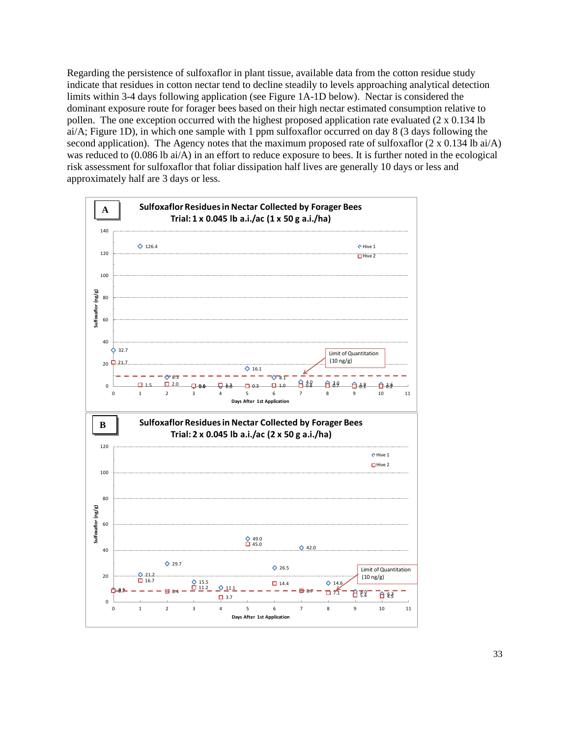Regarding the persistence of sulfoxaflor in plant tissue, available data from the cotton residue study indicate that residues in cotton nectar tend to decline steadily to levels approaching analytical detection limits within 3-4 days following application (see Figure 1A-1D below). Nectar is considered the dominant exposure route for forager bees based on their high nectar estimated consumption relative to pollen. The one exception occurred with the highest proposed application rate evaluated  $(2 \times 0.134$  lb ai/A; Figure 1D), in which one sample with 1 ppm sulfoxaflor occurred on day 8 (3 days following the second application). The Agency notes that the maximum proposed rate of sulfoxaflor  $(2 \times 0.134 \text{ lb} \text{ ai/A})$ was reduced to (0.086 lb ai/A) in an effort to reduce exposure to bees. It is further noted in the ecological risk assessment for sulfoxaflor that foliar dissipation half lives are generally 10 days or less and approximately half are 3 days or less.

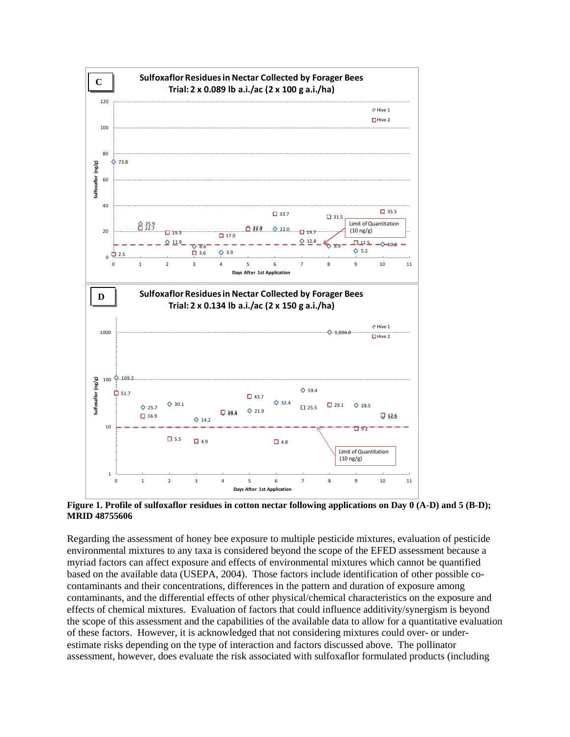

**Figure 1. Profile of sulfoxaflor residues in cotton nectar following applications on Day 0 (A-D) and 5 (B-D); MRID 48755606**

Regarding the assessment of honey bee exposure to multiple pesticide mixtures, evaluation of pesticide environmental mixtures to any taxa is considered beyond the scope of the EFED assessment because a myriad factors can affect exposure and effects of environmental mixtures which cannot be quantified based on the available data (USEPA, 2004). Those factors include identification of other possible cocontaminants and their concentrations, differences in the pattern and duration of exposure among contaminants, and the differential effects of other physical/chemical characteristics on the exposure and effects of chemical mixtures. Evaluation of factors that could influence additivity/synergism is beyond the scope of this assessment and the capabilities of the available data to allow for a quantitative evaluation of these factors. However, it is acknowledged that not considering mixtures could over- or underestimate risks depending on the type of interaction and factors discussed above. The pollinator assessment, however, does evaluate the risk associated with sulfoxaflor formulated products (including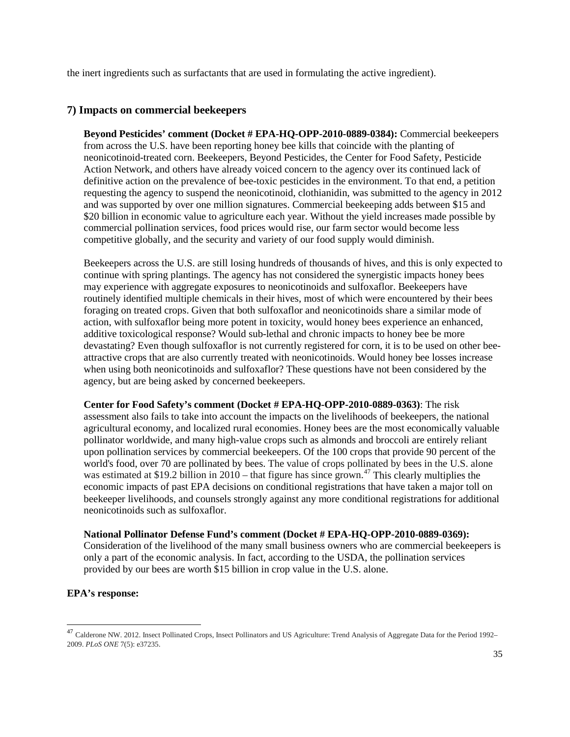the inert ingredients such as surfactants that are used in formulating the active ingredient).

# **7) Impacts on commercial beekeepers**

**Beyond Pesticides' comment (Docket # EPA-HQ-OPP-2010-0889-0384):** Commercial beekeepers from across the U.S. have been reporting honey bee kills that coincide with the planting of neonicotinoid-treated corn. Beekeepers, Beyond Pesticides, the Center for Food Safety, Pesticide Action Network, and others have already voiced concern to the agency over its continued lack of definitive action on the prevalence of bee-toxic pesticides in the environment. To that end, a petition requesting the agency to suspend the neonicotinoid, clothianidin, was submitted to the agency in 2012 and was supported by over one million signatures. Commercial beekeeping adds between \$15 and \$20 billion in economic value to agriculture each year. Without the yield increases made possible by commercial pollination services, food prices would rise, our farm sector would become less competitive globally, and the security and variety of our food supply would diminish.

Beekeepers across the U.S. are still losing hundreds of thousands of hives, and this is only expected to continue with spring plantings. The agency has not considered the synergistic impacts honey bees may experience with aggregate exposures to neonicotinoids and sulfoxaflor. Beekeepers have routinely identified multiple chemicals in their hives, most of which were encountered by their bees foraging on treated crops. Given that both sulfoxaflor and neonicotinoids share a similar mode of action, with sulfoxaflor being more potent in toxicity, would honey bees experience an enhanced, additive toxicological response? Would sub-lethal and chronic impacts to honey bee be more devastating? Even though sulfoxaflor is not currently registered for corn, it is to be used on other beeattractive crops that are also currently treated with neonicotinoids. Would honey bee losses increase when using both neonicotinoids and sulfoxaflor? These questions have not been considered by the agency, but are being asked by concerned beekeepers.

**Center for Food Safety's comment (Docket # EPA-HQ-OPP-2010-0889-0363)**: The risk assessment also fails to take into account the impacts on the livelihoods of beekeepers, the national agricultural economy, and localized rural economies. Honey bees are the most economically valuable pollinator worldwide, and many high-value crops such as almonds and broccoli are entirely reliant upon pollination services by commercial beekeepers. Of the 100 crops that provide 90 percent of the world's food, over 70 are pollinated by bees. The value of crops pollinated by bees in the U.S. alone was estimated at \$19.2 billion in 2010 – that figure has since grown.<sup>[47](#page-34-0)</sup> This clearly multiplies the economic impacts of past EPA decisions on conditional registrations that have taken a major toll on beekeeper livelihoods, and counsels strongly against any more conditional registrations for additional neonicotinoids such as sulfoxaflor.

#### **National Pollinator Defense Fund's comment (Docket # EPA-HQ-OPP-2010-0889-0369):**

Consideration of the livelihood of the many small business owners who are commercial beekeepers is only a part of the economic analysis. In fact, according to the USDA, the pollination services provided by our bees are worth \$15 billion in crop value in the U.S. alone.

### **EPA's response:**

<span id="page-34-0"></span><sup>&</sup>lt;sup>47</sup> Calderone NW. 2012. Insect Pollinated Crops, Insect Pollinators and US Agriculture: Trend Analysis of Aggregate Data for the Period 1992– 2009. *PLoS ONE* 7(5): e37235.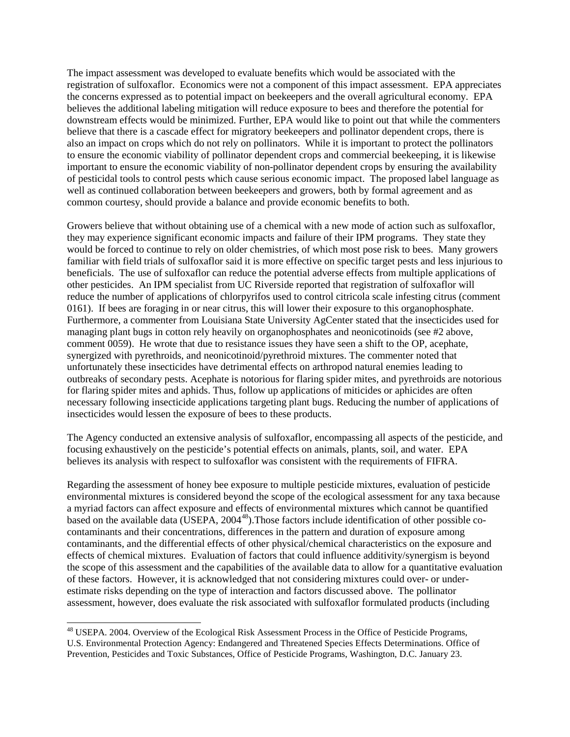The impact assessment was developed to evaluate benefits which would be associated with the registration of sulfoxaflor. Economics were not a component of this impact assessment. EPA appreciates the concerns expressed as to potential impact on beekeepers and the overall agricultural economy. EPA believes the additional labeling mitigation will reduce exposure to bees and therefore the potential for downstream effects would be minimized. Further, EPA would like to point out that while the commenters believe that there is a cascade effect for migratory beekeepers and pollinator dependent crops, there is also an impact on crops which do not rely on pollinators. While it is important to protect the pollinators to ensure the economic viability of pollinator dependent crops and commercial beekeeping, it is likewise important to ensure the economic viability of non-pollinator dependent crops by ensuring the availability of pesticidal tools to control pests which cause serious economic impact. The proposed label language as well as continued collaboration between beekeepers and growers, both by formal agreement and as common courtesy, should provide a balance and provide economic benefits to both.

Growers believe that without obtaining use of a chemical with a new mode of action such as sulfoxaflor, they may experience significant economic impacts and failure of their IPM programs. They state they would be forced to continue to rely on older chemistries, of which most pose risk to bees. Many growers familiar with field trials of sulfoxaflor said it is more effective on specific target pests and less injurious to beneficials. The use of sulfoxaflor can reduce the potential adverse effects from multiple applications of other pesticides. An IPM specialist from UC Riverside reported that registration of sulfoxaflor will reduce the number of applications of chlorpyrifos used to control citricola scale infesting citrus (comment 0161). If bees are foraging in or near citrus, this will lower their exposure to this organophosphate. Furthermore, a commenter from Louisiana State University AgCenter stated that the insecticides used for managing plant bugs in cotton rely heavily on organophosphates and neonicotinoids (see #2 above, comment 0059). He wrote that due to resistance issues they have seen a shift to the OP, acephate, synergized with pyrethroids, and neonicotinoid/pyrethroid mixtures. The commenter noted that unfortunately these insecticides have detrimental effects on arthropod natural enemies leading to outbreaks of secondary pests. Acephate is notorious for flaring spider mites, and pyrethroids are notorious for flaring spider mites and aphids. Thus, follow up applications of miticides or aphicides are often necessary following insecticide applications targeting plant bugs. Reducing the number of applications of insecticides would lessen the exposure of bees to these products.

The Agency conducted an extensive analysis of sulfoxaflor, encompassing all aspects of the pesticide, and focusing exhaustively on the pesticide's potential effects on animals, plants, soil, and water. EPA believes its analysis with respect to sulfoxaflor was consistent with the requirements of FIFRA.

Regarding the assessment of honey bee exposure to multiple pesticide mixtures, evaluation of pesticide environmental mixtures is considered beyond the scope of the ecological assessment for any taxa because a myriad factors can affect exposure and effects of environmental mixtures which cannot be quantified based on the available data (USEPA, 2004<sup>48</sup>). Those factors include identification of other possible cocontaminants and their concentrations, differences in the pattern and duration of exposure among contaminants, and the differential effects of other physical/chemical characteristics on the exposure and effects of chemical mixtures. Evaluation of factors that could influence additivity/synergism is beyond the scope of this assessment and the capabilities of the available data to allow for a quantitative evaluation of these factors. However, it is acknowledged that not considering mixtures could over- or underestimate risks depending on the type of interaction and factors discussed above. The pollinator assessment, however, does evaluate the risk associated with sulfoxaflor formulated products (including

<span id="page-35-0"></span><sup>&</sup>lt;sup>48</sup> USEPA. 2004. Overview of the Ecological Risk Assessment Process in the Office of Pesticide Programs, U.S. Environmental Protection Agency: Endangered and Threatened Species Effects Determinations. Office of Prevention, Pesticides and Toxic Substances, Office of Pesticide Programs, Washington, D.C. January 23.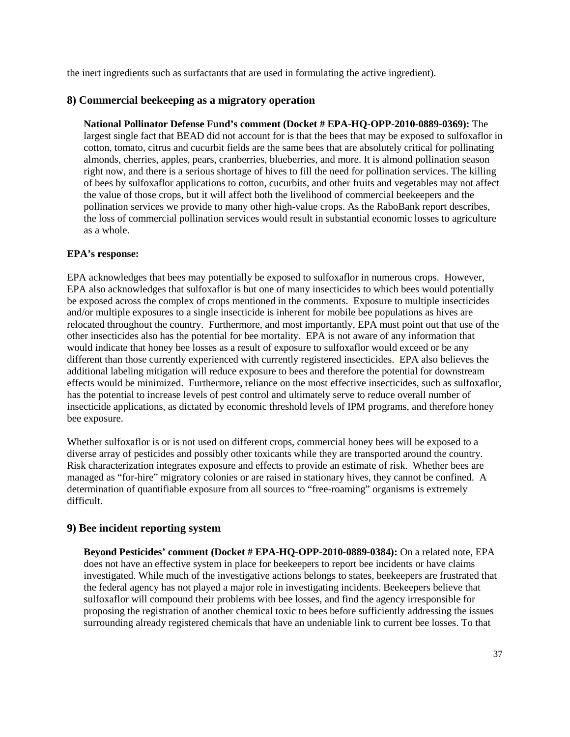the inert ingredients such as surfactants that are used in formulating the active ingredient).

# **8) Commercial beekeeping as a migratory operation**

**National Pollinator Defense Fund's comment (Docket # EPA-HQ-OPP-2010-0889-0369):** The largest single fact that BEAD did not account for is that the bees that may be exposed to sulfoxaflor in cotton, tomato, citrus and cucurbit fields are the same bees that are absolutely critical for pollinating almonds, cherries, apples, pears, cranberries, blueberries, and more. It is almond pollination season right now, and there is a serious shortage of hives to fill the need for pollination services. The killing of bees by sulfoxaflor applications to cotton, cucurbits, and other fruits and vegetables may not affect the value of those crops, but it will affect both the livelihood of commercial beekeepers and the pollination services we provide to many other high-value crops. As the RaboBank report describes, the loss of commercial pollination services would result in substantial economic losses to agriculture as a whole.

### **EPA's response:**

EPA acknowledges that bees may potentially be exposed to sulfoxaflor in numerous crops. However, EPA also acknowledges that sulfoxaflor is but one of many insecticides to which bees would potentially be exposed across the complex of crops mentioned in the comments. Exposure to multiple insecticides and/or multiple exposures to a single insecticide is inherent for mobile bee populations as hives are relocated throughout the country. Furthermore, and most importantly, EPA must point out that use of the other insecticides also has the potential for bee mortality. EPA is not aware of any information that would indicate that honey bee losses as a result of exposure to sulfoxaflor would exceed or be any different than those currently experienced with currently registered insecticides. EPA also believes the additional labeling mitigation will reduce exposure to bees and therefore the potential for downstream effects would be minimized. Furthermore, reliance on the most effective insecticides, such as sulfoxaflor, has the potential to increase levels of pest control and ultimately serve to reduce overall number of insecticide applications, as dictated by economic threshold levels of IPM programs, and therefore honey bee exposure.

Whether sulfoxaflor is or is not used on different crops, commercial honey bees will be exposed to a diverse array of pesticides and possibly other toxicants while they are transported around the country. Risk characterization integrates exposure and effects to provide an estimate of risk. Whether bees are managed as "for-hire" migratory colonies or are raised in stationary hives, they cannot be confined. A determination of quantifiable exposure from all sources to "free-roaming" organisms is extremely difficult.

# **9) Bee incident reporting system**

**Beyond Pesticides' comment (Docket # EPA-HQ-OPP-2010-0889-0384):** On a related note, EPA does not have an effective system in place for beekeepers to report bee incidents or have claims investigated. While much of the investigative actions belongs to states, beekeepers are frustrated that the federal agency has not played a major role in investigating incidents. Beekeepers believe that sulfoxaflor will compound their problems with bee losses, and find the agency irresponsible for proposing the registration of another chemical toxic to bees before sufficiently addressing the issues surrounding already registered chemicals that have an undeniable link to current bee losses. To that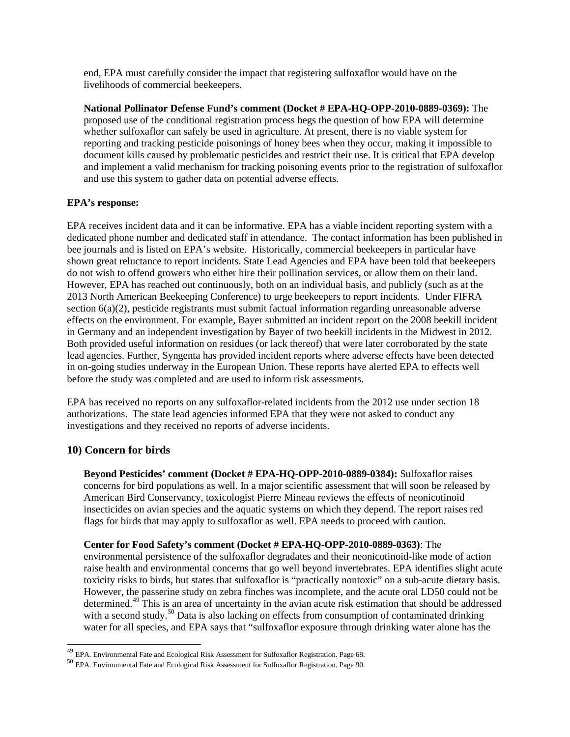end, EPA must carefully consider the impact that registering sulfoxaflor would have on the livelihoods of commercial beekeepers.

**National Pollinator Defense Fund's comment (Docket # EPA-HQ-OPP-2010-0889-0369):** The proposed use of the conditional registration process begs the question of how EPA will determine whether sulfoxaflor can safely be used in agriculture. At present, there is no viable system for reporting and tracking pesticide poisonings of honey bees when they occur, making it impossible to document kills caused by problematic pesticides and restrict their use. It is critical that EPA develop and implement a valid mechanism for tracking poisoning events prior to the registration of sulfoxaflor and use this system to gather data on potential adverse effects.

## **EPA's response:**

EPA receives incident data and it can be informative. EPA has a viable incident reporting system with a dedicated phone number and dedicated staff in attendance. The contact information has been published in bee journals and is listed on EPA's website. Historically, commercial beekeepers in particular have shown great reluctance to report incidents. State Lead Agencies and EPA have been told that beekeepers do not wish to offend growers who either hire their pollination services, or allow them on their land. However, EPA has reached out continuously, both on an individual basis, and publicly (such as at the 2013 North American Beekeeping Conference) to urge beekeepers to report incidents. Under FIFRA section 6(a)(2), pesticide registrants must submit factual information regarding unreasonable adverse effects on the environment. For example, Bayer submitted an incident report on the 2008 beekill incident in Germany and an independent investigation by Bayer of two beekill incidents in the Midwest in 2012. Both provided useful information on residues (or lack thereof) that were later corroborated by the state lead agencies. Further, Syngenta has provided incident reports where adverse effects have been detected in on-going studies underway in the European Union. These reports have alerted EPA to effects well before the study was completed and are used to inform risk assessments.

EPA has received no reports on any sulfoxaflor-related incidents from the 2012 use under section 18 authorizations. The state lead agencies informed EPA that they were not asked to conduct any investigations and they received no reports of adverse incidents.

# **10) Concern for birds**

**Beyond Pesticides' comment (Docket # EPA-HQ-OPP-2010-0889-0384):** Sulfoxaflor raises concerns for bird populations as well. In a major scientific assessment that will soon be released by American Bird Conservancy, toxicologist Pierre Mineau reviews the effects of neonicotinoid insecticides on avian species and the aquatic systems on which they depend. The report raises red flags for birds that may apply to sulfoxaflor as well. EPA needs to proceed with caution.

**Center for Food Safety's comment (Docket # EPA-HQ-OPP-2010-0889-0363)**: The

environmental persistence of the sulfoxaflor degradates and their neonicotinoid-like mode of action raise health and environmental concerns that go well beyond invertebrates. EPA identifies slight acute toxicity risks to birds, but states that sulfoxaflor is "practically nontoxic" on a sub-acute dietary basis. However, the passerine study on zebra finches was incomplete, and the acute oral LD50 could not be determined.<sup>[49](#page-39-0)</sup> This is an area of uncertainty in the avian acute risk estimation that should be addressed with a second study.<sup>[50](#page-37-0)</sup> Data is also lacking on effects from consumption of contaminated drinking water for all species, and EPA says that "sulfoxaflor exposure through drinking water alone has the

<sup>&</sup>lt;sup>49</sup> EPA. Environmental Fate and Ecological Risk Assessment for Sulfoxaflor Registration. Page 68.<br><sup>50</sup> EPA. Environmental Fate and Ecological Risk Assessment for Sulfoxaflor Registration. Page 90.

<span id="page-37-0"></span>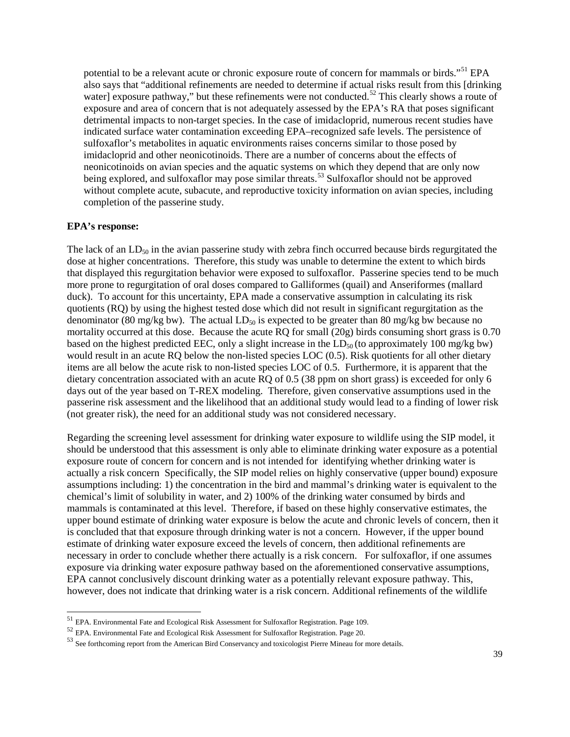potential to be a relevant acute or chronic exposure route of concern for mammals or birds."<sup>[51](#page-38-0)</sup> EPA also says that "additional refinements are needed to determine if actual risks result from this [drinking water] exposure pathway," but these refinements were not conducted.<sup>[52](#page-38-1)</sup> This clearly shows a route of exposure and area of concern that is not adequately assessed by the EPA's RA that poses significant detrimental impacts to non-target species. In the case of imidacloprid, numerous recent studies have indicated surface water contamination exceeding EPA–recognized safe levels. The persistence of sulfoxaflor's metabolites in aquatic environments raises concerns similar to those posed by imidacloprid and other neonicotinoids. There are a number of concerns about the effects of neonicotinoids on avian species and the aquatic systems on which they depend that are only now being explored, and sulfoxaflor may pose similar threats.<sup>[53](#page-38-2)</sup> Sulfoxaflor should not be approved without complete acute, subacute, and reproductive toxicity information on avian species, including completion of the passerine study.

### **EPA's response:**

The lack of an  $LD_{50}$  in the avian passerine study with zebra finch occurred because birds regurgitated the dose at higher concentrations. Therefore, this study was unable to determine the extent to which birds that displayed this regurgitation behavior were exposed to sulfoxaflor. Passerine species tend to be much more prone to regurgitation of oral doses compared to Galliformes (quail) and Anseriformes (mallard duck). To account for this uncertainty, EPA made a conservative assumption in calculating its risk quotients (RQ) by using the highest tested dose which did not result in significant regurgitation as the denominator (80 mg/kg bw). The actual  $LD_{50}$  is expected to be greater than 80 mg/kg bw because no mortality occurred at this dose. Because the acute RQ for small (20g) birds consuming short grass is 0.70 based on the highest predicted EEC, only a slight increase in the  $LD_{50}$  (to approximately 100 mg/kg bw) would result in an acute RQ below the non-listed species LOC (0.5). Risk quotients for all other dietary items are all below the acute risk to non-listed species LOC of 0.5. Furthermore, it is apparent that the dietary concentration associated with an acute RQ of 0.5 (38 ppm on short grass) is exceeded for only 6 days out of the year based on T-REX modeling. Therefore, given conservative assumptions used in the passerine risk assessment and the likelihood that an additional study would lead to a finding of lower risk (not greater risk), the need for an additional study was not considered necessary.

Regarding the screening level assessment for drinking water exposure to wildlife using the SIP model, it should be understood that this assessment is only able to eliminate drinking water exposure as a potential exposure route of concern for concern and is not intended for identifying whether drinking water is actually a risk concern Specifically, the SIP model relies on highly conservative (upper bound) exposure assumptions including: 1) the concentration in the bird and mammal's drinking water is equivalent to the chemical's limit of solubility in water, and 2) 100% of the drinking water consumed by birds and mammals is contaminated at this level. Therefore, if based on these highly conservative estimates, the upper bound estimate of drinking water exposure is below the acute and chronic levels of concern, then it is concluded that that exposure through drinking water is not a concern. However, if the upper bound estimate of drinking water exposure exceed the levels of concern, then additional refinements are necessary in order to conclude whether there actually is a risk concern. For sulfoxaflor, if one assumes exposure via drinking water exposure pathway based on the aforementioned conservative assumptions, EPA cannot conclusively discount drinking water as a potentially relevant exposure pathway. This, however, does not indicate that drinking water is a risk concern. Additional refinements of the wildlife

<span id="page-38-2"></span><span id="page-38-1"></span>

<span id="page-38-0"></span><sup>&</sup>lt;sup>51</sup> EPA. Environmental Fate and Ecological Risk Assessment for Sulfoxaflor Registration. Page 109.<br><sup>52</sup> EPA. Environmental Fate and Ecological Risk Assessment for Sulfoxaflor Registration. Page 20.<br><sup>52</sup> See forthcoming r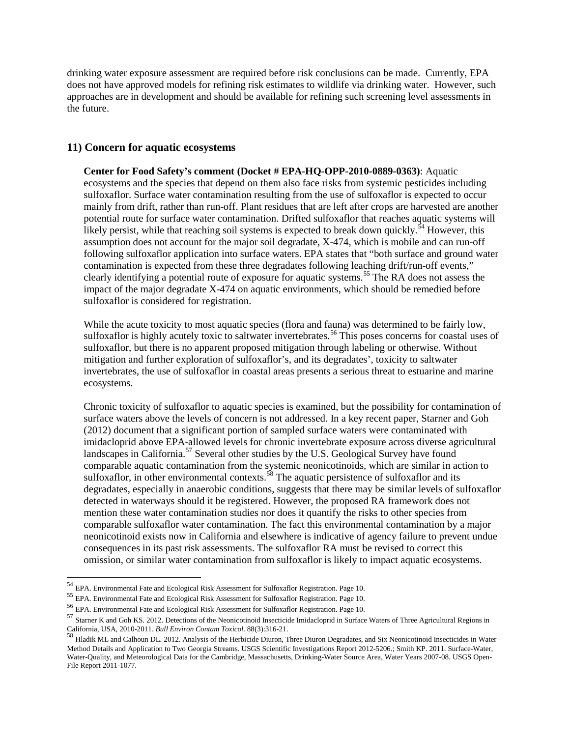drinking water exposure assessment are required before risk conclusions can be made. Currently, EPA does not have approved models for refining risk estimates to wildlife via drinking water. However, such approaches are in development and should be available for refining such screening level assessments in the future.

### **11) Concern for aquatic ecosystems**

**Center for Food Safety's comment (Docket # EPA-HQ-OPP-2010-0889-0363)**: Aquatic ecosystems and the species that depend on them also face risks from systemic pesticides including sulfoxaflor. Surface water contamination resulting from the use of sulfoxaflor is expected to occur mainly from drift, rather than run-off. Plant residues that are left after crops are harvested are another potential route for surface water contamination. Drifted sulfoxaflor that reaches aquatic systems will likely persist, while that reaching soil systems is expected to break down quickly.<sup>[54](#page-39-1)</sup> However, this assumption does not account for the major soil degradate, X-474, which is mobile and can run-off following sulfoxaflor application into surface waters. EPA states that "both surface and ground water contamination is expected from these three degradates following leaching drift/run-off events," clearly identifying a potential route of exposure for aquatic systems.<sup>[55](#page-39-2)</sup> The RA does not assess the impact of the major degradate X-474 on aquatic environments, which should be remedied before sulfoxaflor is considered for registration.

While the acute toxicity to most aquatic species (flora and fauna) was determined to be fairly low, sulfoxaflor is highly acutely toxic to saltwater invertebrates.<sup>[56](#page-39-3)</sup> This poses concerns for coastal uses of sulfoxaflor, but there is no apparent proposed mitigation through labeling or otherwise. Without mitigation and further exploration of sulfoxaflor's, and its degradates', toxicity to saltwater invertebrates, the use of sulfoxaflor in coastal areas presents a serious threat to estuarine and marine ecosystems.

Chronic toxicity of sulfoxaflor to aquatic species is examined, but the possibility for contamination of surface waters above the levels of concern is not addressed. In a key recent paper, Starner and Goh (2012) document that a significant portion of sampled surface waters were contaminated with imidacloprid above EPA-allowed levels for chronic invertebrate exposure across diverse agricultural landscapes in California.<sup>[57](#page-39-4)</sup> Several other studies by the U.S. Geological Survey have found comparable aquatic contamination from the systemic neonicotinoids, which are similar in action to sulfoxaflor, in other environmental contexts.<sup>[58](#page-39-5)</sup> The aquatic persistence of sulfoxaflor and its degradates, especially in anaerobic conditions, suggests that there may be similar levels of sulfoxaflor detected in waterways should it be registered. However, the proposed RA framework does not mention these water contamination studies nor does it quantify the risks to other species from comparable sulfoxaflor water contamination. The fact this environmental contamination by a major neonicotinoid exists now in California and elsewhere is indicative of agency failure to prevent undue consequences in its past risk assessments. The sulfoxaflor RA must be revised to correct this omission, or similar water contamination from sulfoxaflor is likely to impact aquatic ecosystems.

<span id="page-39-2"></span>

<span id="page-39-3"></span>

<span id="page-39-1"></span><sup>&</sup>lt;sup>54</sup> EPA. Environmental Fate and Ecological Risk Assessment for Sulfoxaflor Registration. Page 10.<br><sup>55</sup> EPA. Environmental Fate and Ecological Risk Assessment for Sulfoxaflor Registration. Page 10.<br><sup>56</sup> EPA. Environmental

<span id="page-39-5"></span><span id="page-39-4"></span><span id="page-39-0"></span>California, USA, 2010-2011. *Bull Environ Contam Toxicol.* 88(3):316-21.<br><sup>58</sup> Hladik ML and Calhoun DL. 2012. Analysis of the Herbicide Diuron, Three Diuron Degradates, and Six Neonicotinoid Insecticides in Water – Method Details and Application to Two Georgia Streams. USGS Scientific Investigations Report 2012-5206.; Smith KP. 2011. Surface-Water, Water-Quality, and Meteorological Data for the Cambridge, Massachusetts, Drinking-Water Source Area, Water Years 2007-08. USGS Open-File Report 2011-1077.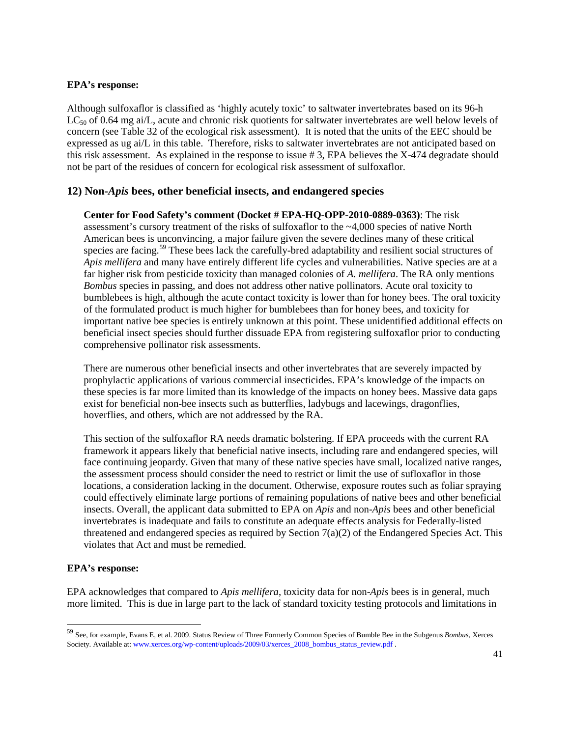### **EPA's response:**

Although sulfoxaflor is classified as 'highly acutely toxic' to saltwater invertebrates based on its 96-h  $LC_{50}$  of 0.64 mg ai/L, acute and chronic risk quotients for saltwater invertebrates are well below levels of concern (see Table 32 of the ecological risk assessment). It is noted that the units of the EEC should be expressed as ug ai/L in this table. Therefore, risks to saltwater invertebrates are not anticipated based on this risk assessment. As explained in the response to issue # 3, EPA believes the X-474 degradate should not be part of the residues of concern for ecological risk assessment of sulfoxaflor.

### **12) Non-***Apis* **bees, other beneficial insects, and endangered species**

**Center for Food Safety's comment (Docket # EPA-HQ-OPP-2010-0889-0363)**: The risk assessment's cursory treatment of the risks of sulfoxaflor to the ~4,000 species of native North American bees is unconvincing, a major failure given the severe declines many of these critical species are facing.<sup>[59](#page-40-0)</sup> These bees lack the carefully-bred adaptability and resilient social structures of *Apis mellifera* and many have entirely different life cycles and vulnerabilities. Native species are at a far higher risk from pesticide toxicity than managed colonies of *A. mellifera*. The RA only mentions *Bombus* species in passing, and does not address other native pollinators. Acute oral toxicity to bumblebees is high, although the acute contact toxicity is lower than for honey bees. The oral toxicity of the formulated product is much higher for bumblebees than for honey bees, and toxicity for important native bee species is entirely unknown at this point. These unidentified additional effects on beneficial insect species should further dissuade EPA from registering sulfoxaflor prior to conducting comprehensive pollinator risk assessments.

There are numerous other beneficial insects and other invertebrates that are severely impacted by prophylactic applications of various commercial insecticides. EPA's knowledge of the impacts on these species is far more limited than its knowledge of the impacts on honey bees. Massive data gaps exist for beneficial non-bee insects such as butterflies, ladybugs and lacewings, dragonflies, hoverflies, and others, which are not addressed by the RA.

This section of the sulfoxaflor RA needs dramatic bolstering. If EPA proceeds with the current RA framework it appears likely that beneficial native insects, including rare and endangered species, will face continuing jeopardy. Given that many of these native species have small, localized native ranges, the assessment process should consider the need to restrict or limit the use of sufloxaflor in those locations, a consideration lacking in the document. Otherwise, exposure routes such as foliar spraying could effectively eliminate large portions of remaining populations of native bees and other beneficial insects. Overall, the applicant data submitted to EPA on *Apis* and non-*Apis* bees and other beneficial invertebrates is inadequate and fails to constitute an adequate effects analysis for Federally-listed threatened and endangered species as required by Section  $7(a)(2)$  of the Endangered Species Act. This violates that Act and must be remedied.

### **EPA's response:**

EPA acknowledges that compared to *Apis mellifera*, toxicity data for non-*Apis* bees is in general, much more limited. This is due in large part to the lack of standard toxicity testing protocols and limitations in

<span id="page-40-0"></span> <sup>59</sup> See, for example, Evans E, et al. 2009. Status Review of Three Formerly Common Species of Bumble Bee in the Subgenus *Bombus*, Xerces Society. Available at: www.xerces.org/wp-content/uploads/2009/03/xerces\_2008\_bombus\_status\_review.pdf .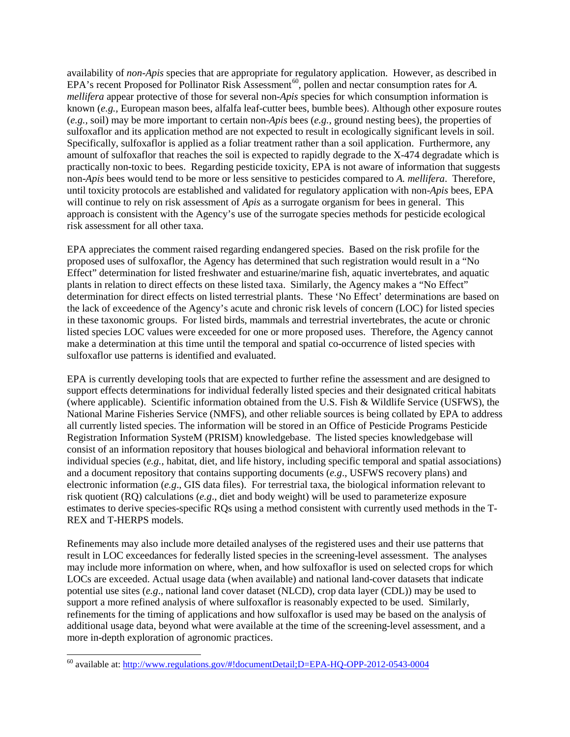availability of *non-Apis* species that are appropriate for regulatory application. However, as described in EPA's recent Proposed for Pollinator Risk Assessment<sup>60</sup>, pollen and nectar consumption rates for *A*. *mellifera* appear protective of those for several non-*Apis* species for which consumption information is known (*e.g.,* European mason bees, alfalfa leaf-cutter bees, bumble bees). Although other exposure routes (*e.g.,* soil) may be more important to certain non-*Apis* bees (*e.g.,* ground nesting bees), the properties of sulfoxaflor and its application method are not expected to result in ecologically significant levels in soil. Specifically, sulfoxaflor is applied as a foliar treatment rather than a soil application. Furthermore, any amount of sulfoxaflor that reaches the soil is expected to rapidly degrade to the X-474 degradate which is practically non-toxic to bees. Regarding pesticide toxicity, EPA is not aware of information that suggests non-*Apis* bees would tend to be more or less sensitive to pesticides compared to *A. mellifera*. Therefore, until toxicity protocols are established and validated for regulatory application with non-*Apis* bees, EPA will continue to rely on risk assessment of *Apis* as a surrogate organism for bees in general. This approach is consistent with the Agency's use of the surrogate species methods for pesticide ecological risk assessment for all other taxa.

EPA appreciates the comment raised regarding endangered species. Based on the risk profile for the proposed uses of sulfoxaflor, the Agency has determined that such registration would result in a "No Effect" determination for listed freshwater and estuarine/marine fish, aquatic invertebrates, and aquatic plants in relation to direct effects on these listed taxa. Similarly, the Agency makes a "No Effect" determination for direct effects on listed terrestrial plants. These 'No Effect' determinations are based on the lack of exceedence of the Agency's acute and chronic risk levels of concern (LOC) for listed species in these taxonomic groups. For listed birds, mammals and terrestrial invertebrates, the acute or chronic listed species LOC values were exceeded for one or more proposed uses. Therefore, the Agency cannot make a determination at this time until the temporal and spatial co-occurrence of listed species with sulfoxaflor use patterns is identified and evaluated.

EPA is currently developing tools that are expected to further refine the assessment and are designed to support effects determinations for individual federally listed species and their designated critical habitats (where applicable). Scientific information obtained from the U.S. Fish & Wildlife Service (USFWS), the National Marine Fisheries Service (NMFS), and other reliable sources is being collated by EPA to address all currently listed species. The information will be stored in an Office of Pesticide Programs Pesticide Registration Information SysteM (PRISM) knowledgebase. The listed species knowledgebase will consist of an information repository that houses biological and behavioral information relevant to individual species (*e.g.*, habitat, diet, and life history, including specific temporal and spatial associations) and a document repository that contains supporting documents (*e.g*., USFWS recovery plans) and electronic information (*e.g*., GIS data files). For terrestrial taxa, the biological information relevant to risk quotient (RQ) calculations (*e.g*., diet and body weight) will be used to parameterize exposure estimates to derive species-specific RQs using a method consistent with currently used methods in the T-REX and T-HERPS models.

Refinements may also include more detailed analyses of the registered uses and their use patterns that result in LOC exceedances for federally listed species in the screening-level assessment. The analyses may include more information on where, when, and how sulfoxaflor is used on selected crops for which LOCs are exceeded. Actual usage data (when available) and national land-cover datasets that indicate potential use sites (*e.g*., national land cover dataset (NLCD), crop data layer (CDL)) may be used to support a more refined analysis of where sulfoxaflor is reasonably expected to be used. Similarly, refinements for the timing of applications and how sulfoxaflor is used may be based on the analysis of additional usage data, beyond what were available at the time of the screening-level assessment, and a more in-depth exploration of agronomic practices.

<span id="page-41-0"></span> <sup>60</sup> available at:<http://www.regulations.gov/#!documentDetail;D=EPA-HQ-OPP-2012-0543-0004>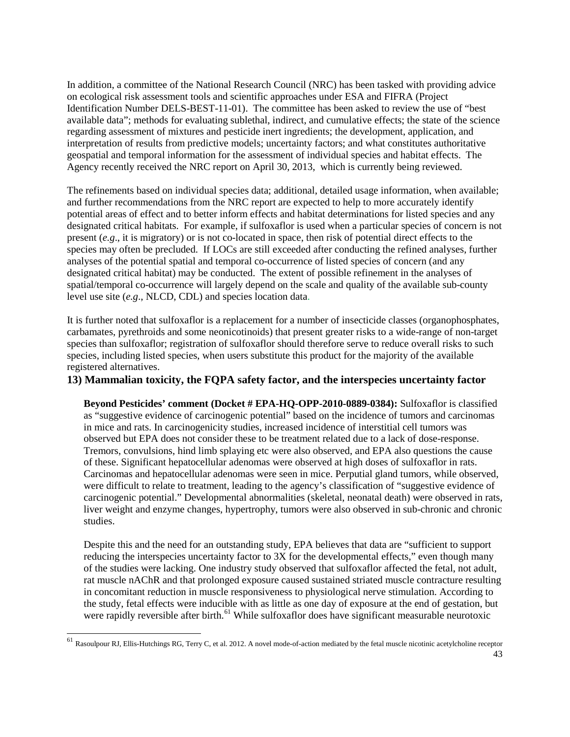In addition, a committee of the National Research Council (NRC) has been tasked with providing advice on ecological risk assessment tools and scientific approaches under ESA and FIFRA (Project Identification Number DELS-BEST-11-01). The committee has been asked to review the use of "best available data"; methods for evaluating sublethal, indirect, and cumulative effects; the state of the science regarding assessment of mixtures and pesticide inert ingredients; the development, application, and interpretation of results from predictive models; uncertainty factors; and what constitutes authoritative geospatial and temporal information for the assessment of individual species and habitat effects. The Agency recently received the NRC report on April 30, 2013, which is currently being reviewed.

The refinements based on individual species data; additional, detailed usage information, when available; and further recommendations from the NRC report are expected to help to more accurately identify potential areas of effect and to better inform effects and habitat determinations for listed species and any designated critical habitats. For example, if sulfoxaflor is used when a particular species of concern is not present (*e.g*., it is migratory) or is not co-located in space, then risk of potential direct effects to the species may often be precluded. If LOCs are still exceeded after conducting the refined analyses, further analyses of the potential spatial and temporal co-occurrence of listed species of concern (and any designated critical habitat) may be conducted. The extent of possible refinement in the analyses of spatial/temporal co-occurrence will largely depend on the scale and quality of the available sub-county level use site (*e.g*., NLCD, CDL) and species location data.

It is further noted that sulfoxaflor is a replacement for a number of insecticide classes (organophosphates, carbamates, pyrethroids and some neonicotinoids) that present greater risks to a wide-range of non-target species than sulfoxaflor; registration of sulfoxaflor should therefore serve to reduce overall risks to such species, including listed species, when users substitute this product for the majority of the available registered alternatives.

# **13) Mammalian toxicity, the FQPA safety factor, and the interspecies uncertainty factor**

**Beyond Pesticides' comment (Docket # EPA-HQ-OPP-2010-0889-0384):** Sulfoxaflor is classified as "suggestive evidence of carcinogenic potential" based on the incidence of tumors and carcinomas in mice and rats. In carcinogenicity studies, increased incidence of interstitial cell tumors was observed but EPA does not consider these to be treatment related due to a lack of dose-response. Tremors, convulsions, hind limb splaying etc were also observed, and EPA also questions the cause of these. Significant hepatocellular adenomas were observed at high doses of sulfoxaflor in rats. Carcinomas and hepatocellular adenomas were seen in mice. Perputial gland tumors, while observed, were difficult to relate to treatment, leading to the agency's classification of "suggestive evidence of carcinogenic potential." Developmental abnormalities (skeletal, neonatal death) were observed in rats, liver weight and enzyme changes, hypertrophy, tumors were also observed in sub-chronic and chronic studies.

Despite this and the need for an outstanding study, EPA believes that data are "sufficient to support reducing the interspecies uncertainty factor to 3X for the developmental effects," even though many of the studies were lacking. One industry study observed that sulfoxaflor affected the fetal, not adult, rat muscle nAChR and that prolonged exposure caused sustained striated muscle contracture resulting in concomitant reduction in muscle responsiveness to physiological nerve stimulation. According to the study, fetal effects were inducible with as little as one day of exposure at the end of gestation, but were rapidly reversible after birth.<sup>[61](#page-44-0)</sup> While sulfoxaflor does have significant measurable neurotoxic

<sup>43</sup> 61 Rasoulpour RJ, Ellis-Hutchings RG, Terry C, et al. 2012. A novel mode-of-action mediated by the fetal muscle nicotinic acetylcholine receptor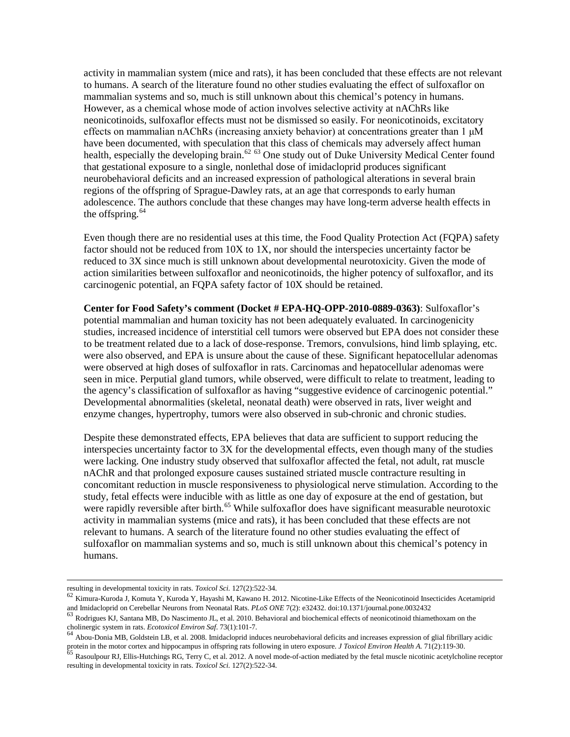activity in mammalian system (mice and rats), it has been concluded that these effects are not relevant to humans. A search of the literature found no other studies evaluating the effect of sulfoxaflor on mammalian systems and so, much is still unknown about this chemical's potency in humans. However, as a chemical whose mode of action involves selective activity at nAChRs like neonicotinoids, sulfoxaflor effects must not be dismissed so easily. For neonicotinoids, excitatory effects on mammalian nAChRs (increasing anxiety behavior) at concentrations greater than 1 μM have been documented, with speculation that this class of chemicals may adversely affect human health, especially the developing brain.<sup>[62](#page-43-0) [63](#page-43-1)</sup> One study out of Duke University Medical Center found that gestational exposure to a single, nonlethal dose of imidacloprid produces significant neurobehavioral deficits and an increased expression of pathological alterations in several brain regions of the offspring of Sprague-Dawley rats, at an age that corresponds to early human adolescence. The authors conclude that these changes may have long-term adverse health effects in the offspring.  $64$ 

Even though there are no residential uses at this time, the Food Quality Protection Act (FQPA) safety factor should not be reduced from 10X to 1X, nor should the interspecies uncertainty factor be reduced to 3X since much is still unknown about developmental neurotoxicity. Given the mode of action similarities between sulfoxaflor and neonicotinoids, the higher potency of sulfoxaflor, and its carcinogenic potential, an FQPA safety factor of 10X should be retained.

**Center for Food Safety's comment (Docket # EPA-HQ-OPP-2010-0889-0363)**: Sulfoxaflor's potential mammalian and human toxicity has not been adequately evaluated. In carcinogenicity studies, increased incidence of interstitial cell tumors were observed but EPA does not consider these to be treatment related due to a lack of dose-response. Tremors, convulsions, hind limb splaying, etc. were also observed, and EPA is unsure about the cause of these. Significant hepatocellular adenomas were observed at high doses of sulfoxaflor in rats. Carcinomas and hepatocellular adenomas were seen in mice. Perputial gland tumors, while observed, were difficult to relate to treatment, leading to the agency's classification of sulfoxaflor as having "suggestive evidence of carcinogenic potential." Developmental abnormalities (skeletal, neonatal death) were observed in rats, liver weight and enzyme changes, hypertrophy, tumors were also observed in sub-chronic and chronic studies.

Despite these demonstrated effects, EPA believes that data are sufficient to support reducing the interspecies uncertainty factor to 3X for the developmental effects, even though many of the studies were lacking. One industry study observed that sulfoxaflor affected the fetal, not adult, rat muscle nAChR and that prolonged exposure causes sustained striated muscle contracture resulting in concomitant reduction in muscle responsiveness to physiological nerve stimulation. According to the study, fetal effects were inducible with as little as one day of exposure at the end of gestation, but were rapidly reversible after birth.<sup>[65](#page-43-3)</sup> While sulfoxaflor does have significant measurable neurotoxic activity in mammalian systems (mice and rats), it has been concluded that these effects are not relevant to humans. A search of the literature found no other studies evaluating the effect of sulfoxaflor on mammalian systems and so, much is still unknown about this chemical's potency in humans.

<span id="page-43-0"></span>resulting in developmental toxicity in rats. *Toxicol Sci.* 127(2):522-34. **62 Kimura-Kuroda J, Komuta Y, Kuroda Y, Hayashi M, Kawano H. 2012. Nicotine-Like Effects of the Neonicotinoid Insecticides Acetamiprid** *62* **Kimura** and Imidacloprid on Cerebellar Neurons from Neonatal Rats. PLoS ONE 7(2): e32432. doi:10.1371/journal.pone.0032432<br><sup>63</sup> Rodrigues KJ, Santana MB, Do Nascimento JL, et al. 2010. Behavioral and biochemical effects of neonico

<span id="page-43-1"></span>cholinergic system in rats. *Ecotoxicol Environ Saf.* 73(1):101-7.<br><sup>64</sup> Abou-Donia MB, Goldstein LB, et al. 2008. Imidacloprid induces neurobehavioral deficits and increases expression of glial fibrillary acidic <sup>64</sup>

<span id="page-43-2"></span>protein in the motor cortex and hippocampus in offspring rats following in utero exposure. J Toxicol Environ Health A. 71(2):119-30.<br><sup>65</sup> Rasoulpour RJ, Ellis-Hutchings RG, Terry C, et al. 2012. A novel mode-of-action medi

<span id="page-43-3"></span>resulting in developmental toxicity in rats. *Toxicol Sci.* 127(2):522-34.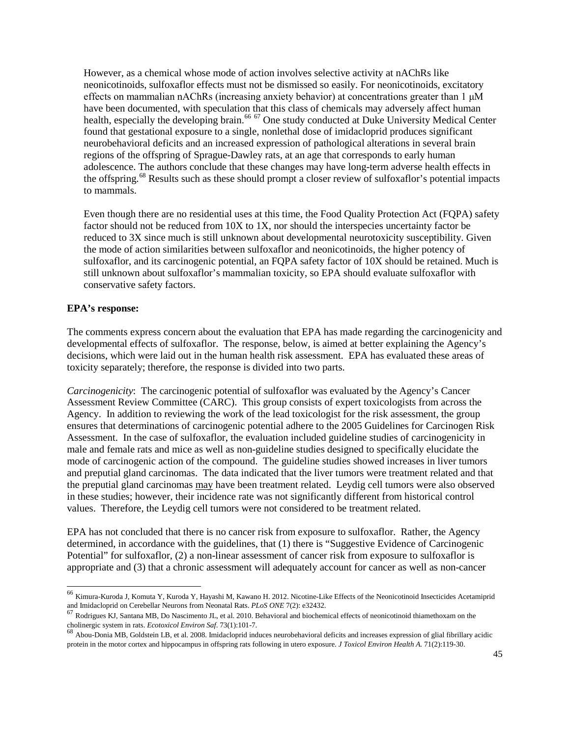However, as a chemical whose mode of action involves selective activity at nAChRs like neonicotinoids, sulfoxaflor effects must not be dismissed so easily. For neonicotinoids, excitatory effects on mammalian nAChRs (increasing anxiety behavior) at concentrations greater than  $1 \mu M$ have been documented, with speculation that this class of chemicals may adversely affect human health, especially the developing brain.<sup>[66](#page-44-1) [67](#page-44-2)</sup> One study conducted at Duke University Medical Center found that gestational exposure to a single, nonlethal dose of imidacloprid produces significant neurobehavioral deficits and an increased expression of pathological alterations in several brain regions of the offspring of Sprague-Dawley rats, at an age that corresponds to early human adolescence. The authors conclude that these changes may have long-term adverse health effects in the offspring.<sup>[68](#page-44-3)</sup> Results such as these should prompt a closer review of sulfoxaflor's potential impacts to mammals.

Even though there are no residential uses at this time, the Food Quality Protection Act (FQPA) safety factor should not be reduced from 10X to 1X, nor should the interspecies uncertainty factor be reduced to 3X since much is still unknown about developmental neurotoxicity susceptibility. Given the mode of action similarities between sulfoxaflor and neonicotinoids, the higher potency of sulfoxaflor, and its carcinogenic potential, an FQPA safety factor of 10X should be retained. Much is still unknown about sulfoxaflor's mammalian toxicity, so EPA should evaluate sulfoxaflor with conservative safety factors.

### **EPA's response:**

The comments express concern about the evaluation that EPA has made regarding the carcinogenicity and developmental effects of sulfoxaflor. The response, below, is aimed at better explaining the Agency's decisions, which were laid out in the human health risk assessment. EPA has evaluated these areas of toxicity separately; therefore, the response is divided into two parts.

*Carcinogenicity*: The carcinogenic potential of sulfoxaflor was evaluated by the Agency's Cancer Assessment Review Committee (CARC). This group consists of expert toxicologists from across the Agency. In addition to reviewing the work of the lead toxicologist for the risk assessment, the group ensures that determinations of carcinogenic potential adhere to the 2005 Guidelines for Carcinogen Risk Assessment. In the case of sulfoxaflor, the evaluation included guideline studies of carcinogenicity in male and female rats and mice as well as non-guideline studies designed to specifically elucidate the mode of carcinogenic action of the compound. The guideline studies showed increases in liver tumors and preputial gland carcinomas. The data indicated that the liver tumors were treatment related and that the preputial gland carcinomas may have been treatment related. Leydig cell tumors were also observed in these studies; however, their incidence rate was not significantly different from historical control values. Therefore, the Leydig cell tumors were not considered to be treatment related.

EPA has not concluded that there is no cancer risk from exposure to sulfoxaflor. Rather, the Agency determined, in accordance with the guidelines, that (1) there is "Suggestive Evidence of Carcinogenic Potential" for sulfoxaflor, (2) a non-linear assessment of cancer risk from exposure to sulfoxaflor is appropriate and (3) that a chronic assessment will adequately account for cancer as well as non-cancer

<span id="page-44-1"></span><sup>&</sup>lt;sup>66</sup> Kimura-Kuroda J, Komuta Y, Kuroda Y, Hayashi M, Kawano H. 2012. Nicotine-Like Effects of the Neonicotinoid Insecticides Acetamiprid and Imidacloprid on Cerebellar Neurons from Neonatal Rats. *PLoS ONE* 7(2): e32432.

<span id="page-44-2"></span>Rodrigues KJ, Santana MB, Do Nascimento JL, et al. 2010. Behavioral and biochemical effects of neonicotinoid thiamethoxam on the cholinergic system in rats. *Ecotoxicol Environ Saf.* 73(1):101-7. <sup>68</sup> Abou-Donia MB, Goldstein LB, et al. 2008. Imidacloprid induces neurobehavioral deficits and increases expression of glial fibrillary acidic Abou-Donia

<span id="page-44-3"></span><span id="page-44-0"></span>protein in the motor cortex and hippocampus in offspring rats following in utero exposure. *J Toxicol Environ Health A.* 71(2):119-30.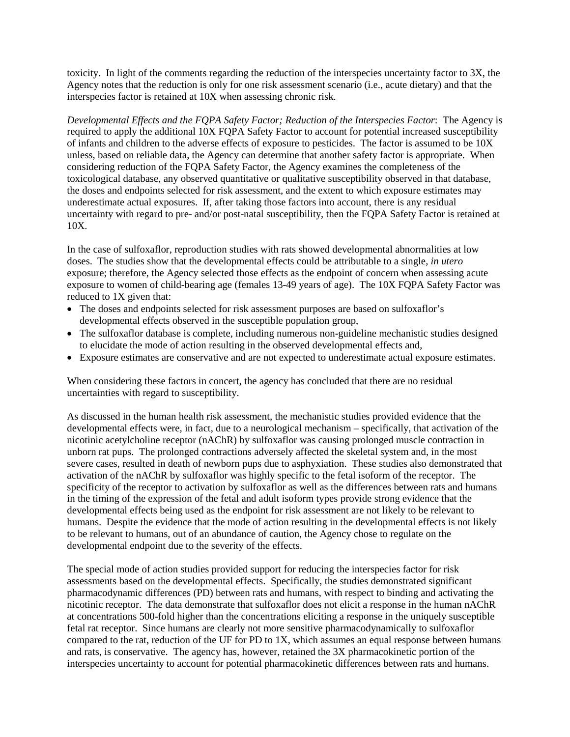toxicity. In light of the comments regarding the reduction of the interspecies uncertainty factor to 3X, the Agency notes that the reduction is only for one risk assessment scenario (i.e., acute dietary) and that the interspecies factor is retained at 10X when assessing chronic risk.

*Developmental Effects and the FQPA Safety Factor; Reduction of the Interspecies Factor*: The Agency is required to apply the additional 10X FQPA Safety Factor to account for potential increased susceptibility of infants and children to the adverse effects of exposure to pesticides. The factor is assumed to be 10X unless, based on reliable data, the Agency can determine that another safety factor is appropriate. When considering reduction of the FQPA Safety Factor, the Agency examines the completeness of the toxicological database, any observed quantitative or qualitative susceptibility observed in that database, the doses and endpoints selected for risk assessment, and the extent to which exposure estimates may underestimate actual exposures. If, after taking those factors into account, there is any residual uncertainty with regard to pre- and/or post-natal susceptibility, then the FQPA Safety Factor is retained at 10X.

In the case of sulfoxaflor, reproduction studies with rats showed developmental abnormalities at low doses. The studies show that the developmental effects could be attributable to a single, *in utero* exposure; therefore, the Agency selected those effects as the endpoint of concern when assessing acute exposure to women of child-bearing age (females 13-49 years of age). The 10X FQPA Safety Factor was reduced to 1X given that:

- The doses and endpoints selected for risk assessment purposes are based on sulfoxaflor's developmental effects observed in the susceptible population group,
- The sulfoxaflor database is complete, including numerous non-guideline mechanistic studies designed to elucidate the mode of action resulting in the observed developmental effects and,
- Exposure estimates are conservative and are not expected to underestimate actual exposure estimates.

When considering these factors in concert, the agency has concluded that there are no residual uncertainties with regard to susceptibility.

As discussed in the human health risk assessment, the mechanistic studies provided evidence that the developmental effects were, in fact, due to a neurological mechanism – specifically, that activation of the nicotinic acetylcholine receptor (nAChR) by sulfoxaflor was causing prolonged muscle contraction in unborn rat pups. The prolonged contractions adversely affected the skeletal system and, in the most severe cases, resulted in death of newborn pups due to asphyxiation. These studies also demonstrated that activation of the nAChR by sulfoxaflor was highly specific to the fetal isoform of the receptor. The specificity of the receptor to activation by sulfoxaflor as well as the differences between rats and humans in the timing of the expression of the fetal and adult isoform types provide strong evidence that the developmental effects being used as the endpoint for risk assessment are not likely to be relevant to humans. Despite the evidence that the mode of action resulting in the developmental effects is not likely to be relevant to humans, out of an abundance of caution, the Agency chose to regulate on the developmental endpoint due to the severity of the effects.

The special mode of action studies provided support for reducing the interspecies factor for risk assessments based on the developmental effects. Specifically, the studies demonstrated significant pharmacodynamic differences (PD) between rats and humans, with respect to binding and activating the nicotinic receptor. The data demonstrate that sulfoxaflor does not elicit a response in the human nAChR at concentrations 500-fold higher than the concentrations eliciting a response in the uniquely susceptible fetal rat receptor. Since humans are clearly not more sensitive pharmacodynamically to sulfoxaflor compared to the rat, reduction of the UF for PD to 1X, which assumes an equal response between humans and rats, is conservative. The agency has, however, retained the 3X pharmacokinetic portion of the interspecies uncertainty to account for potential pharmacokinetic differences between rats and humans.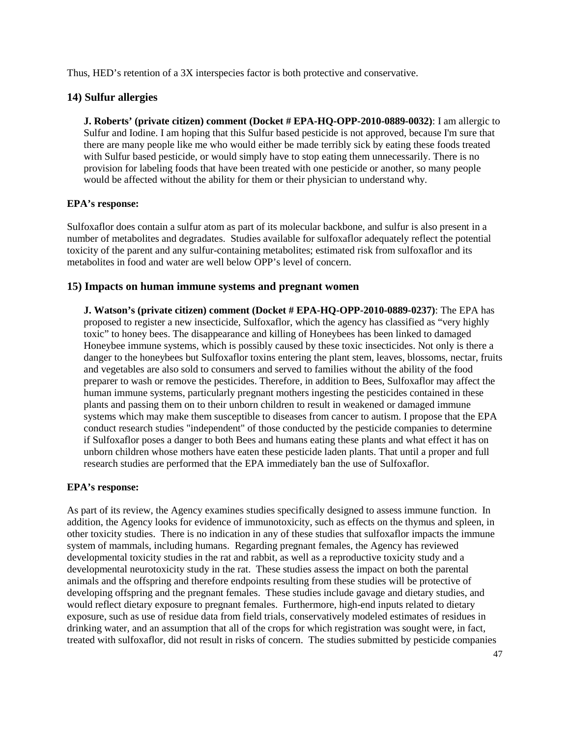Thus, HED's retention of a 3X interspecies factor is both protective and conservative.

# **14) Sulfur allergies**

**J. Roberts' (private citizen) comment (Docket # EPA-HQ-OPP-2010-0889-0032)**: I am allergic to Sulfur and Iodine. I am hoping that this Sulfur based pesticide is not approved, because I'm sure that there are many people like me who would either be made terribly sick by eating these foods treated with Sulfur based pesticide, or would simply have to stop eating them unnecessarily. There is no provision for labeling foods that have been treated with one pesticide or another, so many people would be affected without the ability for them or their physician to understand why.

### **EPA's response:**

Sulfoxaflor does contain a sulfur atom as part of its molecular backbone, and sulfur is also present in a number of metabolites and degradates. Studies available for sulfoxaflor adequately reflect the potential toxicity of the parent and any sulfur-containing metabolites; estimated risk from sulfoxaflor and its metabolites in food and water are well below OPP's level of concern.

### **15) Impacts on human immune systems and pregnant women**

**J. Watson's (private citizen) comment (Docket # EPA-HQ-OPP-2010-0889-0237)**: The EPA has proposed to register a new insecticide, Sulfoxaflor, which the agency has classified as "very highly toxic" to honey bees. The disappearance and killing of Honeybees has been linked to damaged Honeybee immune systems, which is possibly caused by these toxic insecticides. Not only is there a danger to the honeybees but Sulfoxaflor toxins entering the plant stem, leaves, blossoms, nectar, fruits and vegetables are also sold to consumers and served to families without the ability of the food preparer to wash or remove the pesticides. Therefore, in addition to Bees, Sulfoxaflor may affect the human immune systems, particularly pregnant mothers ingesting the pesticides contained in these plants and passing them on to their unborn children to result in weakened or damaged immune systems which may make them susceptible to diseases from cancer to autism. I propose that the EPA conduct research studies "independent" of those conducted by the pesticide companies to determine if Sulfoxaflor poses a danger to both Bees and humans eating these plants and what effect it has on unborn children whose mothers have eaten these pesticide laden plants. That until a proper and full research studies are performed that the EPA immediately ban the use of Sulfoxaflor.

### **EPA's response:**

As part of its review, the Agency examines studies specifically designed to assess immune function. In addition, the Agency looks for evidence of immunotoxicity, such as effects on the thymus and spleen, in other toxicity studies. There is no indication in any of these studies that sulfoxaflor impacts the immune system of mammals, including humans. Regarding pregnant females, the Agency has reviewed developmental toxicity studies in the rat and rabbit, as well as a reproductive toxicity study and a developmental neurotoxicity study in the rat. These studies assess the impact on both the parental animals and the offspring and therefore endpoints resulting from these studies will be protective of developing offspring and the pregnant females. These studies include gavage and dietary studies, and would reflect dietary exposure to pregnant females. Furthermore, high-end inputs related to dietary exposure, such as use of residue data from field trials, conservatively modeled estimates of residues in drinking water, and an assumption that all of the crops for which registration was sought were, in fact, treated with sulfoxaflor, did not result in risks of concern. The studies submitted by pesticide companies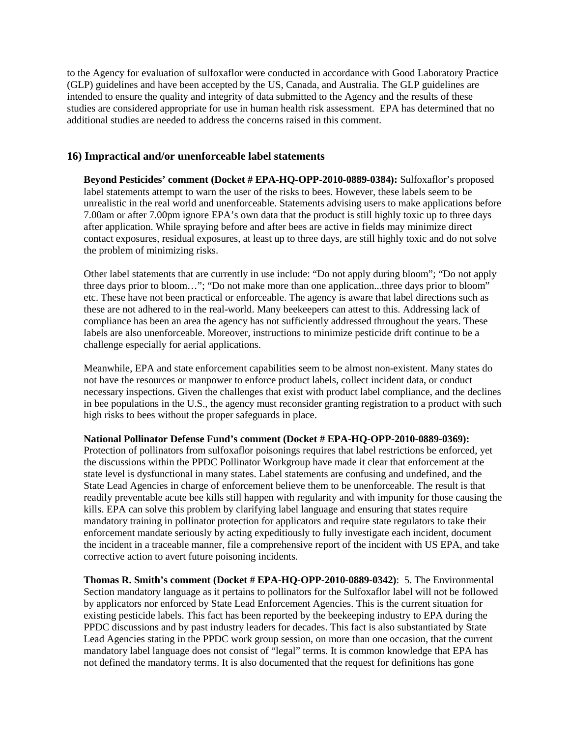to the Agency for evaluation of sulfoxaflor were conducted in accordance with Good Laboratory Practice (GLP) guidelines and have been accepted by the US, Canada, and Australia. The GLP guidelines are intended to ensure the quality and integrity of data submitted to the Agency and the results of these studies are considered appropriate for use in human health risk assessment. EPA has determined that no additional studies are needed to address the concerns raised in this comment.

## **16) Impractical and/or unenforceable label statements**

**Beyond Pesticides' comment (Docket # EPA-HQ-OPP-2010-0889-0384):** Sulfoxaflor's proposed label statements attempt to warn the user of the risks to bees. However, these labels seem to be unrealistic in the real world and unenforceable. Statements advising users to make applications before 7.00am or after 7.00pm ignore EPA's own data that the product is still highly toxic up to three days after application. While spraying before and after bees are active in fields may minimize direct contact exposures, residual exposures, at least up to three days, are still highly toxic and do not solve the problem of minimizing risks.

Other label statements that are currently in use include: "Do not apply during bloom"; "Do not apply three days prior to bloom…"; "Do not make more than one application...three days prior to bloom" etc. These have not been practical or enforceable. The agency is aware that label directions such as these are not adhered to in the real-world. Many beekeepers can attest to this. Addressing lack of compliance has been an area the agency has not sufficiently addressed throughout the years. These labels are also unenforceable. Moreover, instructions to minimize pesticide drift continue to be a challenge especially for aerial applications.

Meanwhile, EPA and state enforcement capabilities seem to be almost non-existent. Many states do not have the resources or manpower to enforce product labels, collect incident data, or conduct necessary inspections. Given the challenges that exist with product label compliance, and the declines in bee populations in the U.S., the agency must reconsider granting registration to a product with such high risks to bees without the proper safeguards in place.

#### **National Pollinator Defense Fund's comment (Docket # EPA-HQ-OPP-2010-0889-0369):**

Protection of pollinators from sulfoxaflor poisonings requires that label restrictions be enforced, yet the discussions within the PPDC Pollinator Workgroup have made it clear that enforcement at the state level is dysfunctional in many states. Label statements are confusing and undefined, and the State Lead Agencies in charge of enforcement believe them to be unenforceable. The result is that readily preventable acute bee kills still happen with regularity and with impunity for those causing the kills. EPA can solve this problem by clarifying label language and ensuring that states require mandatory training in pollinator protection for applicators and require state regulators to take their enforcement mandate seriously by acting expeditiously to fully investigate each incident, document the incident in a traceable manner, file a comprehensive report of the incident with US EPA, and take corrective action to avert future poisoning incidents.

**Thomas R. Smith's comment (Docket # EPA-HQ-OPP-2010-0889-0342)**: 5. The Environmental Section mandatory language as it pertains to pollinators for the Sulfoxaflor label will not be followed by applicators nor enforced by State Lead Enforcement Agencies. This is the current situation for existing pesticide labels. This fact has been reported by the beekeeping industry to EPA during the PPDC discussions and by past industry leaders for decades. This fact is also substantiated by State Lead Agencies stating in the PPDC work group session, on more than one occasion, that the current mandatory label language does not consist of "legal" terms. It is common knowledge that EPA has not defined the mandatory terms. It is also documented that the request for definitions has gone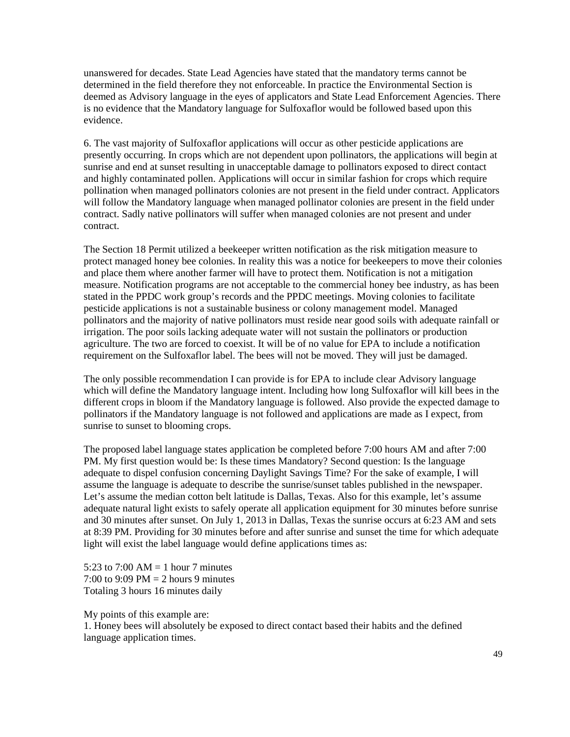unanswered for decades. State Lead Agencies have stated that the mandatory terms cannot be determined in the field therefore they not enforceable. In practice the Environmental Section is deemed as Advisory language in the eyes of applicators and State Lead Enforcement Agencies. There is no evidence that the Mandatory language for Sulfoxaflor would be followed based upon this evidence.

6. The vast majority of Sulfoxaflor applications will occur as other pesticide applications are presently occurring. In crops which are not dependent upon pollinators, the applications will begin at sunrise and end at sunset resulting in unacceptable damage to pollinators exposed to direct contact and highly contaminated pollen. Applications will occur in similar fashion for crops which require pollination when managed pollinators colonies are not present in the field under contract. Applicators will follow the Mandatory language when managed pollinator colonies are present in the field under contract. Sadly native pollinators will suffer when managed colonies are not present and under contract.

The Section 18 Permit utilized a beekeeper written notification as the risk mitigation measure to protect managed honey bee colonies. In reality this was a notice for beekeepers to move their colonies and place them where another farmer will have to protect them. Notification is not a mitigation measure. Notification programs are not acceptable to the commercial honey bee industry, as has been stated in the PPDC work group's records and the PPDC meetings. Moving colonies to facilitate pesticide applications is not a sustainable business or colony management model. Managed pollinators and the majority of native pollinators must reside near good soils with adequate rainfall or irrigation. The poor soils lacking adequate water will not sustain the pollinators or production agriculture. The two are forced to coexist. It will be of no value for EPA to include a notification requirement on the Sulfoxaflor label. The bees will not be moved. They will just be damaged.

The only possible recommendation I can provide is for EPA to include clear Advisory language which will define the Mandatory language intent. Including how long Sulfoxaflor will kill bees in the different crops in bloom if the Mandatory language is followed. Also provide the expected damage to pollinators if the Mandatory language is not followed and applications are made as I expect, from sunrise to sunset to blooming crops.

The proposed label language states application be completed before 7:00 hours AM and after 7:00 PM. My first question would be: Is these times Mandatory? Second question: Is the language adequate to dispel confusion concerning Daylight Savings Time? For the sake of example, I will assume the language is adequate to describe the sunrise/sunset tables published in the newspaper. Let's assume the median cotton belt latitude is Dallas, Texas. Also for this example, let's assume adequate natural light exists to safely operate all application equipment for 30 minutes before sunrise and 30 minutes after sunset. On July 1, 2013 in Dallas, Texas the sunrise occurs at 6:23 AM and sets at 8:39 PM. Providing for 30 minutes before and after sunrise and sunset the time for which adequate light will exist the label language would define applications times as:

5:23 to 7:00 AM = 1 hour 7 minutes 7:00 to 9:09 PM = 2 hours 9 minutes Totaling 3 hours 16 minutes daily

My points of this example are: 1. Honey bees will absolutely be exposed to direct contact based their habits and the defined language application times.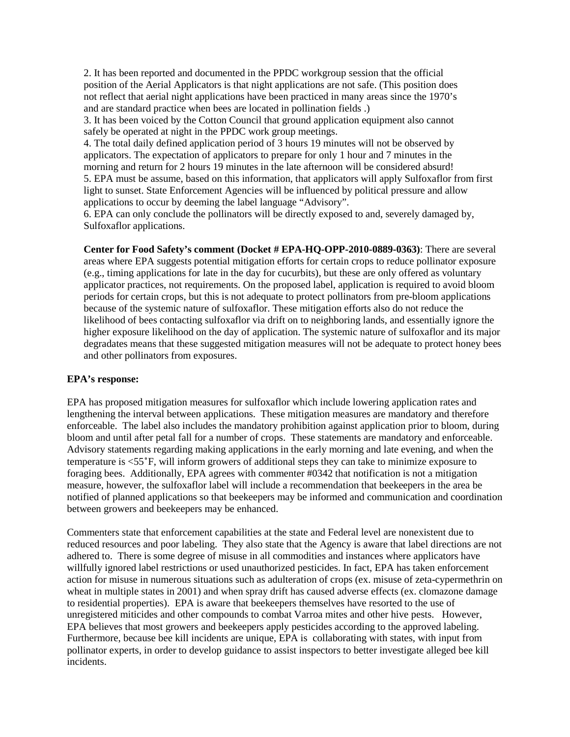2. It has been reported and documented in the PPDC workgroup session that the official position of the Aerial Applicators is that night applications are not safe. (This position does not reflect that aerial night applications have been practiced in many areas since the 1970's and are standard practice when bees are located in pollination fields .)

3. It has been voiced by the Cotton Council that ground application equipment also cannot safely be operated at night in the PPDC work group meetings.

4. The total daily defined application period of 3 hours 19 minutes will not be observed by applicators. The expectation of applicators to prepare for only 1 hour and 7 minutes in the morning and return for 2 hours 19 minutes in the late afternoon will be considered absurd! 5. EPA must be assume, based on this information, that applicators will apply Sulfoxaflor from first light to sunset. State Enforcement Agencies will be influenced by political pressure and allow applications to occur by deeming the label language "Advisory".

6. EPA can only conclude the pollinators will be directly exposed to and, severely damaged by, Sulfoxaflor applications.

**Center for Food Safety's comment (Docket # EPA-HQ-OPP-2010-0889-0363)**: There are several areas where EPA suggests potential mitigation efforts for certain crops to reduce pollinator exposure (e.g., timing applications for late in the day for cucurbits), but these are only offered as voluntary applicator practices, not requirements. On the proposed label, application is required to avoid bloom periods for certain crops, but this is not adequate to protect pollinators from pre-bloom applications because of the systemic nature of sulfoxaflor. These mitigation efforts also do not reduce the likelihood of bees contacting sulfoxaflor via drift on to neighboring lands, and essentially ignore the higher exposure likelihood on the day of application. The systemic nature of sulfoxaflor and its major degradates means that these suggested mitigation measures will not be adequate to protect honey bees and other pollinators from exposures.

### **EPA's response:**

EPA has proposed mitigation measures for sulfoxaflor which include lowering application rates and lengthening the interval between applications. These mitigation measures are mandatory and therefore enforceable. The label also includes the mandatory prohibition against application prior to bloom, during bloom and until after petal fall for a number of crops. These statements are mandatory and enforceable. Advisory statements regarding making applications in the early morning and late evening, and when the temperature is <55˚F, will inform growers of additional steps they can take to minimize exposure to foraging bees. Additionally, EPA agrees with commenter #0342 that notification is not a mitigation measure, however, the sulfoxaflor label will include a recommendation that beekeepers in the area be notified of planned applications so that beekeepers may be informed and communication and coordination between growers and beekeepers may be enhanced.

Commenters state that enforcement capabilities at the state and Federal level are nonexistent due to reduced resources and poor labeling. They also state that the Agency is aware that label directions are not adhered to. There is some degree of misuse in all commodities and instances where applicators have willfully ignored label restrictions or used unauthorized pesticides. In fact, EPA has taken enforcement action for misuse in numerous situations such as adulteration of crops (ex. misuse of zeta-cypermethrin on wheat in multiple states in 2001) and when spray drift has caused adverse effects (ex. clomazone damage to residential properties). EPA is aware that beekeepers themselves have resorted to the use of unregistered miticides and other compounds to combat Varroa mites and other hive pests. However, EPA believes that most growers and beekeepers apply pesticides according to the approved labeling. Furthermore, because bee kill incidents are unique, EPA is collaborating with states, with input from pollinator experts, in order to develop guidance to assist inspectors to better investigate alleged bee kill incidents.